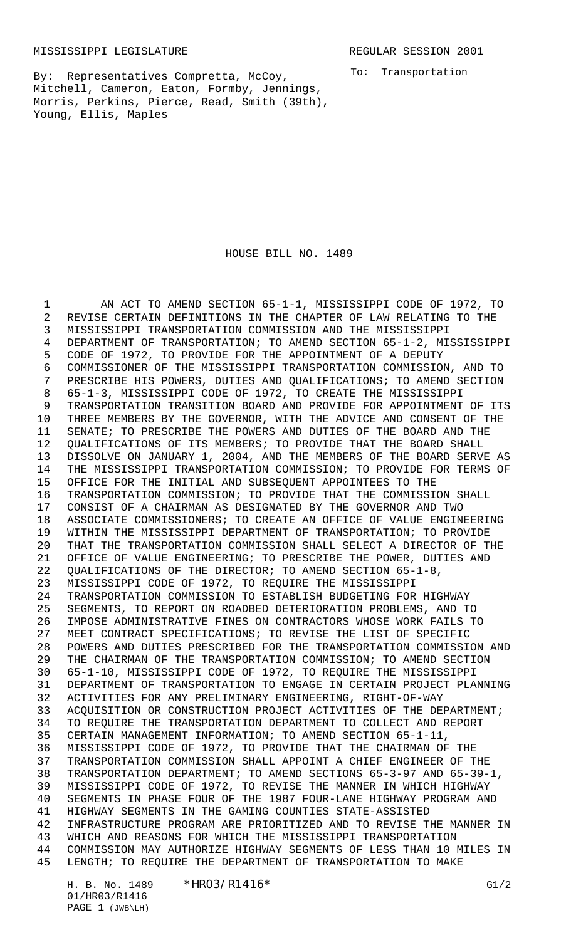MISSISSIPPI LEGISLATURE **REGULAR SESSION 2001** 

To: Transportation

By: Representatives Compretta, McCoy, Mitchell, Cameron, Eaton, Formby, Jennings, Morris, Perkins, Pierce, Read, Smith (39th), Young, Ellis, Maples

## HOUSE BILL NO. 1489

1 AN ACT TO AMEND SECTION 65-1-1, MISSISSIPPI CODE OF 1972, TO REVISE CERTAIN DEFINITIONS IN THE CHAPTER OF LAW RELATING TO THE MISSISSIPPI TRANSPORTATION COMMISSION AND THE MISSISSIPPI DEPARTMENT OF TRANSPORTATION; TO AMEND SECTION 65-1-2, MISSISSIPPI CODE OF 1972, TO PROVIDE FOR THE APPOINTMENT OF A DEPUTY COMMISSIONER OF THE MISSISSIPPI TRANSPORTATION COMMISSION, AND TO PRESCRIBE HIS POWERS, DUTIES AND QUALIFICATIONS; TO AMEND SECTION 65-1-3, MISSISSIPPI CODE OF 1972, TO CREATE THE MISSISSIPPI TRANSPORTATION TRANSITION BOARD AND PROVIDE FOR APPOINTMENT OF ITS THREE MEMBERS BY THE GOVERNOR, WITH THE ADVICE AND CONSENT OF THE SENATE; TO PRESCRIBE THE POWERS AND DUTIES OF THE BOARD AND THE QUALIFICATIONS OF ITS MEMBERS; TO PROVIDE THAT THE BOARD SHALL DISSOLVE ON JANUARY 1, 2004, AND THE MEMBERS OF THE BOARD SERVE AS THE MISSISSIPPI TRANSPORTATION COMMISSION; TO PROVIDE FOR TERMS OF OFFICE FOR THE INITIAL AND SUBSEQUENT APPOINTEES TO THE TRANSPORTATION COMMISSION; TO PROVIDE THAT THE COMMISSION SHALL CONSIST OF A CHAIRMAN AS DESIGNATED BY THE GOVERNOR AND TWO ASSOCIATE COMMISSIONERS; TO CREATE AN OFFICE OF VALUE ENGINEERING WITHIN THE MISSISSIPPI DEPARTMENT OF TRANSPORTATION; TO PROVIDE THAT THE TRANSPORTATION COMMISSION SHALL SELECT A DIRECTOR OF THE OFFICE OF VALUE ENGINEERING; TO PRESCRIBE THE POWER, DUTIES AND QUALIFICATIONS OF THE DIRECTOR; TO AMEND SECTION 65-1-8, MISSISSIPPI CODE OF 1972, TO REQUIRE THE MISSISSIPPI TRANSPORTATION COMMISSION TO ESTABLISH BUDGETING FOR HIGHWAY SEGMENTS, TO REPORT ON ROADBED DETERIORATION PROBLEMS, AND TO IMPOSE ADMINISTRATIVE FINES ON CONTRACTORS WHOSE WORK FAILS TO MEET CONTRACT SPECIFICATIONS; TO REVISE THE LIST OF SPECIFIC POWERS AND DUTIES PRESCRIBED FOR THE TRANSPORTATION COMMISSION AND 29 THE CHAIRMAN OF THE TRANSPORTATION COMMISSION; TO AMEND SECTION<br>30 65-1-10, MISSISSIPPI CODE OF 1972, TO REOUIRE THE MISSISSIPPT 65-1-10, MISSISSIPPI CODE OF 1972, TO REQUIRE THE MISSISSIPPI DEPARTMENT OF TRANSPORTATION TO ENGAGE IN CERTAIN PROJECT PLANNING ACTIVITIES FOR ANY PRELIMINARY ENGINEERING, RIGHT-OF-WAY ACQUISITION OR CONSTRUCTION PROJECT ACTIVITIES OF THE DEPARTMENT; TO REQUIRE THE TRANSPORTATION DEPARTMENT TO COLLECT AND REPORT CERTAIN MANAGEMENT INFORMATION; TO AMEND SECTION 65-1-11, MISSISSIPPI CODE OF 1972, TO PROVIDE THAT THE CHAIRMAN OF THE TRANSPORTATION COMMISSION SHALL APPOINT A CHIEF ENGINEER OF THE TRANSPORTATION DEPARTMENT; TO AMEND SECTIONS 65-3-97 AND 65-39-1, MISSISSIPPI CODE OF 1972, TO REVISE THE MANNER IN WHICH HIGHWAY SEGMENTS IN PHASE FOUR OF THE 1987 FOUR-LANE HIGHWAY PROGRAM AND HIGHWAY SEGMENTS IN THE GAMING COUNTIES STATE-ASSISTED INFRASTRUCTURE PROGRAM ARE PRIORITIZED AND TO REVISE THE MANNER IN WHICH AND REASONS FOR WHICH THE MISSISSIPPI TRANSPORTATION COMMISSION MAY AUTHORIZE HIGHWAY SEGMENTS OF LESS THAN 10 MILES IN LENGTH; TO REQUIRE THE DEPARTMENT OF TRANSPORTATION TO MAKE

H. B. No. 1489 \* HRO3/R1416 \* G1/2 01/HR03/R1416 PAGE 1 (JWB\LH)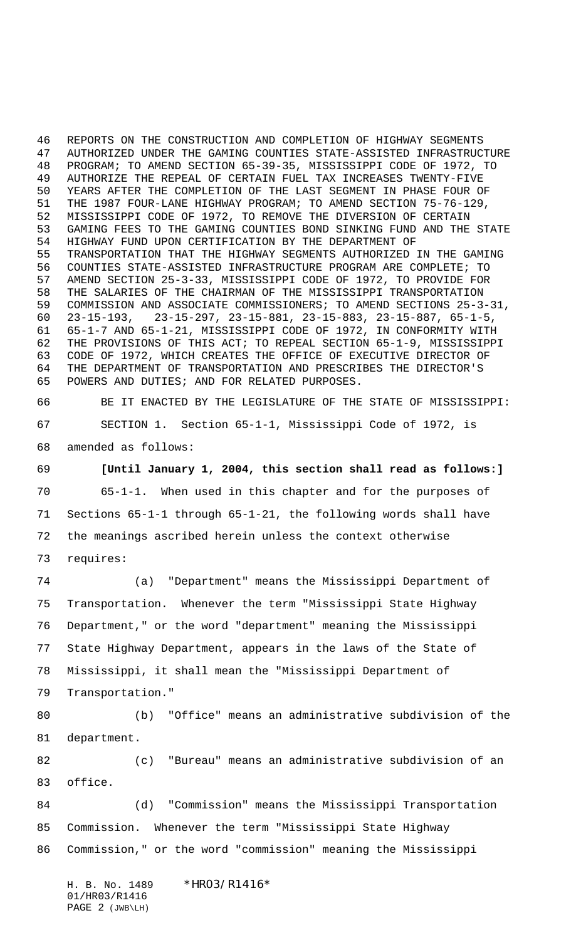REPORTS ON THE CONSTRUCTION AND COMPLETION OF HIGHWAY SEGMENTS AUTHORIZED UNDER THE GAMING COUNTIES STATE-ASSISTED INFRASTRUCTURE PROGRAM; TO AMEND SECTION 65-39-35, MISSISSIPPI CODE OF 1972, TO AUTHORIZE THE REPEAL OF CERTAIN FUEL TAX INCREASES TWENTY-FIVE YEARS AFTER THE COMPLETION OF THE LAST SEGMENT IN PHASE FOUR OF THE 1987 FOUR-LANE HIGHWAY PROGRAM; TO AMEND SECTION 75-76-129, MISSISSIPPI CODE OF 1972, TO REMOVE THE DIVERSION OF CERTAIN GAMING FEES TO THE GAMING COUNTIES BOND SINKING FUND AND THE STATE HIGHWAY FUND UPON CERTIFICATION BY THE DEPARTMENT OF TRANSPORTATION THAT THE HIGHWAY SEGMENTS AUTHORIZED IN THE GAMING COUNTIES STATE-ASSISTED INFRASTRUCTURE PROGRAM ARE COMPLETE; TO AMEND SECTION 25-3-33, MISSISSIPPI CODE OF 1972, TO PROVIDE FOR THE SALARIES OF THE CHAIRMAN OF THE MISSISSIPPI TRANSPORTATION COMMISSION AND ASSOCIATE COMMISSIONERS; TO AMEND SECTIONS 25-3-31, 23-15-193, 23-15-297, 23-15-881, 23-15-883, 23-15-887, 65-1-5, 65-1-7 AND 65-1-21, MISSISSIPPI CODE OF 1972, IN CONFORMITY WITH THE PROVISIONS OF THIS ACT; TO REPEAL SECTION 65-1-9, MISSISSIPPI CODE OF 1972, WHICH CREATES THE OFFICE OF EXECUTIVE DIRECTOR OF THE DEPARTMENT OF TRANSPORTATION AND PRESCRIBES THE DIRECTOR'S POWERS AND DUTIES; AND FOR RELATED PURPOSES.

 BE IT ENACTED BY THE LEGISLATURE OF THE STATE OF MISSISSIPPI: SECTION 1. Section 65-1-1, Mississippi Code of 1972, is amended as follows:

 **[Until January 1, 2004, this section shall read as follows:]** 65-1-1. When used in this chapter and for the purposes of Sections 65-1-1 through 65-1-21, the following words shall have the meanings ascribed herein unless the context otherwise requires:

 (a) "Department" means the Mississippi Department of Transportation. Whenever the term "Mississippi State Highway Department," or the word "department" meaning the Mississippi State Highway Department, appears in the laws of the State of Mississippi, it shall mean the "Mississippi Department of Transportation."

 (b) "Office" means an administrative subdivision of the department.

 (c) "Bureau" means an administrative subdivision of an office.

 (d) "Commission" means the Mississippi Transportation Commission. Whenever the term "Mississippi State Highway Commission," or the word "commission" meaning the Mississippi

H. B. No. 1489 \* HRO3/R1416\* 01/HR03/R1416 PAGE 2 (JWB\LH)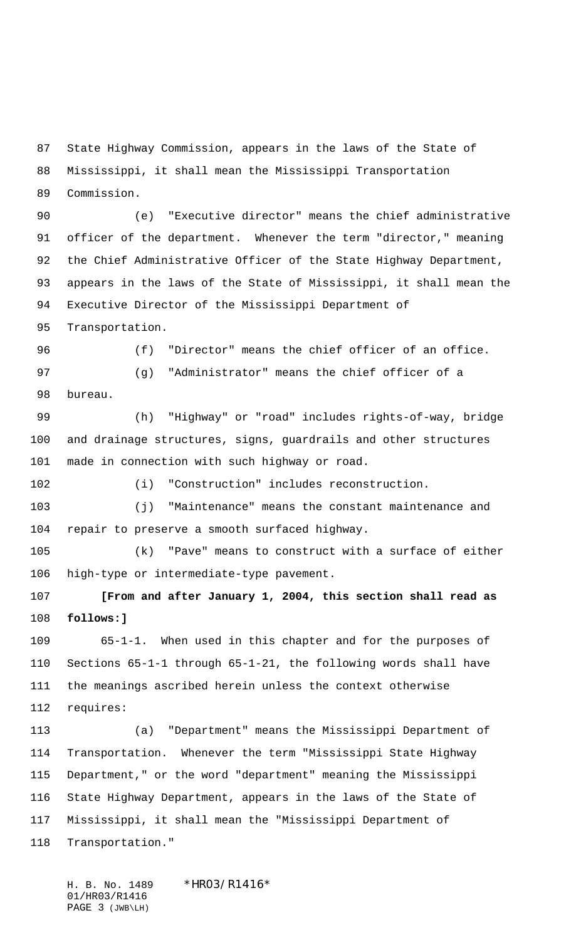State Highway Commission, appears in the laws of the State of

 Mississippi, it shall mean the Mississippi Transportation Commission.

 (e) "Executive director" means the chief administrative officer of the department. Whenever the term "director," meaning the Chief Administrative Officer of the State Highway Department, appears in the laws of the State of Mississippi, it shall mean the Executive Director of the Mississippi Department of

Transportation.

 (f) "Director" means the chief officer of an office. (g) "Administrator" means the chief officer of a

bureau.

 (h) "Highway" or "road" includes rights-of-way, bridge and drainage structures, signs, guardrails and other structures made in connection with such highway or road.

(i) "Construction" includes reconstruction.

 (j) "Maintenance" means the constant maintenance and repair to preserve a smooth surfaced highway.

 (k) "Pave" means to construct with a surface of either high-type or intermediate-type pavement.

 **[From and after January 1, 2004, this section shall read as follows:]**

 65-1-1. When used in this chapter and for the purposes of Sections 65-1-1 through 65-1-21, the following words shall have the meanings ascribed herein unless the context otherwise requires:

 (a) "Department" means the Mississippi Department of Transportation. Whenever the term "Mississippi State Highway Department," or the word "department" meaning the Mississippi State Highway Department, appears in the laws of the State of Mississippi, it shall mean the "Mississippi Department of Transportation."

H. B. No. 1489 \* HRO3/R1416\* 01/HR03/R1416 PAGE 3 (JWB\LH)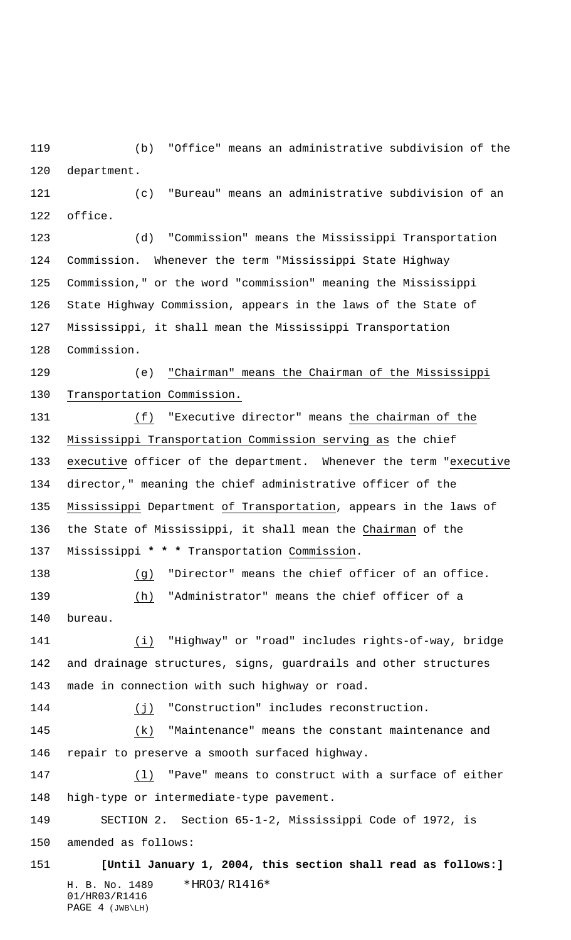(b) "Office" means an administrative subdivision of the department.

 (c) "Bureau" means an administrative subdivision of an office.

 (d) "Commission" means the Mississippi Transportation Commission. Whenever the term "Mississippi State Highway Commission," or the word "commission" meaning the Mississippi State Highway Commission, appears in the laws of the State of Mississippi, it shall mean the Mississippi Transportation Commission.

 (e) "Chairman" means the Chairman of the Mississippi Transportation Commission.

 (f) "Executive director" means the chairman of the Mississippi Transportation Commission serving as the chief executive officer of the department. Whenever the term "executive director," meaning the chief administrative officer of the Mississippi Department of Transportation, appears in the laws of the State of Mississippi, it shall mean the Chairman of the Mississippi **\* \* \*** Transportation Commission.

 (g) "Director" means the chief officer of an office. (h) "Administrator" means the chief officer of a bureau.

 (i) "Highway" or "road" includes rights-of-way, bridge and drainage structures, signs, guardrails and other structures made in connection with such highway or road.

144 (j) "Construction" includes reconstruction.

 (k) "Maintenance" means the constant maintenance and repair to preserve a smooth surfaced highway.

 (l) "Pave" means to construct with a surface of either high-type or intermediate-type pavement.

SECTION 2. Section 65-1-2, Mississippi Code of 1972, is

amended as follows:

H. B. No. 1489 \*HRO3/R1416\* 01/HR03/R1416 PAGE 4 (JWB\LH) **[Until January 1, 2004, this section shall read as follows:]**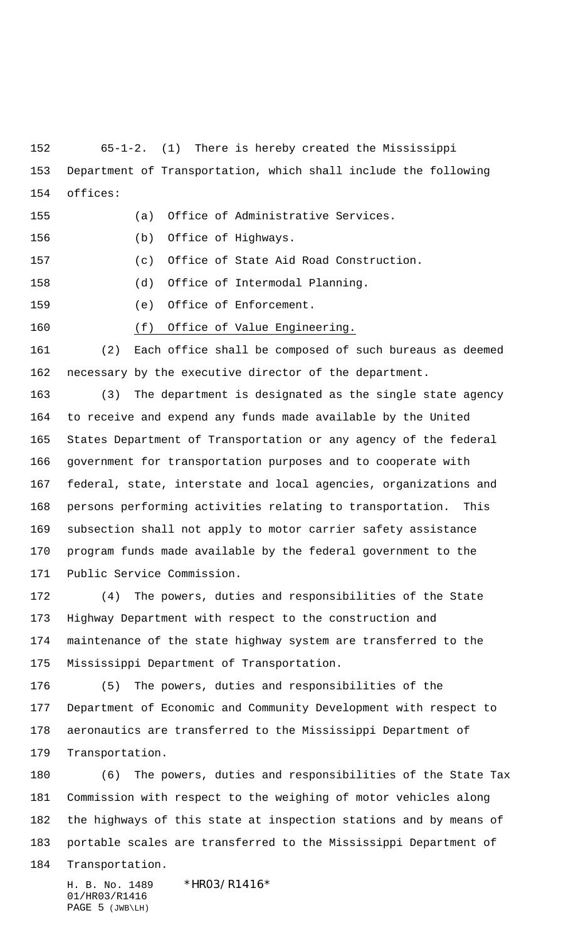65-1-2. (1) There is hereby created the Mississippi Department of Transportation, which shall include the following offices:

(a) Office of Administrative Services.

(b) Office of Highways.

(c) Office of State Aid Road Construction.

(d) Office of Intermodal Planning.

(e) Office of Enforcement.

(f) Office of Value Engineering.

 (2) Each office shall be composed of such bureaus as deemed necessary by the executive director of the department.

 (3) The department is designated as the single state agency to receive and expend any funds made available by the United States Department of Transportation or any agency of the federal government for transportation purposes and to cooperate with federal, state, interstate and local agencies, organizations and persons performing activities relating to transportation. This subsection shall not apply to motor carrier safety assistance program funds made available by the federal government to the Public Service Commission.

 (4) The powers, duties and responsibilities of the State Highway Department with respect to the construction and maintenance of the state highway system are transferred to the Mississippi Department of Transportation.

 (5) The powers, duties and responsibilities of the Department of Economic and Community Development with respect to aeronautics are transferred to the Mississippi Department of Transportation.

 (6) The powers, duties and responsibilities of the State Tax Commission with respect to the weighing of motor vehicles along the highways of this state at inspection stations and by means of portable scales are transferred to the Mississippi Department of

Transportation.

H. B. No. 1489 \*HR03/R1416\* 01/HR03/R1416 PAGE 5 (JWB\LH)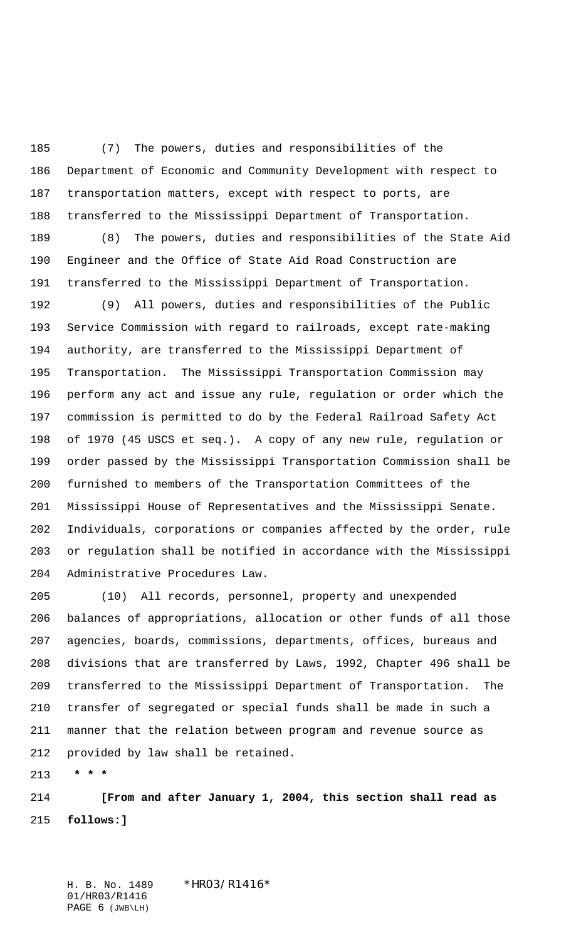(7) The powers, duties and responsibilities of the Department of Economic and Community Development with respect to transportation matters, except with respect to ports, are transferred to the Mississippi Department of Transportation.

 (8) The powers, duties and responsibilities of the State Aid Engineer and the Office of State Aid Road Construction are transferred to the Mississippi Department of Transportation.

 (9) All powers, duties and responsibilities of the Public Service Commission with regard to railroads, except rate-making authority, are transferred to the Mississippi Department of Transportation. The Mississippi Transportation Commission may perform any act and issue any rule, regulation or order which the commission is permitted to do by the Federal Railroad Safety Act of 1970 (45 USCS et seq.). A copy of any new rule, regulation or order passed by the Mississippi Transportation Commission shall be furnished to members of the Transportation Committees of the Mississippi House of Representatives and the Mississippi Senate. Individuals, corporations or companies affected by the order, rule or regulation shall be notified in accordance with the Mississippi Administrative Procedures Law.

205 (10) All records, personnel, property and unexpended balances of appropriations, allocation or other funds of all those agencies, boards, commissions, departments, offices, bureaus and divisions that are transferred by Laws, 1992, Chapter 496 shall be transferred to the Mississippi Department of Transportation. The transfer of segregated or special funds shall be made in such a manner that the relation between program and revenue source as provided by law shall be retained.

 **\* \* \***

 **[From and after January 1, 2004, this section shall read as follows:]**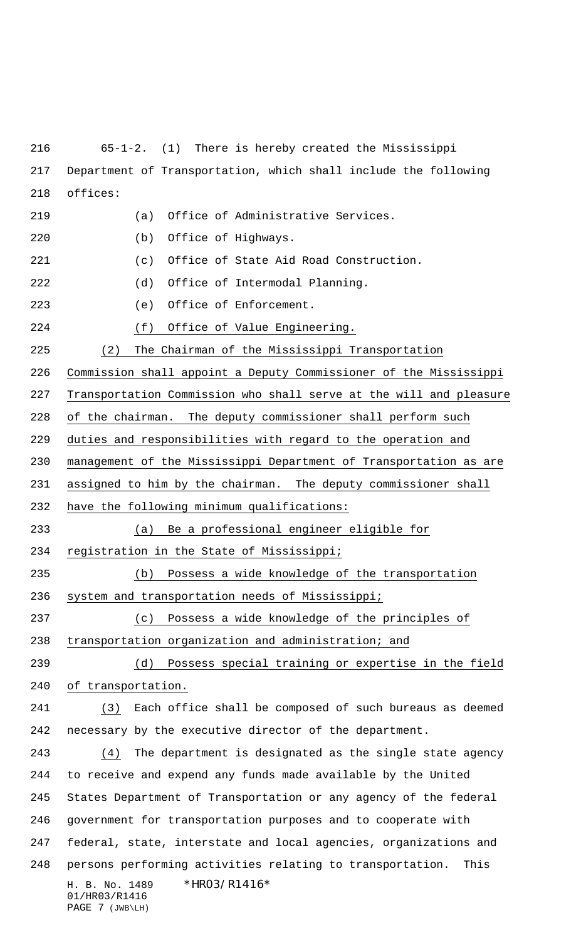H. B. No. 1489 \*HR03/R1416\* 01/HR03/R1416 65-1-2. (1) There is hereby created the Mississippi Department of Transportation, which shall include the following offices: (a) Office of Administrative Services. (b) Office of Highways. (c) Office of State Aid Road Construction. (d) Office of Intermodal Planning. (e) Office of Enforcement. (f) Office of Value Engineering. (2) The Chairman of the Mississippi Transportation Commission shall appoint a Deputy Commissioner of the Mississippi Transportation Commission who shall serve at the will and pleasure of the chairman. The deputy commissioner shall perform such duties and responsibilities with regard to the operation and management of the Mississippi Department of Transportation as are assigned to him by the chairman. The deputy commissioner shall have the following minimum qualifications: (a) Be a professional engineer eligible for registration in the State of Mississippi; (b) Possess a wide knowledge of the transportation system and transportation needs of Mississippi; (c) Possess a wide knowledge of the principles of transportation organization and administration; and (d) Possess special training or expertise in the field of transportation. (3) Each office shall be composed of such bureaus as deemed necessary by the executive director of the department. (4) The department is designated as the single state agency to receive and expend any funds made available by the United States Department of Transportation or any agency of the federal government for transportation purposes and to cooperate with federal, state, interstate and local agencies, organizations and persons performing activities relating to transportation. This

PAGE 7 (JWB\LH)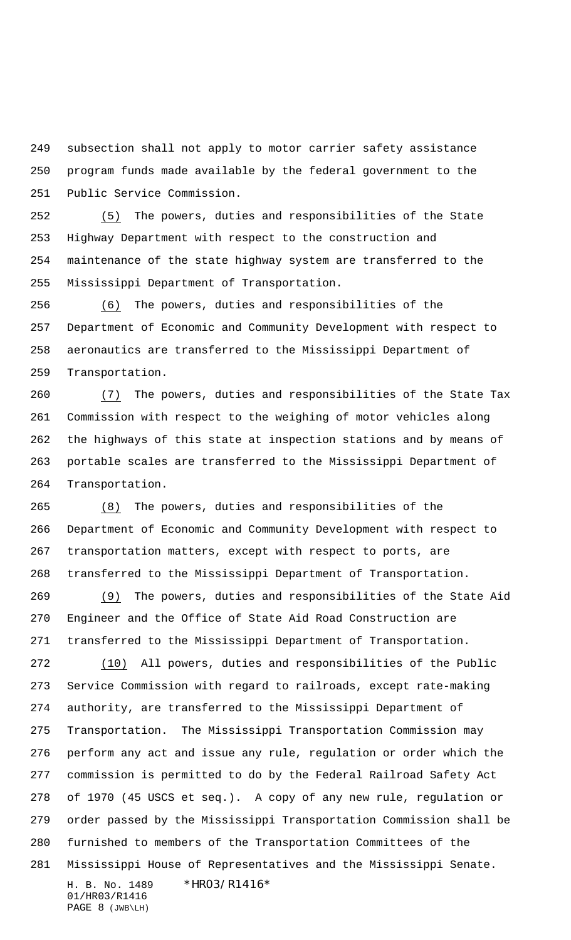subsection shall not apply to motor carrier safety assistance program funds made available by the federal government to the Public Service Commission.

 (5) The powers, duties and responsibilities of the State Highway Department with respect to the construction and maintenance of the state highway system are transferred to the Mississippi Department of Transportation.

 (6) The powers, duties and responsibilities of the Department of Economic and Community Development with respect to aeronautics are transferred to the Mississippi Department of Transportation.

 (7) The powers, duties and responsibilities of the State Tax Commission with respect to the weighing of motor vehicles along the highways of this state at inspection stations and by means of portable scales are transferred to the Mississippi Department of Transportation.

 (8) The powers, duties and responsibilities of the Department of Economic and Community Development with respect to transportation matters, except with respect to ports, are transferred to the Mississippi Department of Transportation.

 (9) The powers, duties and responsibilities of the State Aid Engineer and the Office of State Aid Road Construction are transferred to the Mississippi Department of Transportation.

H. B. No. 1489 \* HRO3/R1416\* (10) All powers, duties and responsibilities of the Public Service Commission with regard to railroads, except rate-making authority, are transferred to the Mississippi Department of Transportation. The Mississippi Transportation Commission may perform any act and issue any rule, regulation or order which the commission is permitted to do by the Federal Railroad Safety Act of 1970 (45 USCS et seq.). A copy of any new rule, regulation or order passed by the Mississippi Transportation Commission shall be furnished to members of the Transportation Committees of the Mississippi House of Representatives and the Mississippi Senate.

01/HR03/R1416 PAGE 8 (JWB\LH)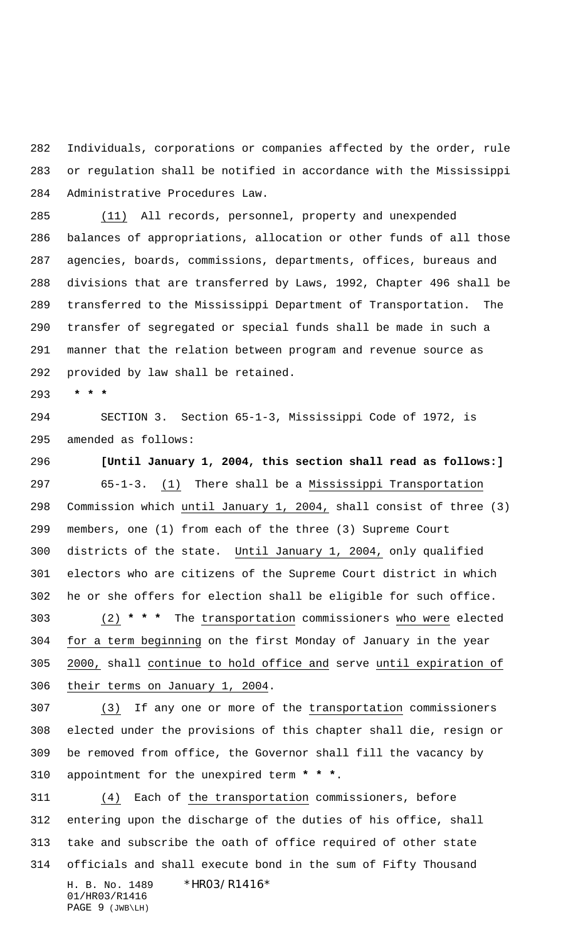Individuals, corporations or companies affected by the order, rule or regulation shall be notified in accordance with the Mississippi Administrative Procedures Law.

 (11) All records, personnel, property and unexpended balances of appropriations, allocation or other funds of all those agencies, boards, commissions, departments, offices, bureaus and divisions that are transferred by Laws, 1992, Chapter 496 shall be transferred to the Mississippi Department of Transportation. The transfer of segregated or special funds shall be made in such a manner that the relation between program and revenue source as provided by law shall be retained.

 **\* \* \***

 SECTION 3. Section 65-1-3, Mississippi Code of 1972, is amended as follows:

 **[Until January 1, 2004, this section shall read as follows:]** 65-1-3. (1) There shall be a Mississippi Transportation Commission which until January 1, 2004, shall consist of three (3) members, one (1) from each of the three (3) Supreme Court districts of the state. Until January 1, 2004, only qualified electors who are citizens of the Supreme Court district in which he or she offers for election shall be eligible for such office.

 (2) **\* \* \*** The transportation commissioners who were elected for a term beginning on the first Monday of January in the year 2000, shall continue to hold office and serve until expiration of their terms on January 1, 2004.

 (3) If any one or more of the transportation commissioners elected under the provisions of this chapter shall die, resign or be removed from office, the Governor shall fill the vacancy by appointment for the unexpired term **\* \* \***.

H. B. No. 1489 \*HRO3/R1416\* 01/HR03/R1416 PAGE 9 (JWB\LH) (4) Each of the transportation commissioners, before entering upon the discharge of the duties of his office, shall take and subscribe the oath of office required of other state officials and shall execute bond in the sum of Fifty Thousand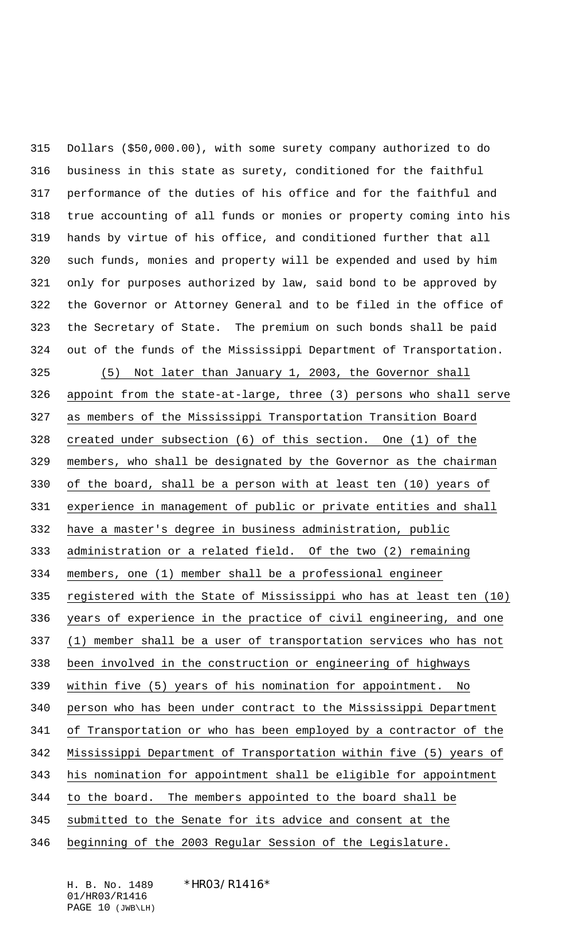Dollars (\$50,000.00), with some surety company authorized to do business in this state as surety, conditioned for the faithful performance of the duties of his office and for the faithful and true accounting of all funds or monies or property coming into his hands by virtue of his office, and conditioned further that all such funds, monies and property will be expended and used by him only for purposes authorized by law, said bond to be approved by the Governor or Attorney General and to be filed in the office of the Secretary of State. The premium on such bonds shall be paid out of the funds of the Mississippi Department of Transportation. (5) Not later than January 1, 2003, the Governor shall

 appoint from the state-at-large, three (3) persons who shall serve as members of the Mississippi Transportation Transition Board created under subsection (6) of this section. One (1) of the members, who shall be designated by the Governor as the chairman of the board, shall be a person with at least ten (10) years of experience in management of public or private entities and shall have a master's degree in business administration, public administration or a related field. Of the two (2) remaining members, one (1) member shall be a professional engineer registered with the State of Mississippi who has at least ten (10) years of experience in the practice of civil engineering, and one (1) member shall be a user of transportation services who has not been involved in the construction or engineering of highways within five (5) years of his nomination for appointment. No person who has been under contract to the Mississippi Department of Transportation or who has been employed by a contractor of the Mississippi Department of Transportation within five (5) years of his nomination for appointment shall be eligible for appointment to the board. The members appointed to the board shall be submitted to the Senate for its advice and consent at the beginning of the 2003 Regular Session of the Legislature.

01/HR03/R1416 PAGE 10 (JWB\LH)

H. B. No. 1489 \*HR03/R1416\*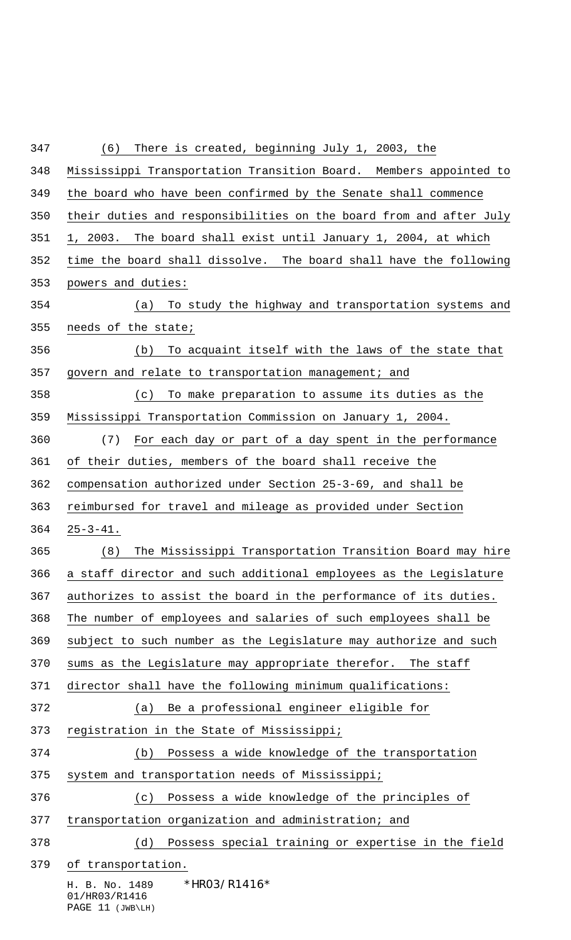H. B. No. 1489 \* HRO3/R1416\* 01/HR03/R1416 Mississippi Transportation Transition Board. Members appointed to the board who have been confirmed by the Senate shall commence their duties and responsibilities on the board from and after July 1, 2003. The board shall exist until January 1, 2004, at which time the board shall dissolve. The board shall have the following powers and duties: (a) To study the highway and transportation systems and needs of the state; (b) To acquaint itself with the laws of the state that govern and relate to transportation management; and (c) To make preparation to assume its duties as the Mississippi Transportation Commission on January 1, 2004. (7) For each day or part of a day spent in the performance of their duties, members of the board shall receive the compensation authorized under Section 25-3-69, and shall be reimbursed for travel and mileage as provided under Section 25-3-41. (8) The Mississippi Transportation Transition Board may hire a staff director and such additional employees as the Legislature authorizes to assist the board in the performance of its duties. The number of employees and salaries of such employees shall be subject to such number as the Legislature may authorize and such sums as the Legislature may appropriate therefor. The staff director shall have the following minimum qualifications: (a) Be a professional engineer eligible for registration in the State of Mississippi; (b) Possess a wide knowledge of the transportation system and transportation needs of Mississippi; (c) Possess a wide knowledge of the principles of transportation organization and administration; and (d) Possess special training or expertise in the field of transportation.

(6) There is created, beginning July 1, 2003, the

PAGE 11 (JWB\LH)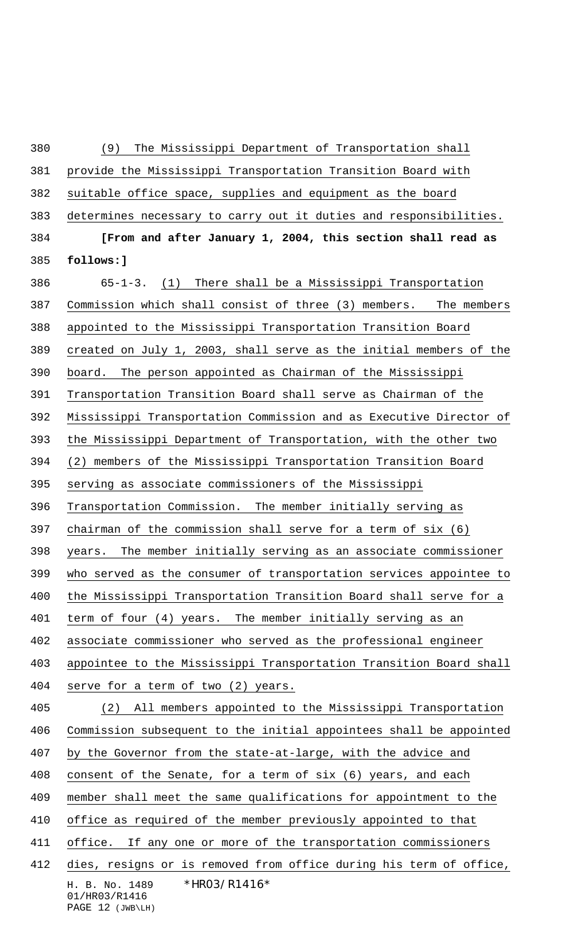H. B. No. 1489 \* HRO3/R1416\* 01/HR03/R1416 (9) The Mississippi Department of Transportation shall provide the Mississippi Transportation Transition Board with suitable office space, supplies and equipment as the board determines necessary to carry out it duties and responsibilities. **[From and after January 1, 2004, this section shall read as follows:]** 65-1-3. (1) There shall be a Mississippi Transportation Commission which shall consist of three (3) members. The members appointed to the Mississippi Transportation Transition Board created on July 1, 2003, shall serve as the initial members of the board. The person appointed as Chairman of the Mississippi Transportation Transition Board shall serve as Chairman of the Mississippi Transportation Commission and as Executive Director of the Mississippi Department of Transportation, with the other two (2) members of the Mississippi Transportation Transition Board serving as associate commissioners of the Mississippi Transportation Commission. The member initially serving as chairman of the commission shall serve for a term of six (6) years. The member initially serving as an associate commissioner who served as the consumer of transportation services appointee to the Mississippi Transportation Transition Board shall serve for a term of four (4) years. The member initially serving as an associate commissioner who served as the professional engineer appointee to the Mississippi Transportation Transition Board shall serve for a term of two (2) years. (2) All members appointed to the Mississippi Transportation Commission subsequent to the initial appointees shall be appointed by the Governor from the state-at-large, with the advice and consent of the Senate, for a term of six (6) years, and each member shall meet the same qualifications for appointment to the office as required of the member previously appointed to that 411 office. If any one or more of the transportation commissioners dies, resigns or is removed from office during his term of office,

PAGE 12 (JWB\LH)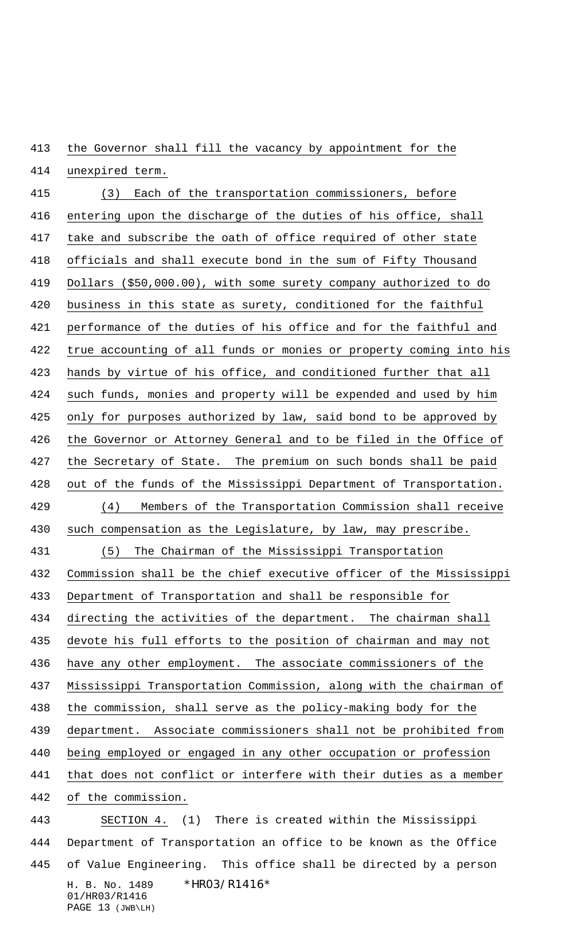the Governor shall fill the vacancy by appointment for the

 unexpired term. (3) Each of the transportation commissioners, before

 entering upon the discharge of the duties of his office, shall take and subscribe the oath of office required of other state officials and shall execute bond in the sum of Fifty Thousand Dollars (\$50,000.00), with some surety company authorized to do business in this state as surety, conditioned for the faithful performance of the duties of his office and for the faithful and true accounting of all funds or monies or property coming into his hands by virtue of his office, and conditioned further that all such funds, monies and property will be expended and used by him only for purposes authorized by law, said bond to be approved by the Governor or Attorney General and to be filed in the Office of 427 the Secretary of State. The premium on such bonds shall be paid out of the funds of the Mississippi Department of Transportation. (4) Members of the Transportation Commission shall receive such compensation as the Legislature, by law, may prescribe. (5) The Chairman of the Mississippi Transportation Commission shall be the chief executive officer of the Mississippi Department of Transportation and shall be responsible for directing the activities of the department. The chairman shall devote his full efforts to the position of chairman and may not have any other employment. The associate commissioners of the Mississippi Transportation Commission, along with the chairman of the commission, shall serve as the policy-making body for the department. Associate commissioners shall not be prohibited from being employed or engaged in any other occupation or profession that does not conflict or interfere with their duties as a member of the commission. SECTION 4. (1) There is created within the Mississippi Department of Transportation an office to be known as the Office

H. B. No. 1489 \* HRO3/R1416\* 01/HR03/R1416 of Value Engineering. This office shall be directed by a person

PAGE 13 (JWB\LH)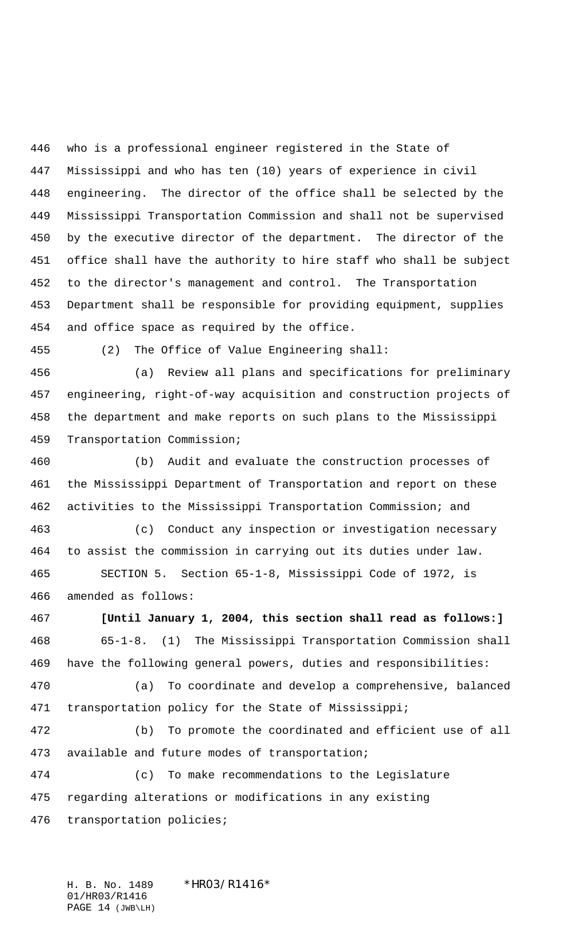who is a professional engineer registered in the State of Mississippi and who has ten (10) years of experience in civil engineering. The director of the office shall be selected by the Mississippi Transportation Commission and shall not be supervised by the executive director of the department. The director of the office shall have the authority to hire staff who shall be subject to the director's management and control. The Transportation Department shall be responsible for providing equipment, supplies and office space as required by the office.

(2) The Office of Value Engineering shall:

 (a) Review all plans and specifications for preliminary engineering, right-of-way acquisition and construction projects of the department and make reports on such plans to the Mississippi Transportation Commission;

 (b) Audit and evaluate the construction processes of the Mississippi Department of Transportation and report on these activities to the Mississippi Transportation Commission; and

 (c) Conduct any inspection or investigation necessary to assist the commission in carrying out its duties under law. SECTION 5. Section 65-1-8, Mississippi Code of 1972, is amended as follows:

 **[Until January 1, 2004, this section shall read as follows:]** 65-1-8. (1) The Mississippi Transportation Commission shall have the following general powers, duties and responsibilities:

 (a) To coordinate and develop a comprehensive, balanced transportation policy for the State of Mississippi;

 (b) To promote the coordinated and efficient use of all available and future modes of transportation;

 (c) To make recommendations to the Legislature regarding alterations or modifications in any existing transportation policies;

H. B. No. 1489 \* HRO3/R1416\* 01/HR03/R1416 PAGE 14 (JWB\LH)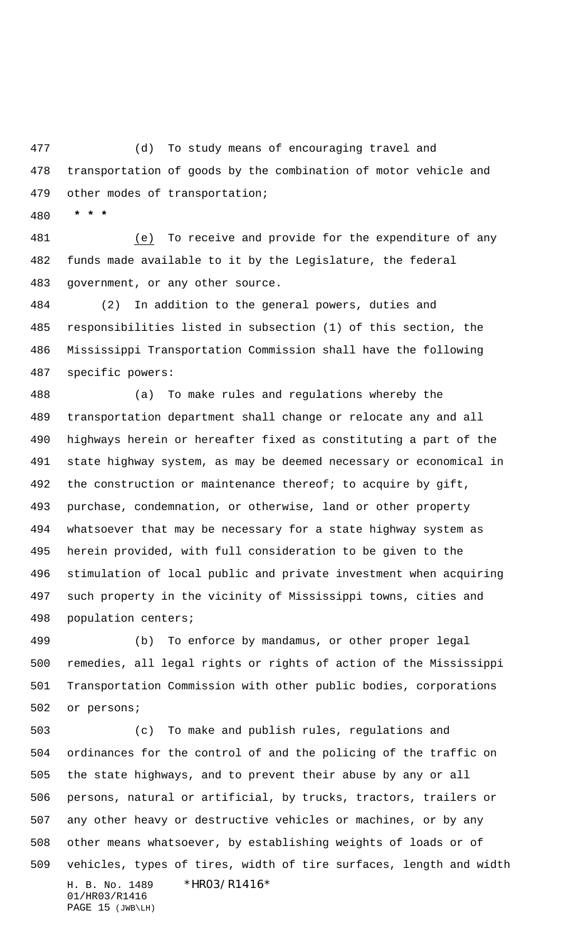(d) To study means of encouraging travel and transportation of goods by the combination of motor vehicle and other modes of transportation;

 **\* \* \***

 (e) To receive and provide for the expenditure of any funds made available to it by the Legislature, the federal government, or any other source.

 (2) In addition to the general powers, duties and responsibilities listed in subsection (1) of this section, the Mississippi Transportation Commission shall have the following specific powers:

 (a) To make rules and regulations whereby the transportation department shall change or relocate any and all highways herein or hereafter fixed as constituting a part of the state highway system, as may be deemed necessary or economical in the construction or maintenance thereof; to acquire by gift, purchase, condemnation, or otherwise, land or other property whatsoever that may be necessary for a state highway system as herein provided, with full consideration to be given to the stimulation of local public and private investment when acquiring such property in the vicinity of Mississippi towns, cities and population centers;

 (b) To enforce by mandamus, or other proper legal remedies, all legal rights or rights of action of the Mississippi Transportation Commission with other public bodies, corporations or persons;

H. B. No. 1489 \* HRO3/R1416\* 01/HR03/R1416 PAGE 15 (JWB\LH) (c) To make and publish rules, regulations and ordinances for the control of and the policing of the traffic on the state highways, and to prevent their abuse by any or all persons, natural or artificial, by trucks, tractors, trailers or any other heavy or destructive vehicles or machines, or by any other means whatsoever, by establishing weights of loads or of vehicles, types of tires, width of tire surfaces, length and width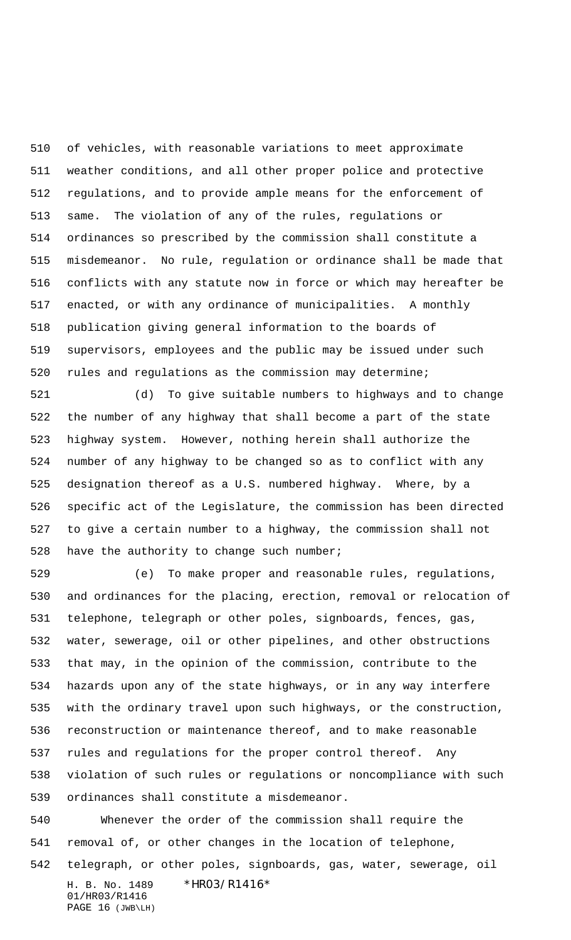of vehicles, with reasonable variations to meet approximate weather conditions, and all other proper police and protective regulations, and to provide ample means for the enforcement of same. The violation of any of the rules, regulations or ordinances so prescribed by the commission shall constitute a misdemeanor. No rule, regulation or ordinance shall be made that conflicts with any statute now in force or which may hereafter be enacted, or with any ordinance of municipalities. A monthly publication giving general information to the boards of supervisors, employees and the public may be issued under such rules and regulations as the commission may determine;

 (d) To give suitable numbers to highways and to change the number of any highway that shall become a part of the state highway system. However, nothing herein shall authorize the number of any highway to be changed so as to conflict with any designation thereof as a U.S. numbered highway. Where, by a specific act of the Legislature, the commission has been directed to give a certain number to a highway, the commission shall not 528 have the authority to change such number;

 (e) To make proper and reasonable rules, regulations, and ordinances for the placing, erection, removal or relocation of telephone, telegraph or other poles, signboards, fences, gas, water, sewerage, oil or other pipelines, and other obstructions that may, in the opinion of the commission, contribute to the hazards upon any of the state highways, or in any way interfere with the ordinary travel upon such highways, or the construction, reconstruction or maintenance thereof, and to make reasonable rules and regulations for the proper control thereof. Any violation of such rules or regulations or noncompliance with such ordinances shall constitute a misdemeanor.

H. B. No. 1489 \* HRO3/R1416\* Whenever the order of the commission shall require the removal of, or other changes in the location of telephone, telegraph, or other poles, signboards, gas, water, sewerage, oil

01/HR03/R1416 PAGE 16 (JWB\LH)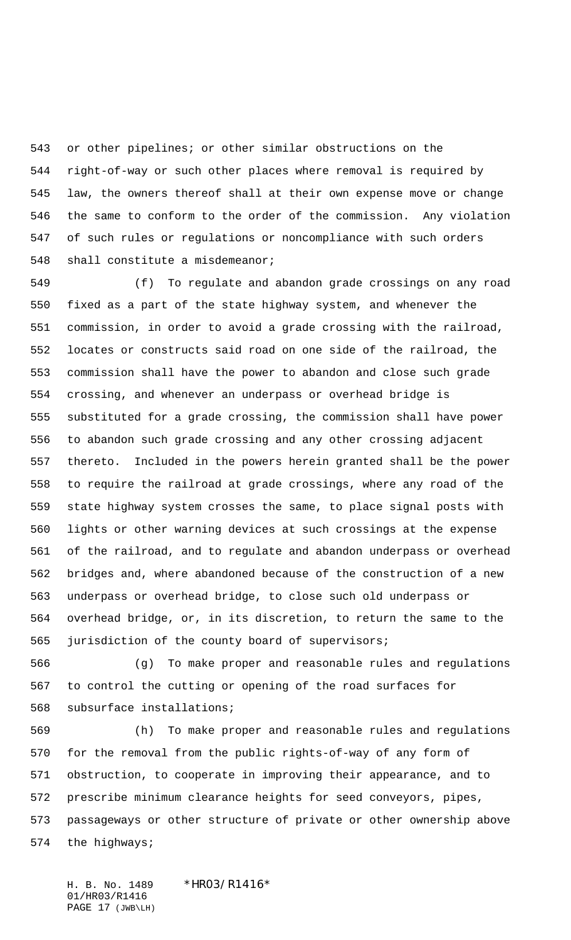or other pipelines; or other similar obstructions on the right-of-way or such other places where removal is required by law, the owners thereof shall at their own expense move or change the same to conform to the order of the commission. Any violation of such rules or regulations or noncompliance with such orders 548 shall constitute a misdemeanor;

 (f) To regulate and abandon grade crossings on any road fixed as a part of the state highway system, and whenever the commission, in order to avoid a grade crossing with the railroad, locates or constructs said road on one side of the railroad, the commission shall have the power to abandon and close such grade crossing, and whenever an underpass or overhead bridge is substituted for a grade crossing, the commission shall have power to abandon such grade crossing and any other crossing adjacent thereto. Included in the powers herein granted shall be the power to require the railroad at grade crossings, where any road of the state highway system crosses the same, to place signal posts with lights or other warning devices at such crossings at the expense of the railroad, and to regulate and abandon underpass or overhead bridges and, where abandoned because of the construction of a new underpass or overhead bridge, to close such old underpass or overhead bridge, or, in its discretion, to return the same to the jurisdiction of the county board of supervisors;

 (g) To make proper and reasonable rules and regulations to control the cutting or opening of the road surfaces for subsurface installations;

 (h) To make proper and reasonable rules and regulations for the removal from the public rights-of-way of any form of obstruction, to cooperate in improving their appearance, and to prescribe minimum clearance heights for seed conveyors, pipes, passageways or other structure of private or other ownership above the highways;

H. B. No. 1489 \*HRO3/R1416\* 01/HR03/R1416 PAGE 17 (JWB\LH)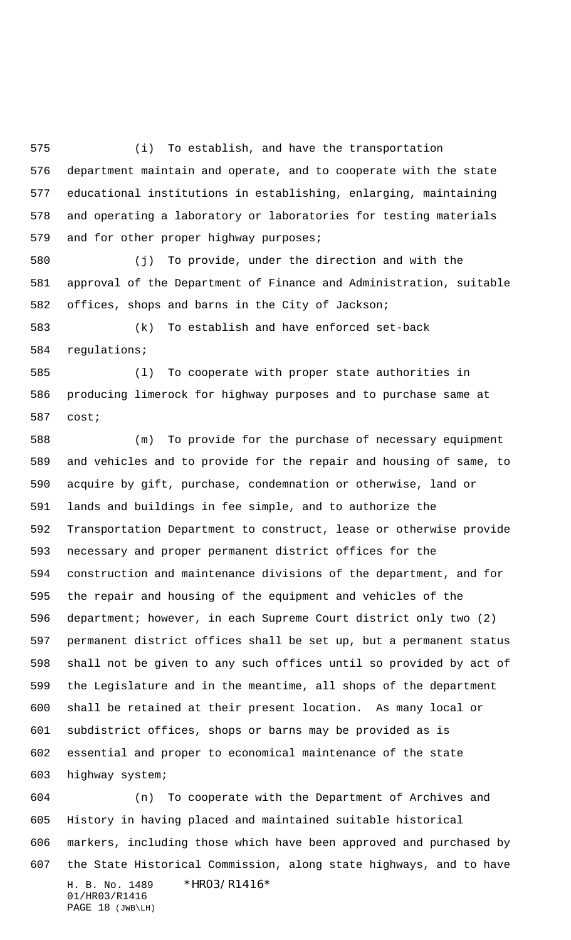(i) To establish, and have the transportation department maintain and operate, and to cooperate with the state educational institutions in establishing, enlarging, maintaining and operating a laboratory or laboratories for testing materials 579 and for other proper highway purposes;

 (j) To provide, under the direction and with the approval of the Department of Finance and Administration, suitable offices, shops and barns in the City of Jackson;

 (k) To establish and have enforced set-back regulations;

 (l) To cooperate with proper state authorities in producing limerock for highway purposes and to purchase same at cost;

 (m) To provide for the purchase of necessary equipment and vehicles and to provide for the repair and housing of same, to acquire by gift, purchase, condemnation or otherwise, land or lands and buildings in fee simple, and to authorize the Transportation Department to construct, lease or otherwise provide necessary and proper permanent district offices for the construction and maintenance divisions of the department, and for the repair and housing of the equipment and vehicles of the department; however, in each Supreme Court district only two (2) permanent district offices shall be set up, but a permanent status shall not be given to any such offices until so provided by act of the Legislature and in the meantime, all shops of the department shall be retained at their present location. As many local or subdistrict offices, shops or barns may be provided as is essential and proper to economical maintenance of the state highway system;

H. B. No. 1489 \*HR03/R1416\* 01/HR03/R1416 PAGE 18 (JWB\LH) (n) To cooperate with the Department of Archives and History in having placed and maintained suitable historical markers, including those which have been approved and purchased by the State Historical Commission, along state highways, and to have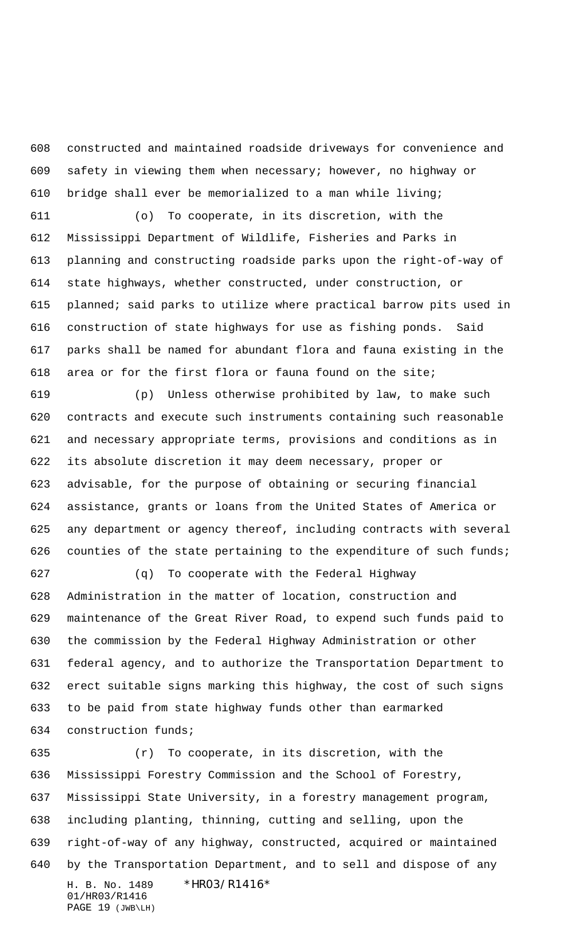constructed and maintained roadside driveways for convenience and safety in viewing them when necessary; however, no highway or bridge shall ever be memorialized to a man while living;

 (o) To cooperate, in its discretion, with the Mississippi Department of Wildlife, Fisheries and Parks in planning and constructing roadside parks upon the right-of-way of state highways, whether constructed, under construction, or planned; said parks to utilize where practical barrow pits used in construction of state highways for use as fishing ponds. Said parks shall be named for abundant flora and fauna existing in the area or for the first flora or fauna found on the site;

 (p) Unless otherwise prohibited by law, to make such contracts and execute such instruments containing such reasonable and necessary appropriate terms, provisions and conditions as in its absolute discretion it may deem necessary, proper or advisable, for the purpose of obtaining or securing financial assistance, grants or loans from the United States of America or any department or agency thereof, including contracts with several 626 counties of the state pertaining to the expenditure of such funds;

 (q) To cooperate with the Federal Highway Administration in the matter of location, construction and maintenance of the Great River Road, to expend such funds paid to the commission by the Federal Highway Administration or other federal agency, and to authorize the Transportation Department to erect suitable signs marking this highway, the cost of such signs to be paid from state highway funds other than earmarked construction funds;

H. B. No. 1489 \* HRO3/R1416\* 01/HR03/R1416 PAGE 19 (JWB\LH) (r) To cooperate, in its discretion, with the Mississippi Forestry Commission and the School of Forestry, Mississippi State University, in a forestry management program, including planting, thinning, cutting and selling, upon the right-of-way of any highway, constructed, acquired or maintained by the Transportation Department, and to sell and dispose of any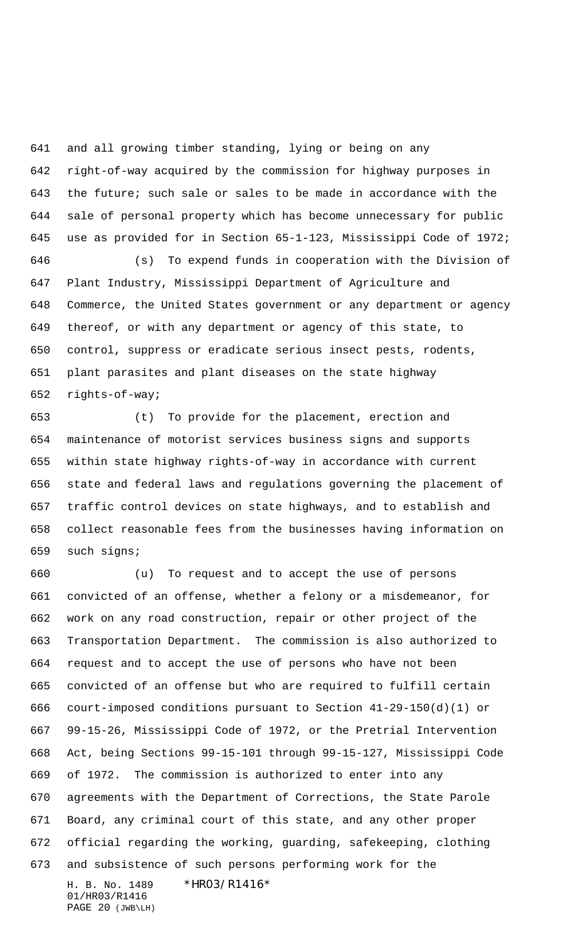and all growing timber standing, lying or being on any right-of-way acquired by the commission for highway purposes in the future; such sale or sales to be made in accordance with the sale of personal property which has become unnecessary for public use as provided for in Section 65-1-123, Mississippi Code of 1972;

 (s) To expend funds in cooperation with the Division of Plant Industry, Mississippi Department of Agriculture and Commerce, the United States government or any department or agency thereof, or with any department or agency of this state, to control, suppress or eradicate serious insect pests, rodents, plant parasites and plant diseases on the state highway rights-of-way;

 (t) To provide for the placement, erection and maintenance of motorist services business signs and supports within state highway rights-of-way in accordance with current state and federal laws and regulations governing the placement of traffic control devices on state highways, and to establish and collect reasonable fees from the businesses having information on such signs;

H. B. No. 1489 \* HRO3/R1416\* (u) To request and to accept the use of persons convicted of an offense, whether a felony or a misdemeanor, for work on any road construction, repair or other project of the Transportation Department. The commission is also authorized to request and to accept the use of persons who have not been convicted of an offense but who are required to fulfill certain court-imposed conditions pursuant to Section 41-29-150(d)(1) or 99-15-26, Mississippi Code of 1972, or the Pretrial Intervention Act, being Sections 99-15-101 through 99-15-127, Mississippi Code of 1972. The commission is authorized to enter into any agreements with the Department of Corrections, the State Parole Board, any criminal court of this state, and any other proper official regarding the working, guarding, safekeeping, clothing and subsistence of such persons performing work for the

01/HR03/R1416 PAGE 20 (JWB\LH)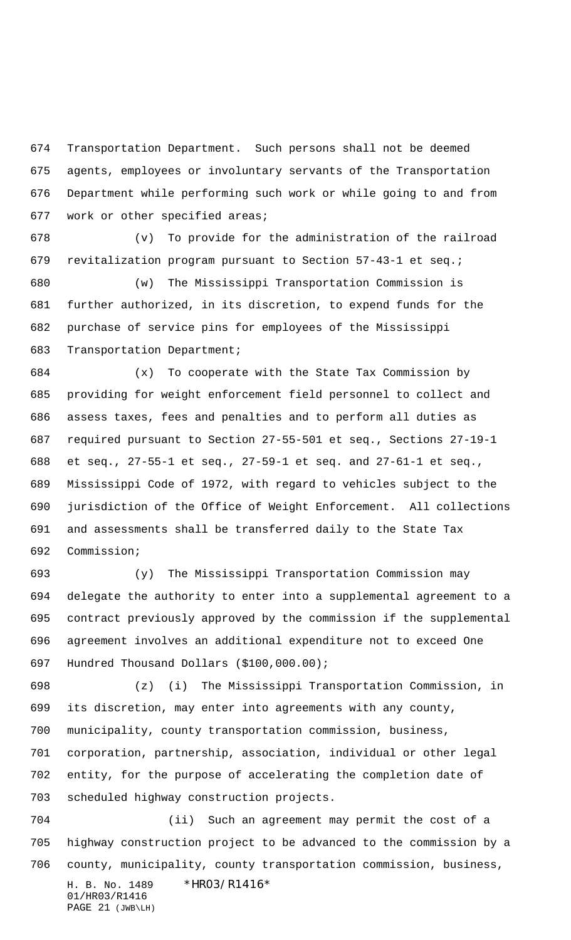Transportation Department. Such persons shall not be deemed agents, employees or involuntary servants of the Transportation Department while performing such work or while going to and from work or other specified areas;

 (v) To provide for the administration of the railroad revitalization program pursuant to Section 57-43-1 et seq.;

 (w) The Mississippi Transportation Commission is further authorized, in its discretion, to expend funds for the purchase of service pins for employees of the Mississippi Transportation Department;

 (x) To cooperate with the State Tax Commission by providing for weight enforcement field personnel to collect and assess taxes, fees and penalties and to perform all duties as required pursuant to Section 27-55-501 et seq., Sections 27-19-1 et seq., 27-55-1 et seq., 27-59-1 et seq. and 27-61-1 et seq., Mississippi Code of 1972, with regard to vehicles subject to the jurisdiction of the Office of Weight Enforcement. All collections and assessments shall be transferred daily to the State Tax Commission;

 (y) The Mississippi Transportation Commission may delegate the authority to enter into a supplemental agreement to a contract previously approved by the commission if the supplemental agreement involves an additional expenditure not to exceed One Hundred Thousand Dollars (\$100,000.00);

 (z) (i) The Mississippi Transportation Commission, in its discretion, may enter into agreements with any county, municipality, county transportation commission, business, corporation, partnership, association, individual or other legal entity, for the purpose of accelerating the completion date of scheduled highway construction projects.

H. B. No. 1489 \*HR03/R1416\* 01/HR03/R1416 (ii) Such an agreement may permit the cost of a highway construction project to be advanced to the commission by a county, municipality, county transportation commission, business,

```
PAGE 21 (JWB\LH)
```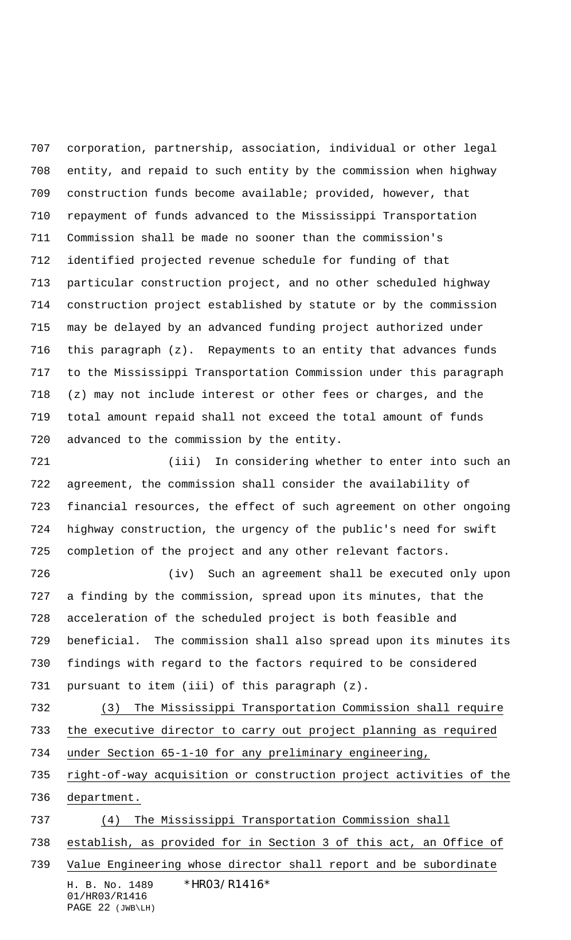corporation, partnership, association, individual or other legal entity, and repaid to such entity by the commission when highway construction funds become available; provided, however, that repayment of funds advanced to the Mississippi Transportation Commission shall be made no sooner than the commission's identified projected revenue schedule for funding of that particular construction project, and no other scheduled highway construction project established by statute or by the commission may be delayed by an advanced funding project authorized under this paragraph (z). Repayments to an entity that advances funds to the Mississippi Transportation Commission under this paragraph (z) may not include interest or other fees or charges, and the total amount repaid shall not exceed the total amount of funds advanced to the commission by the entity.

 (iii) In considering whether to enter into such an agreement, the commission shall consider the availability of financial resources, the effect of such agreement on other ongoing highway construction, the urgency of the public's need for swift completion of the project and any other relevant factors.

 (iv) Such an agreement shall be executed only upon a finding by the commission, spread upon its minutes, that the acceleration of the scheduled project is both feasible and beneficial. The commission shall also spread upon its minutes its findings with regard to the factors required to be considered pursuant to item (iii) of this paragraph (z).

 (3) The Mississippi Transportation Commission shall require the executive director to carry out project planning as required under Section 65-1-10 for any preliminary engineering,

 right-of-way acquisition or construction project activities of the department.

 (4) The Mississippi Transportation Commission shall establish, as provided for in Section 3 of this act, an Office of

H. B. No. 1489 \* HRO3/R1416\* 01/HR03/R1416 Value Engineering whose director shall report and be subordinate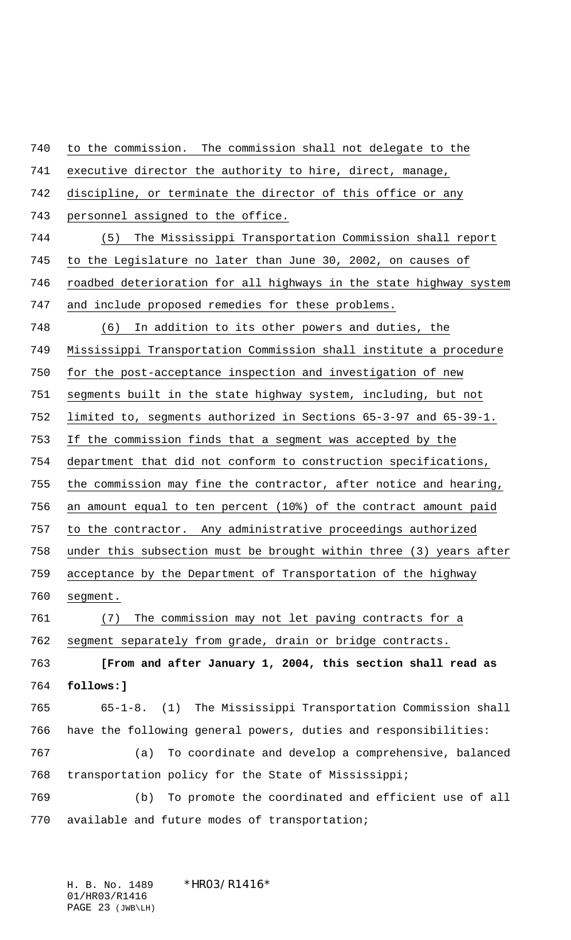to the commission. The commission shall not delegate to the executive director the authority to hire, direct, manage, discipline, or terminate the director of this office or any 743 personnel assigned to the office. (5) The Mississippi Transportation Commission shall report to the Legislature no later than June 30, 2002, on causes of roadbed deterioration for all highways in the state highway system and include proposed remedies for these problems. (6) In addition to its other powers and duties, the Mississippi Transportation Commission shall institute a procedure for the post-acceptance inspection and investigation of new segments built in the state highway system, including, but not limited to, segments authorized in Sections 65-3-97 and 65-39-1. If the commission finds that a segment was accepted by the department that did not conform to construction specifications, the commission may fine the contractor, after notice and hearing, an amount equal to ten percent (10%) of the contract amount paid to the contractor. Any administrative proceedings authorized under this subsection must be brought within three (3) years after acceptance by the Department of Transportation of the highway segment. (7) The commission may not let paving contracts for a segment separately from grade, drain or bridge contracts. **[From and after January 1, 2004, this section shall read as follows:]** 65-1-8. (1) The Mississippi Transportation Commission shall have the following general powers, duties and responsibilities: (a) To coordinate and develop a comprehensive, balanced transportation policy for the State of Mississippi; (b) To promote the coordinated and efficient use of all available and future modes of transportation;

H. B. No. 1489 \* HRO3/R1416\* 01/HR03/R1416 PAGE 23 (JWB\LH)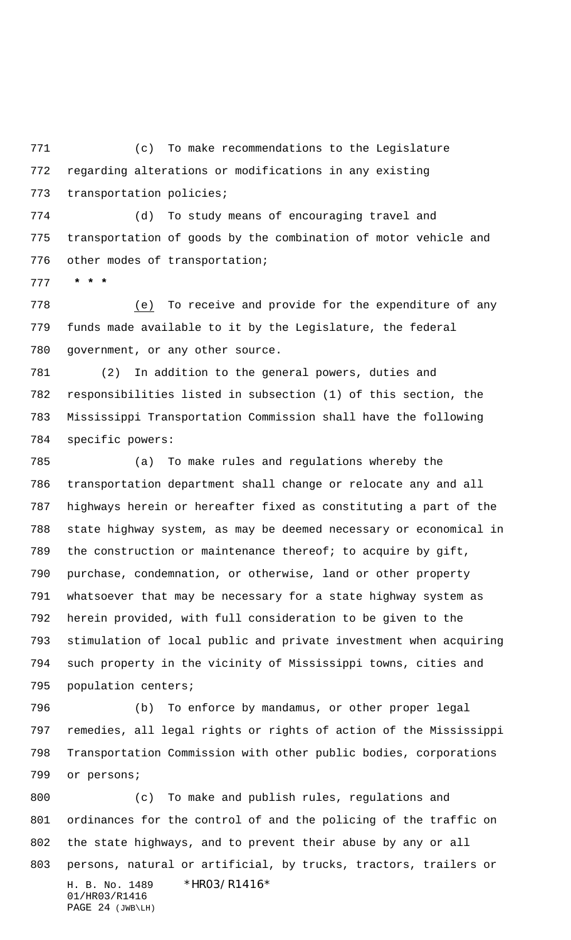(c) To make recommendations to the Legislature regarding alterations or modifications in any existing transportation policies;

 (d) To study means of encouraging travel and transportation of goods by the combination of motor vehicle and other modes of transportation;

 **\* \* \***

 (e) To receive and provide for the expenditure of any funds made available to it by the Legislature, the federal government, or any other source.

 (2) In addition to the general powers, duties and responsibilities listed in subsection (1) of this section, the Mississippi Transportation Commission shall have the following specific powers:

 (a) To make rules and regulations whereby the transportation department shall change or relocate any and all highways herein or hereafter fixed as constituting a part of the state highway system, as may be deemed necessary or economical in 789 the construction or maintenance thereof; to acquire by gift, purchase, condemnation, or otherwise, land or other property whatsoever that may be necessary for a state highway system as herein provided, with full consideration to be given to the stimulation of local public and private investment when acquiring such property in the vicinity of Mississippi towns, cities and population centers;

 (b) To enforce by mandamus, or other proper legal remedies, all legal rights or rights of action of the Mississippi Transportation Commission with other public bodies, corporations or persons;

H. B. No. 1489 \*HR03/R1416\* 01/HR03/R1416 PAGE 24 (JWB\LH) (c) To make and publish rules, regulations and ordinances for the control of and the policing of the traffic on the state highways, and to prevent their abuse by any or all persons, natural or artificial, by trucks, tractors, trailers or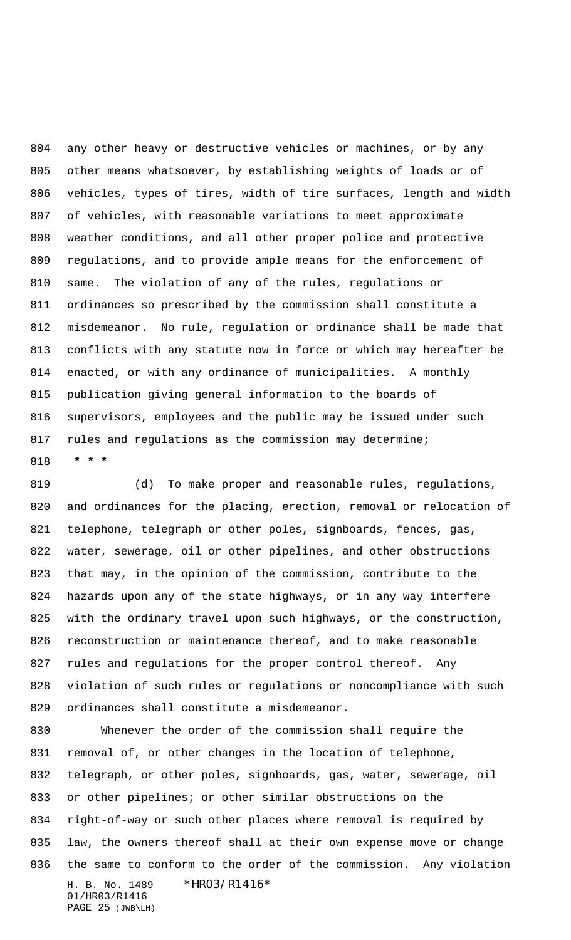any other heavy or destructive vehicles or machines, or by any other means whatsoever, by establishing weights of loads or of vehicles, types of tires, width of tire surfaces, length and width of vehicles, with reasonable variations to meet approximate weather conditions, and all other proper police and protective regulations, and to provide ample means for the enforcement of same. The violation of any of the rules, regulations or ordinances so prescribed by the commission shall constitute a misdemeanor. No rule, regulation or ordinance shall be made that conflicts with any statute now in force or which may hereafter be enacted, or with any ordinance of municipalities. A monthly publication giving general information to the boards of supervisors, employees and the public may be issued under such 817 rules and regulations as the commission may determine;  **\* \* \***

819 (d) To make proper and reasonable rules, regulations, and ordinances for the placing, erection, removal or relocation of telephone, telegraph or other poles, signboards, fences, gas, water, sewerage, oil or other pipelines, and other obstructions that may, in the opinion of the commission, contribute to the hazards upon any of the state highways, or in any way interfere with the ordinary travel upon such highways, or the construction, reconstruction or maintenance thereof, and to make reasonable rules and regulations for the proper control thereof. Any violation of such rules or regulations or noncompliance with such ordinances shall constitute a misdemeanor.

H. B. No. 1489 \* HRO3/R1416\* 01/HR03/R1416 Whenever the order of the commission shall require the removal of, or other changes in the location of telephone, telegraph, or other poles, signboards, gas, water, sewerage, oil or other pipelines; or other similar obstructions on the right-of-way or such other places where removal is required by law, the owners thereof shall at their own expense move or change the same to conform to the order of the commission. Any violation

PAGE 25 (JWB\LH)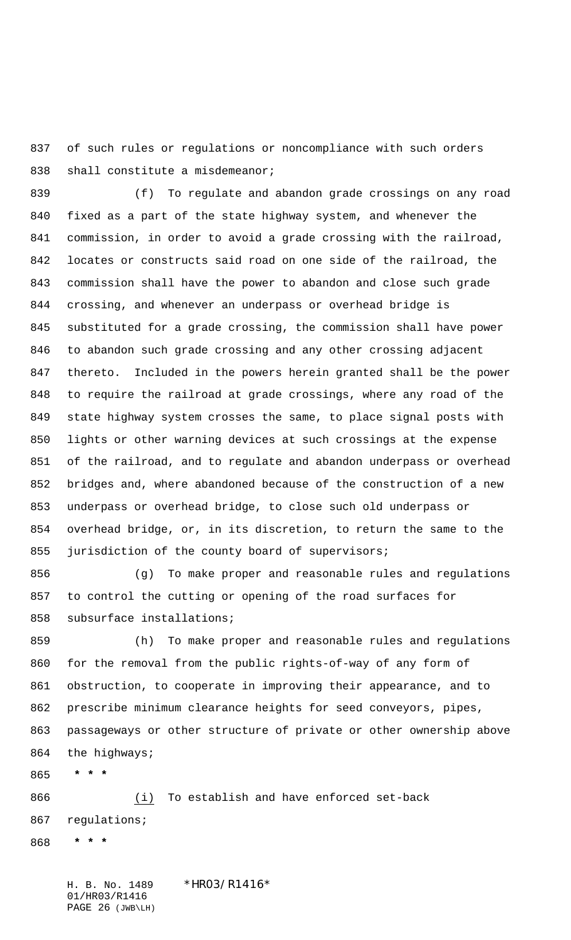of such rules or regulations or noncompliance with such orders 838 shall constitute a misdemeanor;

 (f) To regulate and abandon grade crossings on any road fixed as a part of the state highway system, and whenever the commission, in order to avoid a grade crossing with the railroad, locates or constructs said road on one side of the railroad, the commission shall have the power to abandon and close such grade crossing, and whenever an underpass or overhead bridge is substituted for a grade crossing, the commission shall have power to abandon such grade crossing and any other crossing adjacent thereto. Included in the powers herein granted shall be the power to require the railroad at grade crossings, where any road of the state highway system crosses the same, to place signal posts with lights or other warning devices at such crossings at the expense of the railroad, and to regulate and abandon underpass or overhead bridges and, where abandoned because of the construction of a new underpass or overhead bridge, to close such old underpass or overhead bridge, or, in its discretion, to return the same to the 855 jurisdiction of the county board of supervisors;

 (g) To make proper and reasonable rules and regulations to control the cutting or opening of the road surfaces for subsurface installations;

 (h) To make proper and reasonable rules and regulations for the removal from the public rights-of-way of any form of obstruction, to cooperate in improving their appearance, and to prescribe minimum clearance heights for seed conveyors, pipes, passageways or other structure of private or other ownership above the highways;

 **\* \* \***

 (i) To establish and have enforced set-back regulations;

 **\* \* \***

H. B. No. 1489 \*HRO3/R1416\* 01/HR03/R1416 PAGE 26 (JWB\LH)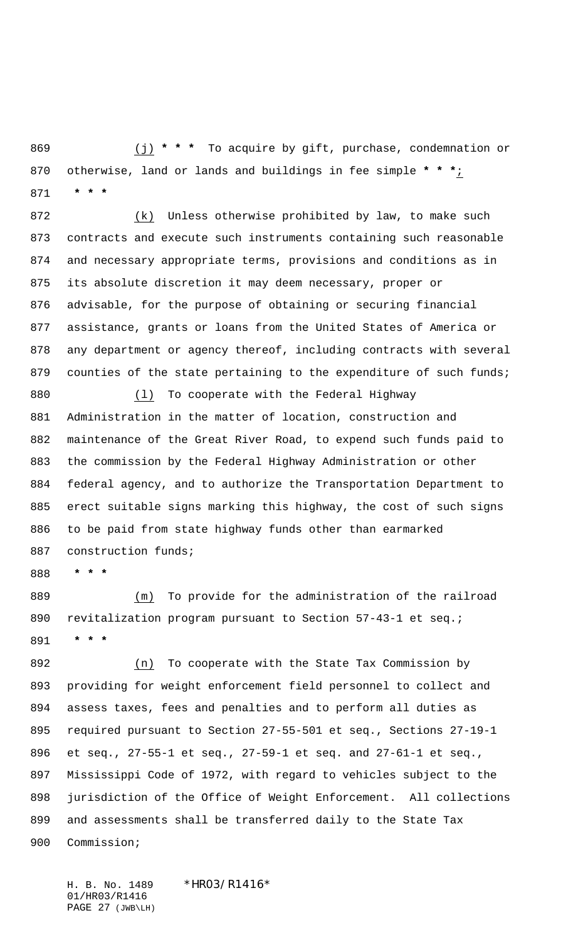(j) **\* \* \*** To acquire by gift, purchase, condemnation or otherwise, land or lands and buildings in fee simple **\* \* \***;  **\* \* \***

 (k) Unless otherwise prohibited by law, to make such contracts and execute such instruments containing such reasonable and necessary appropriate terms, provisions and conditions as in its absolute discretion it may deem necessary, proper or advisable, for the purpose of obtaining or securing financial assistance, grants or loans from the United States of America or any department or agency thereof, including contracts with several 879 counties of the state pertaining to the expenditure of such funds;

 (l) To cooperate with the Federal Highway Administration in the matter of location, construction and maintenance of the Great River Road, to expend such funds paid to the commission by the Federal Highway Administration or other federal agency, and to authorize the Transportation Department to erect suitable signs marking this highway, the cost of such signs to be paid from state highway funds other than earmarked 887 construction funds;

 **\* \* \***

 (m) To provide for the administration of the railroad 890 revitalization program pursuant to Section 57-43-1 et seq.;  **\* \* \***

 (n) To cooperate with the State Tax Commission by providing for weight enforcement field personnel to collect and assess taxes, fees and penalties and to perform all duties as required pursuant to Section 27-55-501 et seq., Sections 27-19-1 et seq., 27-55-1 et seq., 27-59-1 et seq. and 27-61-1 et seq., Mississippi Code of 1972, with regard to vehicles subject to the jurisdiction of the Office of Weight Enforcement. All collections and assessments shall be transferred daily to the State Tax Commission;

H. B. No. 1489 \*HRO3/R1416\* 01/HR03/R1416 PAGE 27 (JWB\LH)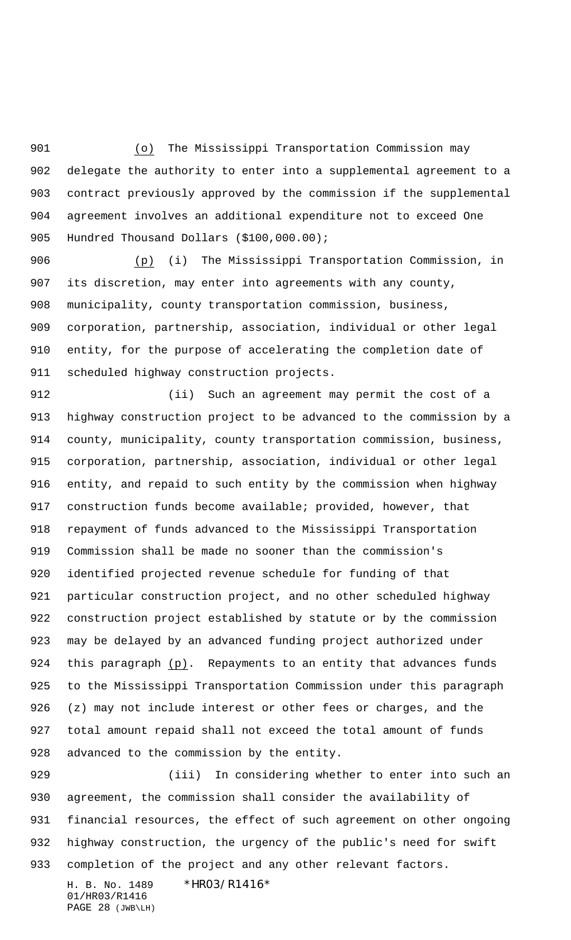(o) The Mississippi Transportation Commission may delegate the authority to enter into a supplemental agreement to a contract previously approved by the commission if the supplemental agreement involves an additional expenditure not to exceed One 905 Hundred Thousand Dollars (\$100,000.00);

 (p) (i) The Mississippi Transportation Commission, in its discretion, may enter into agreements with any county, municipality, county transportation commission, business, corporation, partnership, association, individual or other legal entity, for the purpose of accelerating the completion date of scheduled highway construction projects.

 (ii) Such an agreement may permit the cost of a highway construction project to be advanced to the commission by a county, municipality, county transportation commission, business, corporation, partnership, association, individual or other legal entity, and repaid to such entity by the commission when highway construction funds become available; provided, however, that repayment of funds advanced to the Mississippi Transportation Commission shall be made no sooner than the commission's identified projected revenue schedule for funding of that particular construction project, and no other scheduled highway construction project established by statute or by the commission may be delayed by an advanced funding project authorized under this paragraph (p). Repayments to an entity that advances funds to the Mississippi Transportation Commission under this paragraph (z) may not include interest or other fees or charges, and the total amount repaid shall not exceed the total amount of funds advanced to the commission by the entity.

 (iii) In considering whether to enter into such an agreement, the commission shall consider the availability of financial resources, the effect of such agreement on other ongoing highway construction, the urgency of the public's need for swift completion of the project and any other relevant factors.

H. B. No. 1489 \* HRO3/R1416\* 01/HR03/R1416 PAGE 28 (JWB\LH)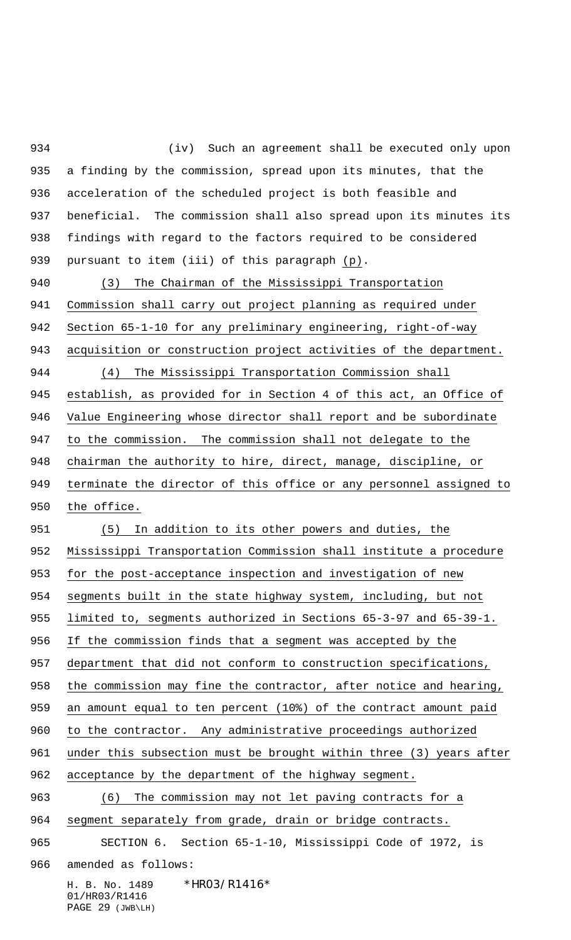H. B. No. 1489 \*HR03/R1416\* 01/HR03/R1416 PAGE 29 (JWB\LH) a finding by the commission, spread upon its minutes, that the acceleration of the scheduled project is both feasible and beneficial. The commission shall also spread upon its minutes its findings with regard to the factors required to be considered pursuant to item (iii) of this paragraph (p). (3) The Chairman of the Mississippi Transportation Commission shall carry out project planning as required under Section 65-1-10 for any preliminary engineering, right-of-way 943 acquisition or construction project activities of the department. (4) The Mississippi Transportation Commission shall establish, as provided for in Section 4 of this act, an Office of Value Engineering whose director shall report and be subordinate to the commission. The commission shall not delegate to the chairman the authority to hire, direct, manage, discipline, or terminate the director of this office or any personnel assigned to the office. (5) In addition to its other powers and duties, the Mississippi Transportation Commission shall institute a procedure for the post-acceptance inspection and investigation of new segments built in the state highway system, including, but not limited to, segments authorized in Sections 65-3-97 and 65-39-1. If the commission finds that a segment was accepted by the department that did not conform to construction specifications, 958 the commission may fine the contractor, after notice and hearing, an amount equal to ten percent (10%) of the contract amount paid to the contractor. Any administrative proceedings authorized under this subsection must be brought within three (3) years after acceptance by the department of the highway segment. (6) The commission may not let paving contracts for a segment separately from grade, drain or bridge contracts. SECTION 6. Section 65-1-10, Mississippi Code of 1972, is amended as follows:

(iv) Such an agreement shall be executed only upon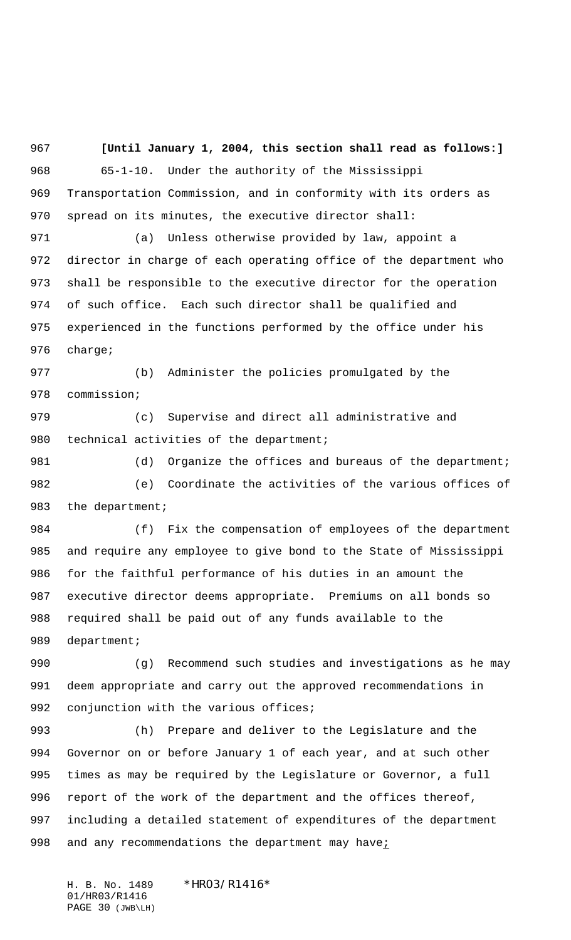**[Until January 1, 2004, this section shall read as follows:]** 65-1-10. Under the authority of the Mississippi Transportation Commission, and in conformity with its orders as spread on its minutes, the executive director shall:

 (a) Unless otherwise provided by law, appoint a director in charge of each operating office of the department who shall be responsible to the executive director for the operation of such office. Each such director shall be qualified and experienced in the functions performed by the office under his charge;

 (b) Administer the policies promulgated by the commission;

 (c) Supervise and direct all administrative and 980 technical activities of the department;

981 (d) Organize the offices and bureaus of the department; (e) Coordinate the activities of the various offices of 983 the department;

 (f) Fix the compensation of employees of the department and require any employee to give bond to the State of Mississippi for the faithful performance of his duties in an amount the executive director deems appropriate. Premiums on all bonds so required shall be paid out of any funds available to the 989 department;

 (g) Recommend such studies and investigations as he may deem appropriate and carry out the approved recommendations in 992 conjunction with the various offices;

 (h) Prepare and deliver to the Legislature and the Governor on or before January 1 of each year, and at such other times as may be required by the Legislature or Governor, a full report of the work of the department and the offices thereof, including a detailed statement of expenditures of the department 998 and any recommendations the department may have;

H. B. No. 1489 \*HRO3/R1416\* 01/HR03/R1416 PAGE 30 (JWB\LH)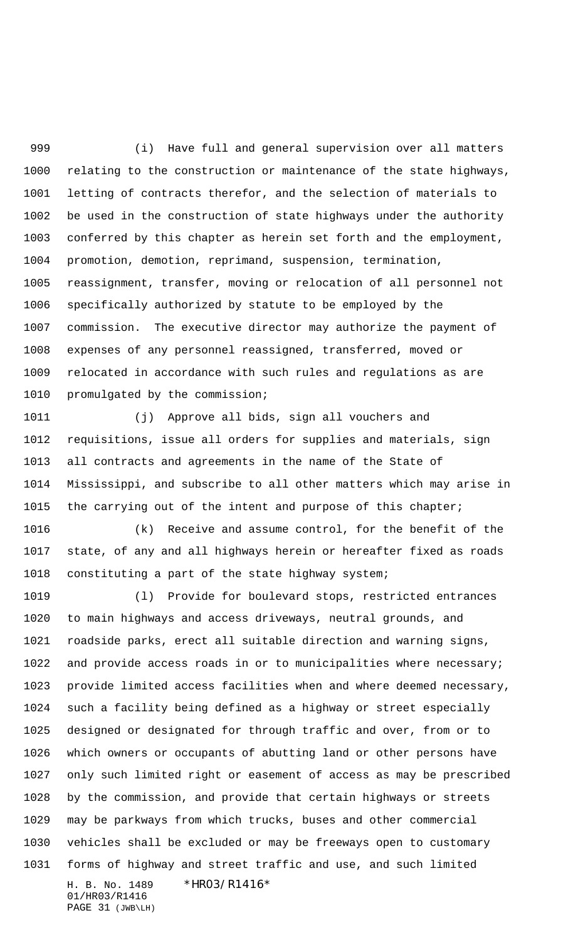(i) Have full and general supervision over all matters relating to the construction or maintenance of the state highways, letting of contracts therefor, and the selection of materials to be used in the construction of state highways under the authority conferred by this chapter as herein set forth and the employment, promotion, demotion, reprimand, suspension, termination, reassignment, transfer, moving or relocation of all personnel not specifically authorized by statute to be employed by the commission. The executive director may authorize the payment of expenses of any personnel reassigned, transferred, moved or relocated in accordance with such rules and regulations as are promulgated by the commission;

 (j) Approve all bids, sign all vouchers and requisitions, issue all orders for supplies and materials, sign all contracts and agreements in the name of the State of Mississippi, and subscribe to all other matters which may arise in the carrying out of the intent and purpose of this chapter;

 (k) Receive and assume control, for the benefit of the state, of any and all highways herein or hereafter fixed as roads constituting a part of the state highway system;

H. B. No. 1489 \*HR03/R1416\* 01/HR03/R1416 (l) Provide for boulevard stops, restricted entrances to main highways and access driveways, neutral grounds, and roadside parks, erect all suitable direction and warning signs, and provide access roads in or to municipalities where necessary; provide limited access facilities when and where deemed necessary, such a facility being defined as a highway or street especially designed or designated for through traffic and over, from or to which owners or occupants of abutting land or other persons have only such limited right or easement of access as may be prescribed by the commission, and provide that certain highways or streets may be parkways from which trucks, buses and other commercial vehicles shall be excluded or may be freeways open to customary forms of highway and street traffic and use, and such limited

PAGE 31 (JWB\LH)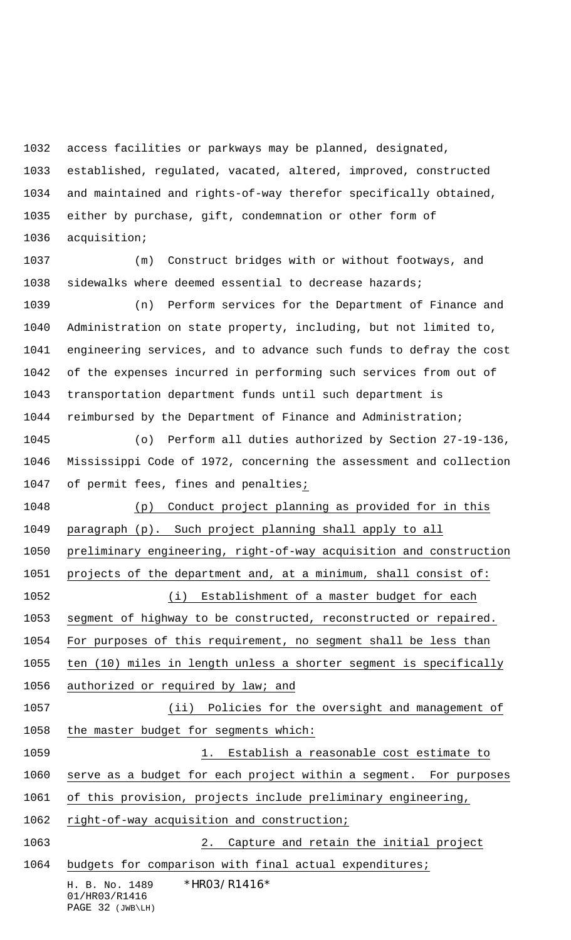access facilities or parkways may be planned, designated,

 established, regulated, vacated, altered, improved, constructed and maintained and rights-of-way therefor specifically obtained, either by purchase, gift, condemnation or other form of acquisition;

 (m) Construct bridges with or without footways, and sidewalks where deemed essential to decrease hazards;

 (n) Perform services for the Department of Finance and Administration on state property, including, but not limited to, engineering services, and to advance such funds to defray the cost of the expenses incurred in performing such services from out of transportation department funds until such department is reimbursed by the Department of Finance and Administration;

 (o) Perform all duties authorized by Section 27-19-136, Mississippi Code of 1972, concerning the assessment and collection of permit fees, fines and penalties;

 (p) Conduct project planning as provided for in this paragraph (p). Such project planning shall apply to all preliminary engineering, right-of-way acquisition and construction projects of the department and, at a minimum, shall consist of: (i) Establishment of a master budget for each segment of highway to be constructed, reconstructed or repaired. For purposes of this requirement, no segment shall be less than ten (10) miles in length unless a shorter segment is specifically

1056 authorized or required by law; and

 (ii) Policies for the oversight and management of the master budget for segments which:

1059 1. Establish a reasonable cost estimate to serve as a budget for each project within a segment. For purposes of this provision, projects include preliminary engineering,

right-of-way acquisition and construction;

2. Capture and retain the initial project

budgets for comparison with final actual expenditures;

H. B. No. 1489 \* HRO3/R1416\* 01/HR03/R1416

PAGE 32 (JWB\LH)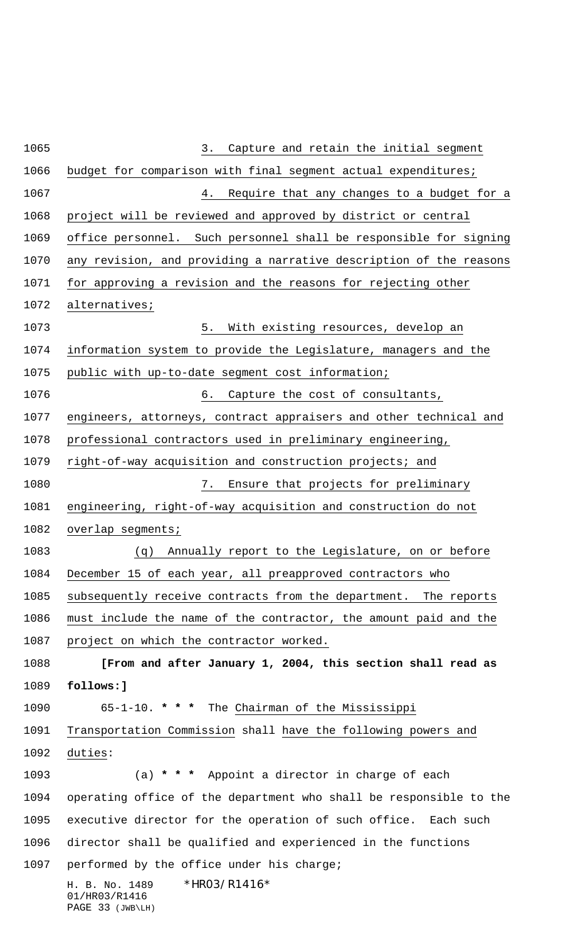H. B. No. 1489 \*HR03/R1416\* 01/HR03/R1416 PAGE 33 (JWB\LH) 3. Capture and retain the initial segment budget for comparison with final segment actual expenditures; 4. Require that any changes to a budget for a project will be reviewed and approved by district or central office personnel. Such personnel shall be responsible for signing any revision, and providing a narrative description of the reasons for approving a revision and the reasons for rejecting other alternatives; 5. With existing resources, develop an information system to provide the Legislature, managers and the public with up-to-date segment cost information; 1076 6. Capture the cost of consultants, engineers, attorneys, contract appraisers and other technical and professional contractors used in preliminary engineering, right-of-way acquisition and construction projects; and 7. Ensure that projects for preliminary engineering, right-of-way acquisition and construction do not 1082 overlap segments; (q) Annually report to the Legislature, on or before December 15 of each year, all preapproved contractors who subsequently receive contracts from the department. The reports must include the name of the contractor, the amount paid and the project on which the contractor worked. **[From and after January 1, 2004, this section shall read as follows:]** 65-1-10. **\* \* \*** The Chairman of the Mississippi Transportation Commission shall have the following powers and duties: (a) **\* \* \*** Appoint a director in charge of each operating office of the department who shall be responsible to the executive director for the operation of such office. Each such director shall be qualified and experienced in the functions performed by the office under his charge;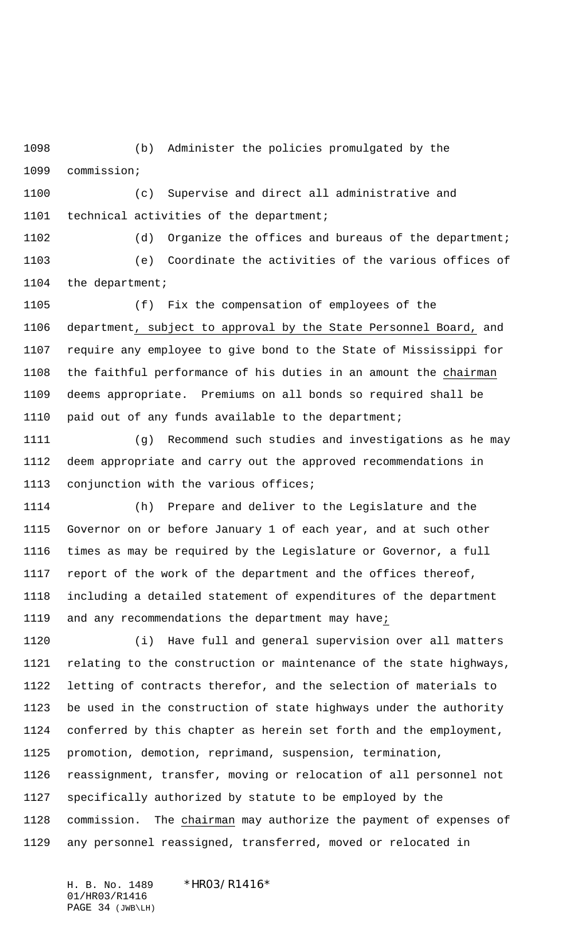(b) Administer the policies promulgated by the commission;

 (c) Supervise and direct all administrative and 1101 technical activities of the department;

 (d) Organize the offices and bureaus of the department; (e) Coordinate the activities of the various offices of the department;

 (f) Fix the compensation of employees of the department, subject to approval by the State Personnel Board, and require any employee to give bond to the State of Mississippi for the faithful performance of his duties in an amount the chairman deems appropriate. Premiums on all bonds so required shall be paid out of any funds available to the department;

 (g) Recommend such studies and investigations as he may deem appropriate and carry out the approved recommendations in conjunction with the various offices;

 (h) Prepare and deliver to the Legislature and the Governor on or before January 1 of each year, and at such other times as may be required by the Legislature or Governor, a full report of the work of the department and the offices thereof, including a detailed statement of expenditures of the department and any recommendations the department may have;

 (i) Have full and general supervision over all matters relating to the construction or maintenance of the state highways, letting of contracts therefor, and the selection of materials to be used in the construction of state highways under the authority conferred by this chapter as herein set forth and the employment, promotion, demotion, reprimand, suspension, termination, reassignment, transfer, moving or relocation of all personnel not

 specifically authorized by statute to be employed by the commission. The chairman may authorize the payment of expenses of any personnel reassigned, transferred, moved or relocated in

H. B. No. 1489 \*HRO3/R1416\* 01/HR03/R1416 PAGE 34 (JWB\LH)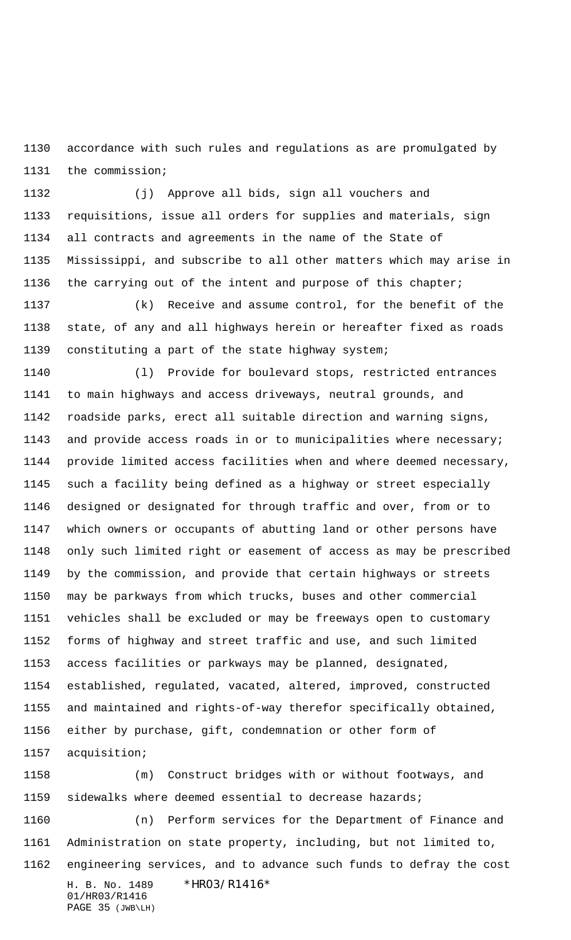accordance with such rules and regulations as are promulgated by the commission;

 (j) Approve all bids, sign all vouchers and requisitions, issue all orders for supplies and materials, sign all contracts and agreements in the name of the State of Mississippi, and subscribe to all other matters which may arise in the carrying out of the intent and purpose of this chapter;

 (k) Receive and assume control, for the benefit of the state, of any and all highways herein or hereafter fixed as roads constituting a part of the state highway system;

 (l) Provide for boulevard stops, restricted entrances to main highways and access driveways, neutral grounds, and roadside parks, erect all suitable direction and warning signs, and provide access roads in or to municipalities where necessary; provide limited access facilities when and where deemed necessary, such a facility being defined as a highway or street especially designed or designated for through traffic and over, from or to which owners or occupants of abutting land or other persons have only such limited right or easement of access as may be prescribed by the commission, and provide that certain highways or streets may be parkways from which trucks, buses and other commercial vehicles shall be excluded or may be freeways open to customary forms of highway and street traffic and use, and such limited access facilities or parkways may be planned, designated, established, regulated, vacated, altered, improved, constructed and maintained and rights-of-way therefor specifically obtained, either by purchase, gift, condemnation or other form of acquisition;

H. B. No. 1489 \*HRO3/R1416\* 01/HR03/R1416 PAGE 35 (JWB\LH) (m) Construct bridges with or without footways, and sidewalks where deemed essential to decrease hazards; (n) Perform services for the Department of Finance and Administration on state property, including, but not limited to, engineering services, and to advance such funds to defray the cost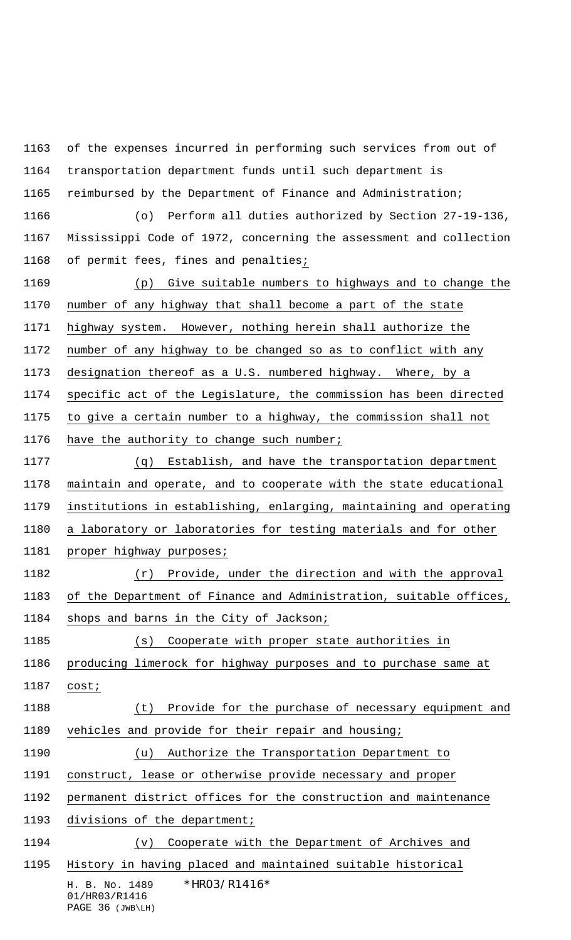H. B. No. 1489 \* HRO3/R1416\* 01/HR03/R1416 of the expenses incurred in performing such services from out of transportation department funds until such department is reimbursed by the Department of Finance and Administration; (o) Perform all duties authorized by Section 27-19-136, Mississippi Code of 1972, concerning the assessment and collection of permit fees, fines and penalties; (p) Give suitable numbers to highways and to change the number of any highway that shall become a part of the state highway system. However, nothing herein shall authorize the number of any highway to be changed so as to conflict with any designation thereof as a U.S. numbered highway. Where, by a specific act of the Legislature, the commission has been directed to give a certain number to a highway, the commission shall not have the authority to change such number; (q) Establish, and have the transportation department maintain and operate, and to cooperate with the state educational institutions in establishing, enlarging, maintaining and operating a laboratory or laboratories for testing materials and for other 1181 proper highway purposes; (r) Provide, under the direction and with the approval of the Department of Finance and Administration, suitable offices, shops and barns in the City of Jackson; (s) Cooperate with proper state authorities in producing limerock for highway purposes and to purchase same at cost; (t) Provide for the purchase of necessary equipment and vehicles and provide for their repair and housing; (u) Authorize the Transportation Department to construct, lease or otherwise provide necessary and proper permanent district offices for the construction and maintenance divisions of the department; (v) Cooperate with the Department of Archives and History in having placed and maintained suitable historical

PAGE 36 (JWB\LH)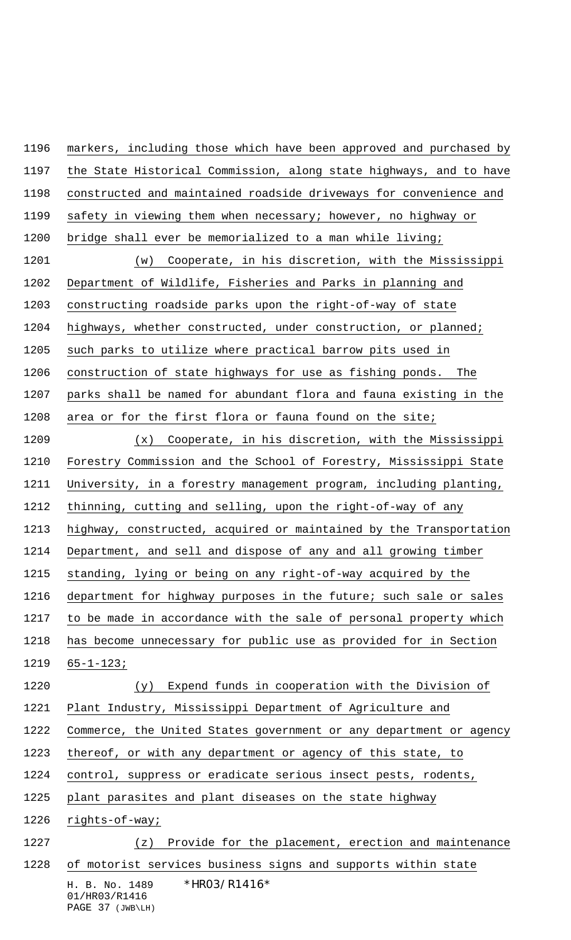H. B. No. 1489 \*HRO3/R1416\* markers, including those which have been approved and purchased by the State Historical Commission, along state highways, and to have constructed and maintained roadside driveways for convenience and 1199 safety in viewing them when necessary; however, no highway or bridge shall ever be memorialized to a man while living; (w) Cooperate, in his discretion, with the Mississippi Department of Wildlife, Fisheries and Parks in planning and constructing roadside parks upon the right-of-way of state highways, whether constructed, under construction, or planned; such parks to utilize where practical barrow pits used in construction of state highways for use as fishing ponds. The parks shall be named for abundant flora and fauna existing in the area or for the first flora or fauna found on the site; (x) Cooperate, in his discretion, with the Mississippi Forestry Commission and the School of Forestry, Mississippi State University, in a forestry management program, including planting, thinning, cutting and selling, upon the right-of-way of any highway, constructed, acquired or maintained by the Transportation Department, and sell and dispose of any and all growing timber standing, lying or being on any right-of-way acquired by the department for highway purposes in the future; such sale or sales to be made in accordance with the sale of personal property which has become unnecessary for public use as provided for in Section 65-1-123; (y) Expend funds in cooperation with the Division of Plant Industry, Mississippi Department of Agriculture and Commerce, the United States government or any department or agency thereof, or with any department or agency of this state, to control, suppress or eradicate serious insect pests, rodents, plant parasites and plant diseases on the state highway rights-of-way; (z) Provide for the placement, erection and maintenance of motorist services business signs and supports within state

01/HR03/R1416 PAGE 37 (JWB\LH)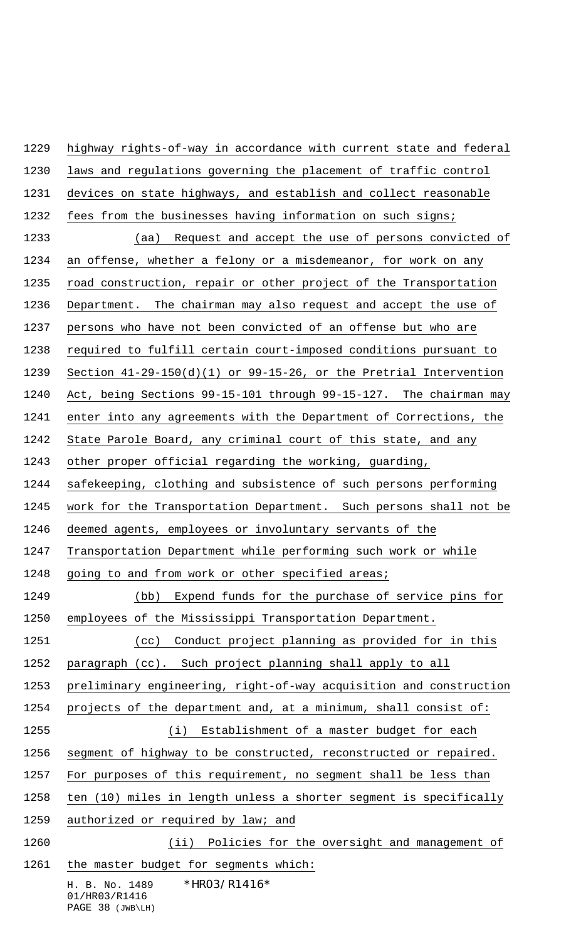highway rights-of-way in accordance with current state and federal

laws and regulations governing the placement of traffic control

devices on state highways, and establish and collect reasonable

fees from the businesses having information on such signs;

H. B. No. 1489 \*HRO3/R1416\* 01/HR03/R1416 PAGE 38 (JWB\LH) (aa) Request and accept the use of persons convicted of an offense, whether a felony or a misdemeanor, for work on any road construction, repair or other project of the Transportation Department. The chairman may also request and accept the use of persons who have not been convicted of an offense but who are required to fulfill certain court-imposed conditions pursuant to Section 41-29-150(d)(1) or 99-15-26, or the Pretrial Intervention Act, being Sections 99-15-101 through 99-15-127. The chairman may enter into any agreements with the Department of Corrections, the State Parole Board, any criminal court of this state, and any other proper official regarding the working, guarding, safekeeping, clothing and subsistence of such persons performing work for the Transportation Department. Such persons shall not be deemed agents, employees or involuntary servants of the Transportation Department while performing such work or while going to and from work or other specified areas; (bb) Expend funds for the purchase of service pins for employees of the Mississippi Transportation Department. (cc) Conduct project planning as provided for in this paragraph (cc). Such project planning shall apply to all preliminary engineering, right-of-way acquisition and construction projects of the department and, at a minimum, shall consist of: (i) Establishment of a master budget for each segment of highway to be constructed, reconstructed or repaired. For purposes of this requirement, no segment shall be less than ten (10) miles in length unless a shorter segment is specifically 1259 authorized or required by law; and 1260 (ii) Policies for the oversight and management of 1261 the master budget for segments which: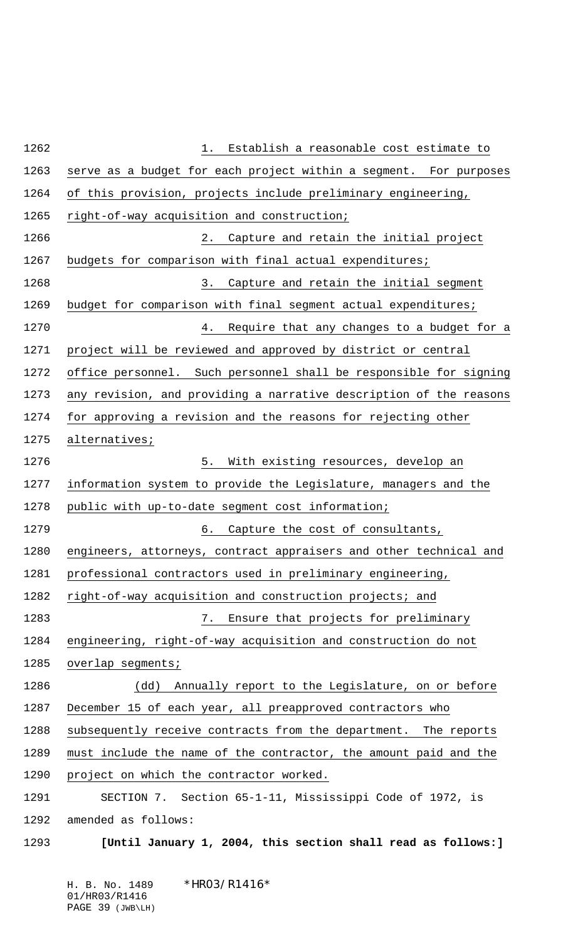| Establish a reasonable cost estimate to<br>$1$ .                   |
|--------------------------------------------------------------------|
| serve as a budget for each project within a segment. For purposes  |
| of this provision, projects include preliminary engineering,       |
| right-of-way acquisition and construction;                         |
| Capture and retain the initial project<br>$2$ .                    |
| budgets for comparison with final actual expenditures;             |
| Capture and retain the initial segment<br>3.                       |
| budget for comparison with final segment actual expenditures;      |
| Require that any changes to a budget for a<br>4.                   |
| project will be reviewed and approved by district or central       |
| office personnel. Such personnel shall be responsible for signing  |
| any revision, and providing a narrative description of the reasons |
| for approving a revision and the reasons for rejecting other       |
| alternatives;                                                      |
| 5.<br>With existing resources, develop an                          |
| information system to provide the Legislature, managers and the    |
| public with up-to-date segment cost information;                   |
| Capture the cost of consultants,<br>б.                             |
| engineers, attorneys, contract appraisers and other technical and  |
| professional contractors used in preliminary engineering,          |
| right-of-way acquisition and construction projects; and            |
| Ensure that projects for preliminary<br>7.                         |
| engineering, right-of-way acquisition and construction do not      |
| overlap segments;                                                  |
| Annually report to the Legislature, on or before<br>(dd)           |
| December 15 of each year, all preapproved contractors who          |
| subsequently receive contracts from the department. The reports    |
| must include the name of the contractor, the amount paid and the   |
| project on which the contractor worked.                            |
| SECTION 7. Section 65-1-11, Mississippi Code of 1972, is           |
| amended as follows:                                                |
| [Until January 1, 2004, this section shall read as follows:]       |

 $*$ HRO3/R1416 $*$ 01/HR03/R1416 PAGE 39 (JWB\LH)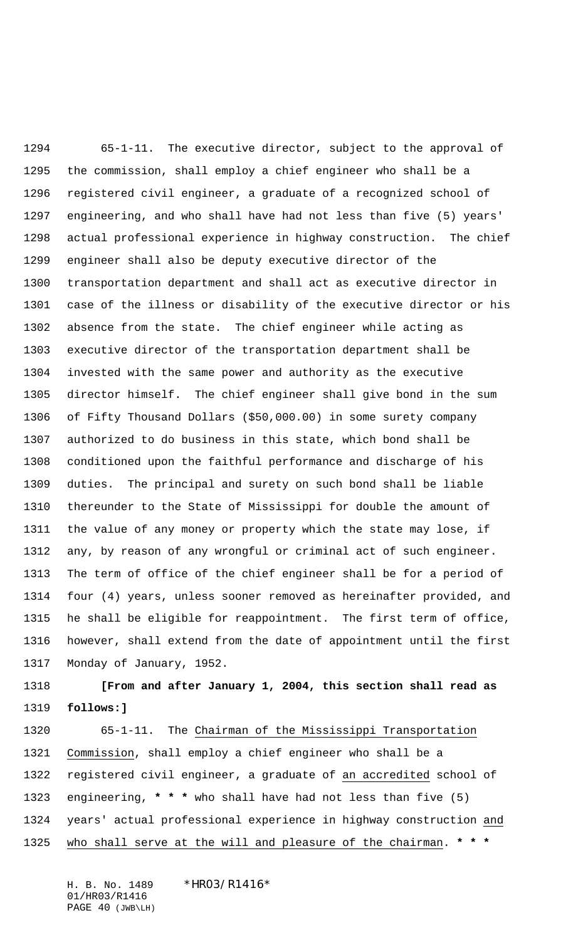65-1-11. The executive director, subject to the approval of the commission, shall employ a chief engineer who shall be a registered civil engineer, a graduate of a recognized school of engineering, and who shall have had not less than five (5) years' actual professional experience in highway construction. The chief engineer shall also be deputy executive director of the transportation department and shall act as executive director in case of the illness or disability of the executive director or his absence from the state. The chief engineer while acting as executive director of the transportation department shall be invested with the same power and authority as the executive director himself. The chief engineer shall give bond in the sum of Fifty Thousand Dollars (\$50,000.00) in some surety company authorized to do business in this state, which bond shall be conditioned upon the faithful performance and discharge of his duties. The principal and surety on such bond shall be liable thereunder to the State of Mississippi for double the amount of the value of any money or property which the state may lose, if any, by reason of any wrongful or criminal act of such engineer. The term of office of the chief engineer shall be for a period of four (4) years, unless sooner removed as hereinafter provided, and he shall be eligible for reappointment. The first term of office, however, shall extend from the date of appointment until the first Monday of January, 1952.

 **[From and after January 1, 2004, this section shall read as follows:]**

 65-1-11. The Chairman of the Mississippi Transportation Commission, shall employ a chief engineer who shall be a registered civil engineer, a graduate of an accredited school of engineering, **\* \* \*** who shall have had not less than five (5) years' actual professional experience in highway construction and who shall serve at the will and pleasure of the chairman. **\* \* \***

H. B. No. 1489 \*HRO3/R1416\* 01/HR03/R1416 PAGE 40 (JWB\LH)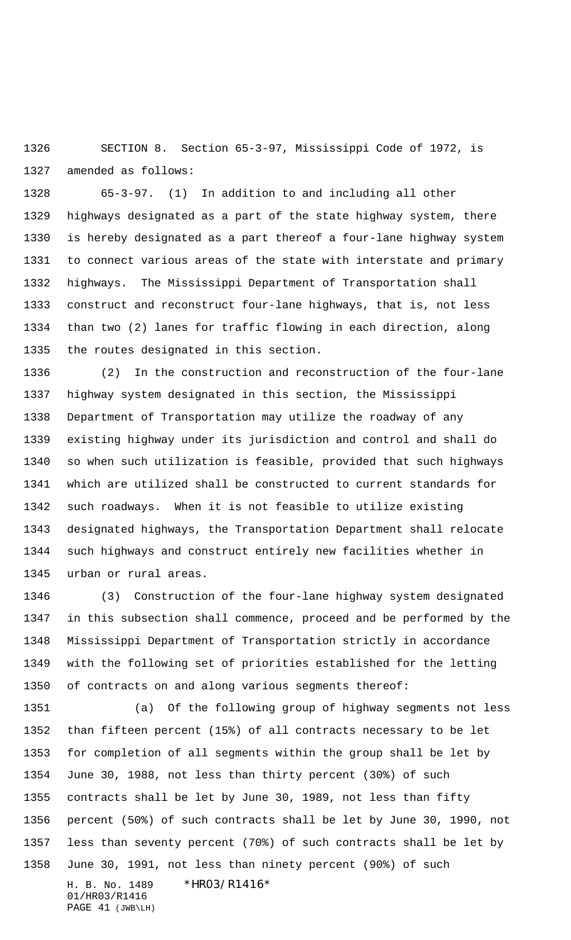SECTION 8. Section 65-3-97, Mississippi Code of 1972, is amended as follows:

 65-3-97. (1) In addition to and including all other highways designated as a part of the state highway system, there is hereby designated as a part thereof a four-lane highway system to connect various areas of the state with interstate and primary highways. The Mississippi Department of Transportation shall construct and reconstruct four-lane highways, that is, not less than two (2) lanes for traffic flowing in each direction, along the routes designated in this section.

 (2) In the construction and reconstruction of the four-lane highway system designated in this section, the Mississippi Department of Transportation may utilize the roadway of any existing highway under its jurisdiction and control and shall do so when such utilization is feasible, provided that such highways which are utilized shall be constructed to current standards for such roadways. When it is not feasible to utilize existing designated highways, the Transportation Department shall relocate such highways and construct entirely new facilities whether in urban or rural areas.

 (3) Construction of the four-lane highway system designated in this subsection shall commence, proceed and be performed by the Mississippi Department of Transportation strictly in accordance with the following set of priorities established for the letting of contracts on and along various segments thereof:

H. B. No. 1489 \*HRO3/R1416\* 01/HR03/R1416 PAGE 41 (JWB\LH) (a) Of the following group of highway segments not less than fifteen percent (15%) of all contracts necessary to be let for completion of all segments within the group shall be let by June 30, 1988, not less than thirty percent (30%) of such contracts shall be let by June 30, 1989, not less than fifty percent (50%) of such contracts shall be let by June 30, 1990, not less than seventy percent (70%) of such contracts shall be let by June 30, 1991, not less than ninety percent (90%) of such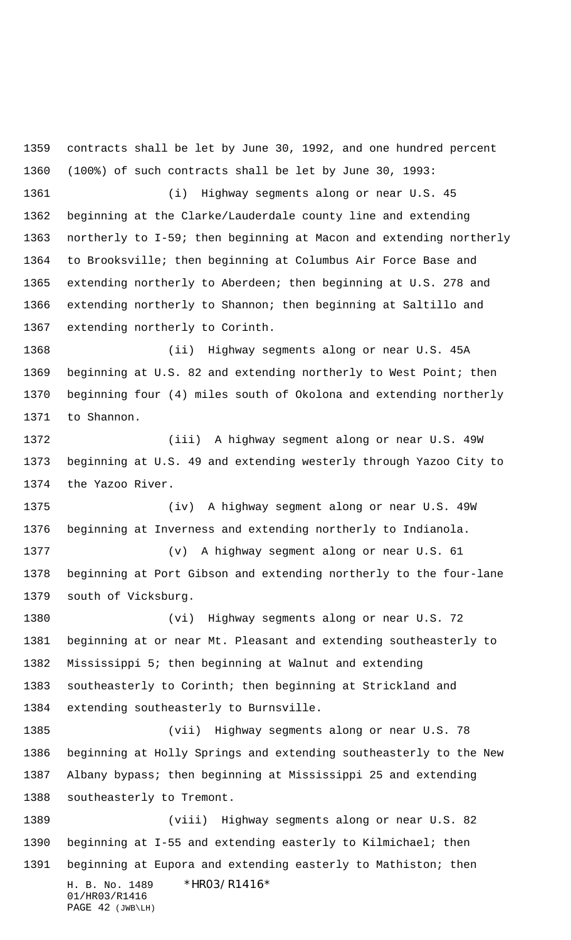H. B. No. 1489 \*HR03/R1416\* 01/HR03/R1416 PAGE 42 (JWB\LH) contracts shall be let by June 30, 1992, and one hundred percent (100%) of such contracts shall be let by June 30, 1993: (i) Highway segments along or near U.S. 45 beginning at the Clarke/Lauderdale county line and extending northerly to I-59; then beginning at Macon and extending northerly to Brooksville; then beginning at Columbus Air Force Base and extending northerly to Aberdeen; then beginning at U.S. 278 and extending northerly to Shannon; then beginning at Saltillo and extending northerly to Corinth. (ii) Highway segments along or near U.S. 45A 1369 beginning at U.S. 82 and extending northerly to West Point; then beginning four (4) miles south of Okolona and extending northerly to Shannon. (iii) A highway segment along or near U.S. 49W beginning at U.S. 49 and extending westerly through Yazoo City to the Yazoo River. (iv) A highway segment along or near U.S. 49W beginning at Inverness and extending northerly to Indianola. (v) A highway segment along or near U.S. 61 beginning at Port Gibson and extending northerly to the four-lane south of Vicksburg. (vi) Highway segments along or near U.S. 72 beginning at or near Mt. Pleasant and extending southeasterly to Mississippi 5; then beginning at Walnut and extending southeasterly to Corinth; then beginning at Strickland and extending southeasterly to Burnsville. (vii) Highway segments along or near U.S. 78 beginning at Holly Springs and extending southeasterly to the New Albany bypass; then beginning at Mississippi 25 and extending southeasterly to Tremont. (viii) Highway segments along or near U.S. 82 beginning at I-55 and extending easterly to Kilmichael; then beginning at Eupora and extending easterly to Mathiston; then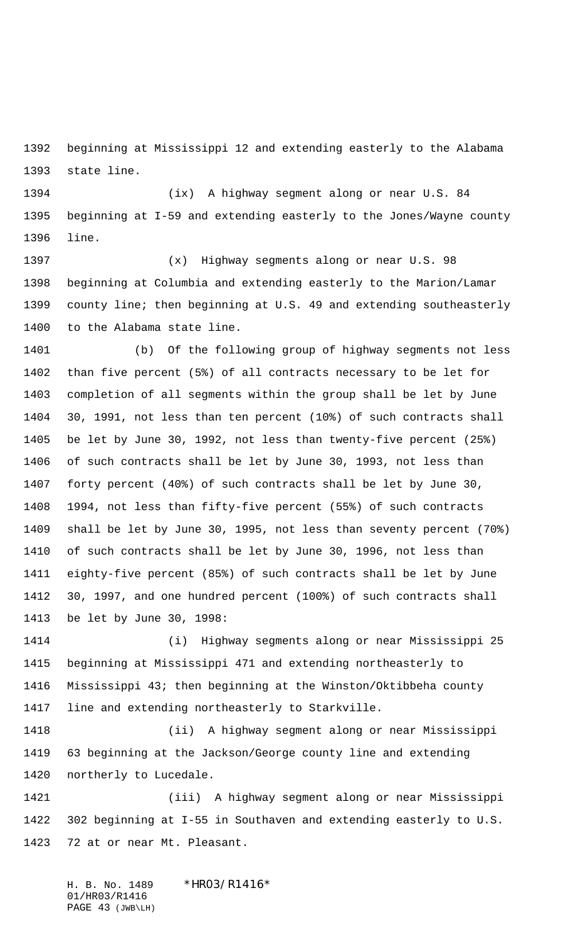beginning at Mississippi 12 and extending easterly to the Alabama state line.

 (ix) A highway segment along or near U.S. 84 beginning at I-59 and extending easterly to the Jones/Wayne county line.

 (x) Highway segments along or near U.S. 98 beginning at Columbia and extending easterly to the Marion/Lamar county line; then beginning at U.S. 49 and extending southeasterly to the Alabama state line.

 (b) Of the following group of highway segments not less than five percent (5%) of all contracts necessary to be let for completion of all segments within the group shall be let by June 30, 1991, not less than ten percent (10%) of such contracts shall be let by June 30, 1992, not less than twenty-five percent (25%) of such contracts shall be let by June 30, 1993, not less than forty percent (40%) of such contracts shall be let by June 30, 1994, not less than fifty-five percent (55%) of such contracts shall be let by June 30, 1995, not less than seventy percent (70%) of such contracts shall be let by June 30, 1996, not less than eighty-five percent (85%) of such contracts shall be let by June 30, 1997, and one hundred percent (100%) of such contracts shall be let by June 30, 1998:

 (i) Highway segments along or near Mississippi 25 beginning at Mississippi 471 and extending northeasterly to Mississippi 43; then beginning at the Winston/Oktibbeha county line and extending northeasterly to Starkville.

 (ii) A highway segment along or near Mississippi 63 beginning at the Jackson/George county line and extending northerly to Lucedale.

 (iii) A highway segment along or near Mississippi 302 beginning at I-55 in Southaven and extending easterly to U.S. 72 at or near Mt. Pleasant.

H. B. No. 1489 \*HR03/R1416\* 01/HR03/R1416 PAGE 43 (JWB\LH)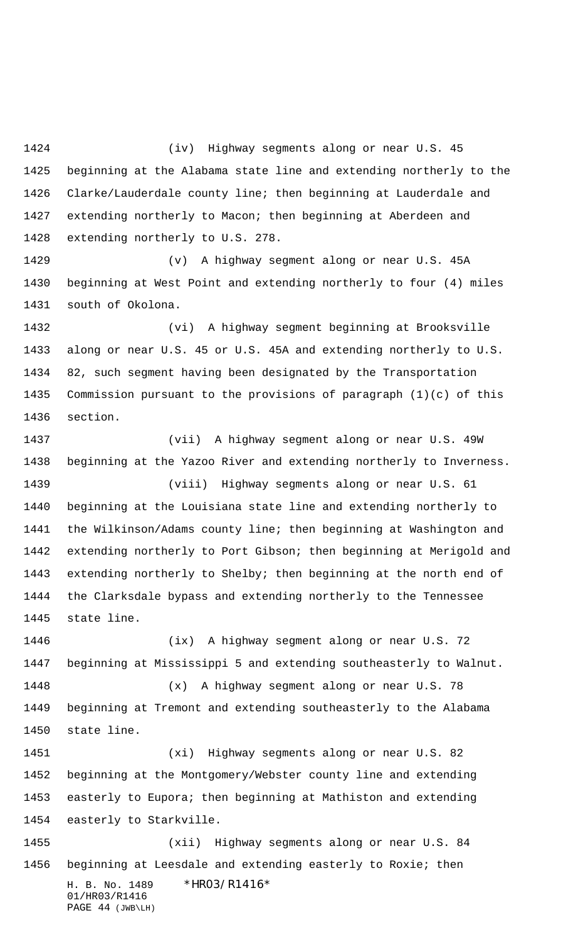(iv) Highway segments along or near U.S. 45 beginning at the Alabama state line and extending northerly to the Clarke/Lauderdale county line; then beginning at Lauderdale and extending northerly to Macon; then beginning at Aberdeen and extending northerly to U.S. 278.

 (v) A highway segment along or near U.S. 45A beginning at West Point and extending northerly to four (4) miles south of Okolona.

 (vi) A highway segment beginning at Brooksville along or near U.S. 45 or U.S. 45A and extending northerly to U.S. 82, such segment having been designated by the Transportation Commission pursuant to the provisions of paragraph (1)(c) of this section.

 (vii) A highway segment along or near U.S. 49W beginning at the Yazoo River and extending northerly to Inverness. (viii) Highway segments along or near U.S. 61 beginning at the Louisiana state line and extending northerly to the Wilkinson/Adams county line; then beginning at Washington and extending northerly to Port Gibson; then beginning at Merigold and extending northerly to Shelby; then beginning at the north end of the Clarksdale bypass and extending northerly to the Tennessee state line.

 (ix) A highway segment along or near U.S. 72 beginning at Mississippi 5 and extending southeasterly to Walnut. (x) A highway segment along or near U.S. 78 beginning at Tremont and extending southeasterly to the Alabama state line. (xi) Highway segments along or near U.S. 82 beginning at the Montgomery/Webster county line and extending easterly to Eupora; then beginning at Mathiston and extending easterly to Starkville.

H. B. No. 1489 \*HR03/R1416\* 01/HR03/R1416 PAGE 44 (JWB\LH) (xii) Highway segments along or near U.S. 84 beginning at Leesdale and extending easterly to Roxie; then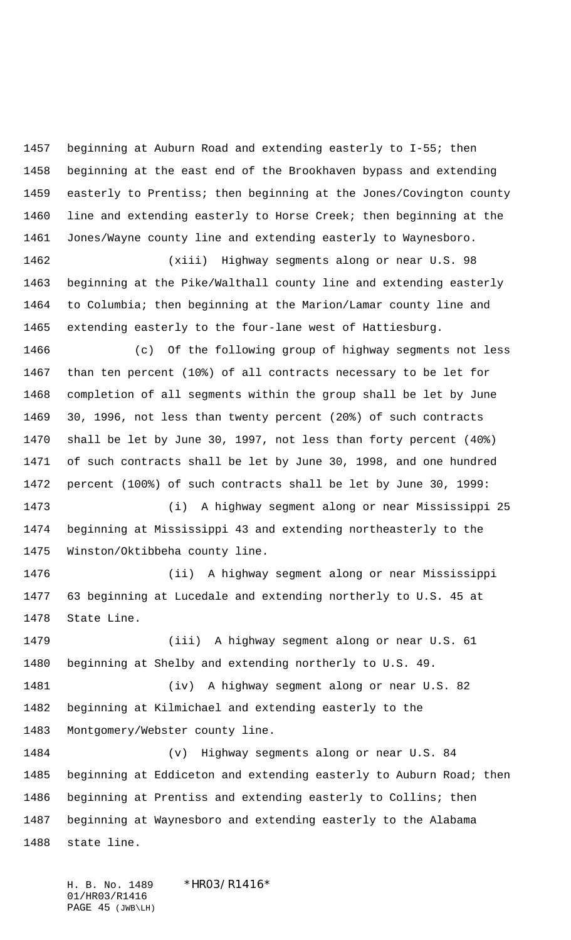beginning at Auburn Road and extending easterly to I-55; then beginning at the east end of the Brookhaven bypass and extending easterly to Prentiss; then beginning at the Jones/Covington county line and extending easterly to Horse Creek; then beginning at the Jones/Wayne county line and extending easterly to Waynesboro.

 (xiii) Highway segments along or near U.S. 98 beginning at the Pike/Walthall county line and extending easterly to Columbia; then beginning at the Marion/Lamar county line and extending easterly to the four-lane west of Hattiesburg.

 (c) Of the following group of highway segments not less than ten percent (10%) of all contracts necessary to be let for completion of all segments within the group shall be let by June 30, 1996, not less than twenty percent (20%) of such contracts shall be let by June 30, 1997, not less than forty percent (40%) of such contracts shall be let by June 30, 1998, and one hundred percent (100%) of such contracts shall be let by June 30, 1999: (i) A highway segment along or near Mississippi 25

 beginning at Mississippi 43 and extending northeasterly to the Winston/Oktibbeha county line.

 (ii) A highway segment along or near Mississippi 63 beginning at Lucedale and extending northerly to U.S. 45 at State Line.

 (iii) A highway segment along or near U.S. 61 beginning at Shelby and extending northerly to U.S. 49.

 (iv) A highway segment along or near U.S. 82 beginning at Kilmichael and extending easterly to the Montgomery/Webster county line.

 (v) Highway segments along or near U.S. 84 beginning at Eddiceton and extending easterly to Auburn Road; then beginning at Prentiss and extending easterly to Collins; then beginning at Waynesboro and extending easterly to the Alabama state line.

H. B. No. 1489 \*HRO3/R1416\* 01/HR03/R1416 PAGE 45 (JWB\LH)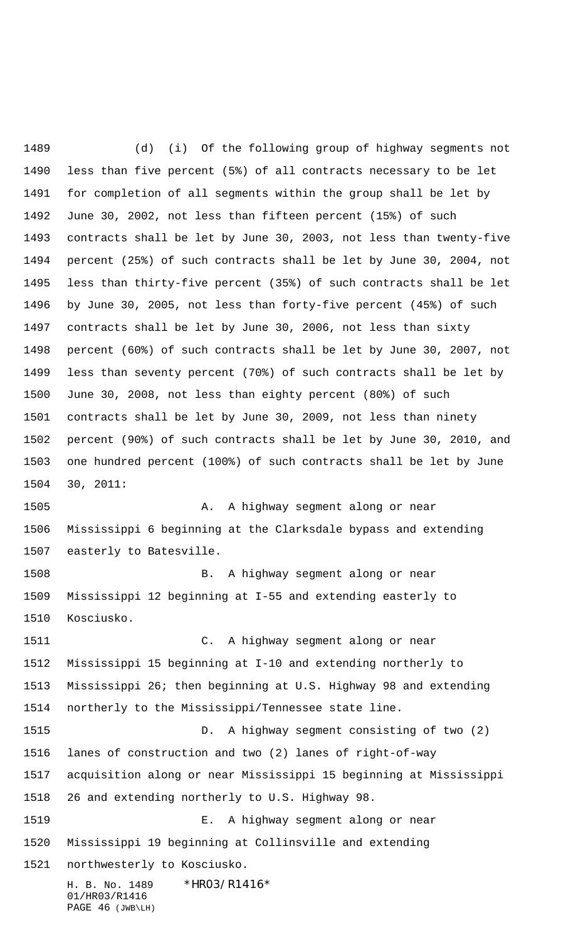H. B. No. 1489 \*HR03/R1416\* 01/HR03/R1416 PAGE 46 (JWB\LH) (d) (i) Of the following group of highway segments not less than five percent (5%) of all contracts necessary to be let for completion of all segments within the group shall be let by June 30, 2002, not less than fifteen percent (15%) of such contracts shall be let by June 30, 2003, not less than twenty-five percent (25%) of such contracts shall be let by June 30, 2004, not less than thirty-five percent (35%) of such contracts shall be let by June 30, 2005, not less than forty-five percent (45%) of such contracts shall be let by June 30, 2006, not less than sixty percent (60%) of such contracts shall be let by June 30, 2007, not less than seventy percent (70%) of such contracts shall be let by June 30, 2008, not less than eighty percent (80%) of such contracts shall be let by June 30, 2009, not less than ninety percent (90%) of such contracts shall be let by June 30, 2010, and one hundred percent (100%) of such contracts shall be let by June 30, 2011: A. A highway segment along or near Mississippi 6 beginning at the Clarksdale bypass and extending easterly to Batesville. B. A highway segment along or near Mississippi 12 beginning at I-55 and extending easterly to Kosciusko. C. A highway segment along or near Mississippi 15 beginning at I-10 and extending northerly to Mississippi 26; then beginning at U.S. Highway 98 and extending northerly to the Mississippi/Tennessee state line. D. A highway segment consisting of two (2) lanes of construction and two (2) lanes of right-of-way acquisition along or near Mississippi 15 beginning at Mississippi 26 and extending northerly to U.S. Highway 98. E. A highway segment along or near Mississippi 19 beginning at Collinsville and extending northwesterly to Kosciusko.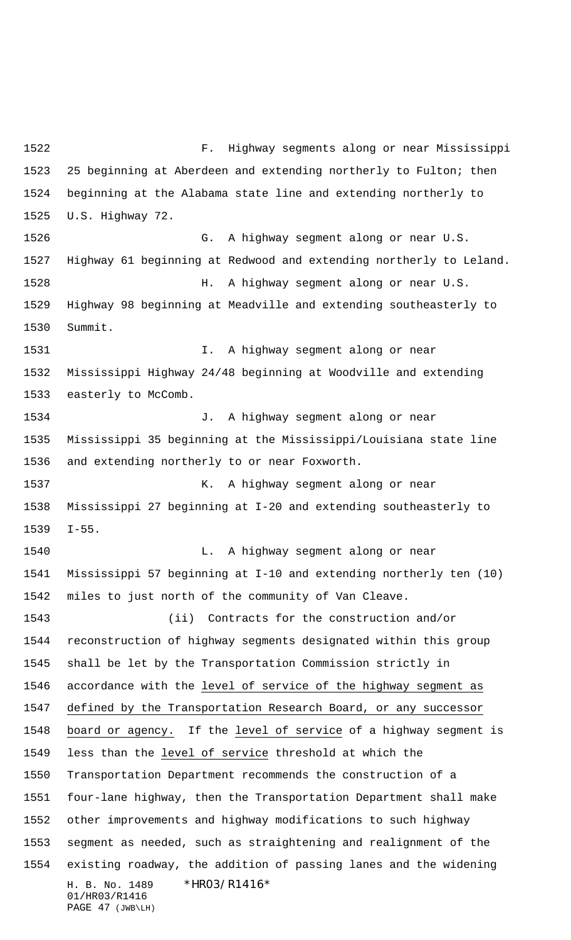H. B. No. 1489 \*HR03/R1416\* 01/HR03/R1416 PAGE 47 (JWB\LH) F. Highway segments along or near Mississippi 25 beginning at Aberdeen and extending northerly to Fulton; then beginning at the Alabama state line and extending northerly to U.S. Highway 72. G. A highway segment along or near U.S. Highway 61 beginning at Redwood and extending northerly to Leland. H. A highway segment along or near U.S. Highway 98 beginning at Meadville and extending southeasterly to Summit. I. A highway segment along or near Mississippi Highway 24/48 beginning at Woodville and extending easterly to McComb. J. A highway segment along or near Mississippi 35 beginning at the Mississippi/Louisiana state line and extending northerly to or near Foxworth. 1537 K. A highway segment along or near Mississippi 27 beginning at I-20 and extending southeasterly to I-55. 1540 L. A highway segment along or near Mississippi 57 beginning at I-10 and extending northerly ten (10) miles to just north of the community of Van Cleave. (ii) Contracts for the construction and/or reconstruction of highway segments designated within this group shall be let by the Transportation Commission strictly in 1546 accordance with the level of service of the highway segment as defined by the Transportation Research Board, or any successor board or agency. If the level of service of a highway segment is less than the level of service threshold at which the Transportation Department recommends the construction of a four-lane highway, then the Transportation Department shall make other improvements and highway modifications to such highway segment as needed, such as straightening and realignment of the existing roadway, the addition of passing lanes and the widening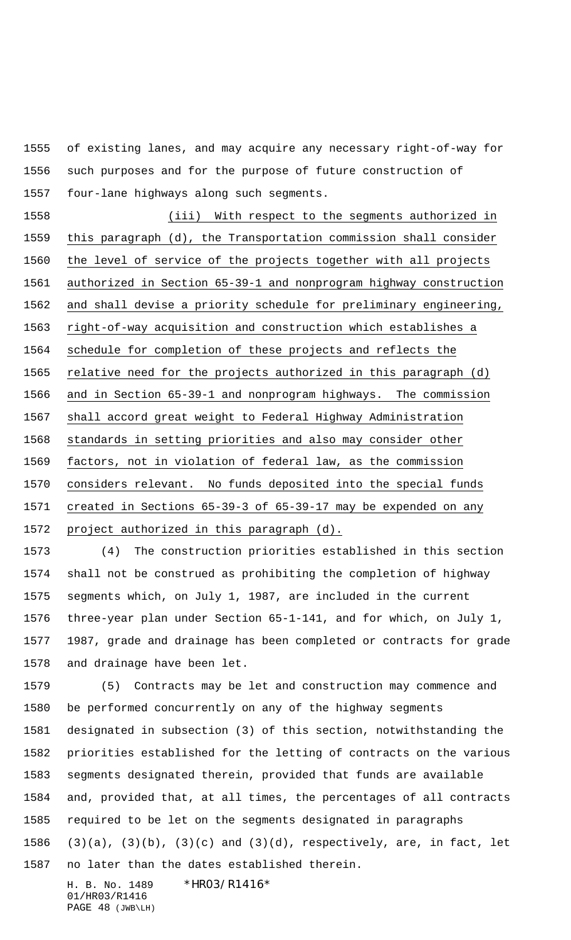of existing lanes, and may acquire any necessary right-of-way for such purposes and for the purpose of future construction of four-lane highways along such segments.

 (iii) With respect to the segments authorized in this paragraph (d), the Transportation commission shall consider the level of service of the projects together with all projects authorized in Section 65-39-1 and nonprogram highway construction and shall devise a priority schedule for preliminary engineering, right-of-way acquisition and construction which establishes a schedule for completion of these projects and reflects the 1565 relative need for the projects authorized in this paragraph (d) and in Section 65-39-1 and nonprogram highways. The commission shall accord great weight to Federal Highway Administration standards in setting priorities and also may consider other factors, not in violation of federal law, as the commission considers relevant. No funds deposited into the special funds created in Sections 65-39-3 of 65-39-17 may be expended on any 1572 project authorized in this paragraph (d).

 (4) The construction priorities established in this section shall not be construed as prohibiting the completion of highway segments which, on July 1, 1987, are included in the current three-year plan under Section 65-1-141, and for which, on July 1, 1987, grade and drainage has been completed or contracts for grade and drainage have been let.

 (5) Contracts may be let and construction may commence and be performed concurrently on any of the highway segments designated in subsection (3) of this section, notwithstanding the priorities established for the letting of contracts on the various segments designated therein, provided that funds are available and, provided that, at all times, the percentages of all contracts required to be let on the segments designated in paragraphs (3)(a), (3)(b), (3)(c) and (3)(d), respectively, are, in fact, let no later than the dates established therein.

H. B. No. 1489 \*HRO3/R1416\* 01/HR03/R1416 PAGE 48 (JWB\LH)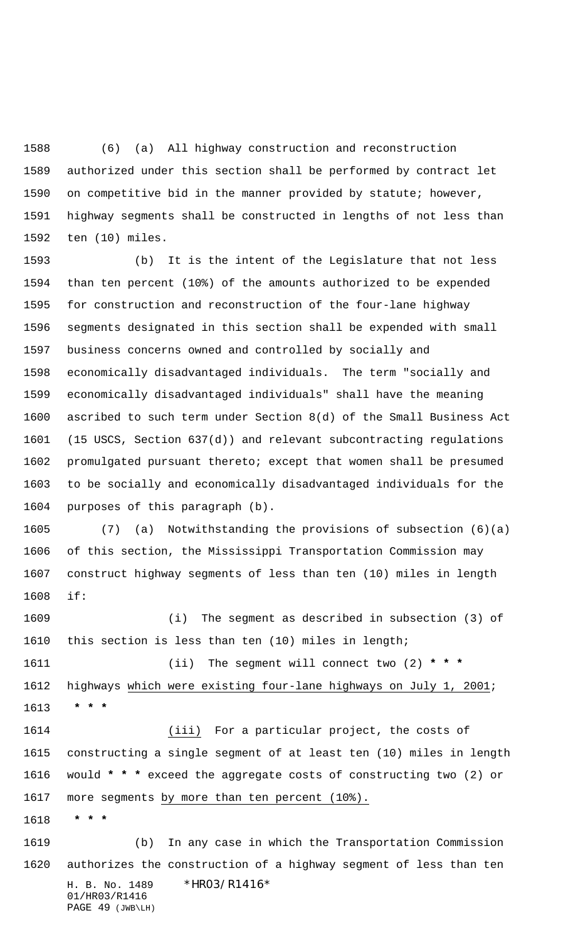(6) (a) All highway construction and reconstruction authorized under this section shall be performed by contract let on competitive bid in the manner provided by statute; however, highway segments shall be constructed in lengths of not less than ten (10) miles.

 (b) It is the intent of the Legislature that not less than ten percent (10%) of the amounts authorized to be expended for construction and reconstruction of the four-lane highway segments designated in this section shall be expended with small business concerns owned and controlled by socially and economically disadvantaged individuals. The term "socially and economically disadvantaged individuals" shall have the meaning ascribed to such term under Section 8(d) of the Small Business Act (15 USCS, Section 637(d)) and relevant subcontracting regulations promulgated pursuant thereto; except that women shall be presumed to be socially and economically disadvantaged individuals for the purposes of this paragraph (b).

 (7) (a) Notwithstanding the provisions of subsection (6)(a) of this section, the Mississippi Transportation Commission may construct highway segments of less than ten (10) miles in length if:

 (i) The segment as described in subsection (3) of this section is less than ten (10) miles in length;

 (ii) The segment will connect two (2) **\* \* \*** highways which were existing four-lane highways on July 1, 2001;  **\* \* \***

 (iii) For a particular project, the costs of constructing a single segment of at least ten (10) miles in length would **\* \* \*** exceed the aggregate costs of constructing two (2) or more segments by more than ten percent (10%).

 **\* \* \***

H. B. No. 1489 \* HRO3/R1416\* 01/HR03/R1416 PAGE 49 (JWB\LH) (b) In any case in which the Transportation Commission authorizes the construction of a highway segment of less than ten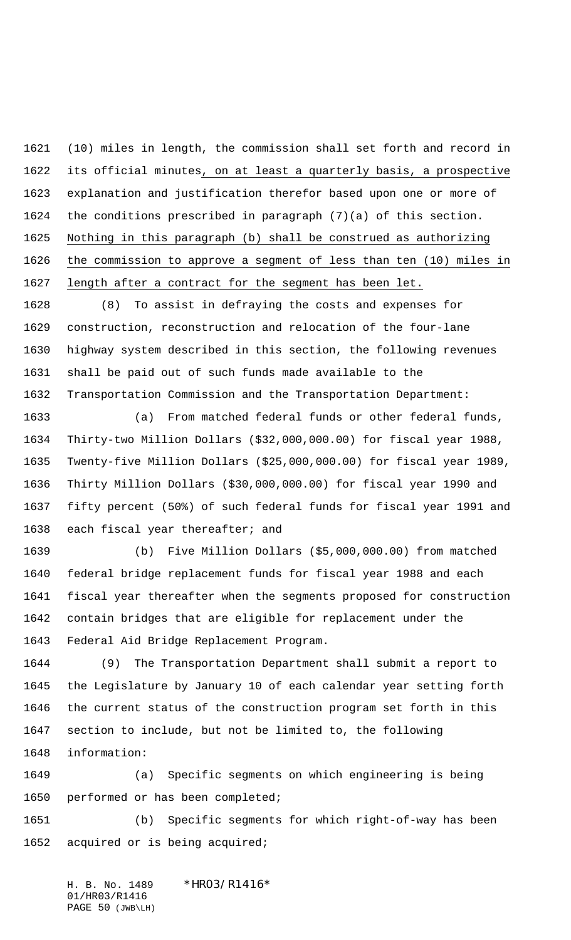(10) miles in length, the commission shall set forth and record in its official minutes, on at least a quarterly basis, a prospective explanation and justification therefor based upon one or more of the conditions prescribed in paragraph (7)(a) of this section. Nothing in this paragraph (b) shall be construed as authorizing the commission to approve a segment of less than ten (10) miles in length after a contract for the segment has been let.

 (8) To assist in defraying the costs and expenses for construction, reconstruction and relocation of the four-lane highway system described in this section, the following revenues shall be paid out of such funds made available to the Transportation Commission and the Transportation Department:

 (a) From matched federal funds or other federal funds, Thirty-two Million Dollars (\$32,000,000.00) for fiscal year 1988, Twenty-five Million Dollars (\$25,000,000.00) for fiscal year 1989, Thirty Million Dollars (\$30,000,000.00) for fiscal year 1990 and fifty percent (50%) of such federal funds for fiscal year 1991 and 1638 each fiscal year thereafter; and

 (b) Five Million Dollars (\$5,000,000.00) from matched federal bridge replacement funds for fiscal year 1988 and each fiscal year thereafter when the segments proposed for construction contain bridges that are eligible for replacement under the Federal Aid Bridge Replacement Program.

 (9) The Transportation Department shall submit a report to the Legislature by January 10 of each calendar year setting forth the current status of the construction program set forth in this section to include, but not be limited to, the following information:

 (a) Specific segments on which engineering is being performed or has been completed;

 (b) Specific segments for which right-of-way has been acquired or is being acquired;

H. B. No. 1489 \* HRO3/R1416\* 01/HR03/R1416 PAGE 50 (JWB\LH)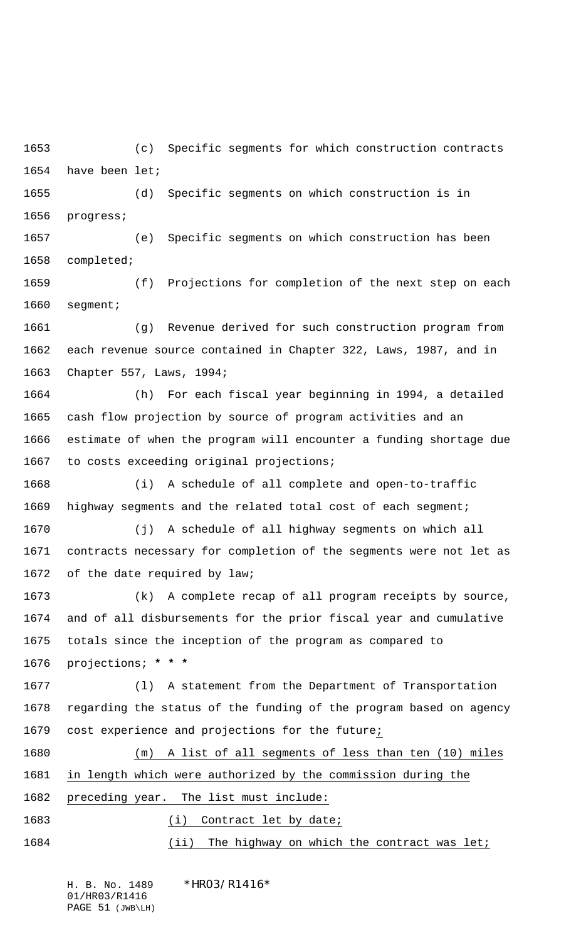(c) Specific segments for which construction contracts have been let;

 (d) Specific segments on which construction is in progress;

 (e) Specific segments on which construction has been completed;

 (f) Projections for completion of the next step on each segment;

 (g) Revenue derived for such construction program from each revenue source contained in Chapter 322, Laws, 1987, and in Chapter 557, Laws, 1994;

 (h) For each fiscal year beginning in 1994, a detailed cash flow projection by source of program activities and an estimate of when the program will encounter a funding shortage due to costs exceeding original projections;

 (i) A schedule of all complete and open-to-traffic highway segments and the related total cost of each segment;

 (j) A schedule of all highway segments on which all contracts necessary for completion of the segments were not let as of the date required by law;

 (k) A complete recap of all program receipts by source, and of all disbursements for the prior fiscal year and cumulative totals since the inception of the program as compared to projections; **\* \* \***

 (l) A statement from the Department of Transportation regarding the status of the funding of the program based on agency cost experience and projections for the future;

 (m) A list of all segments of less than ten (10) miles in length which were authorized by the commission during the preceding year. The list must include:

1683 (i) Contract let by date;

1684 (ii) The highway on which the contract was let;

H. B. No. 1489 \*HRO3/R1416\* 01/HR03/R1416 PAGE 51 (JWB\LH)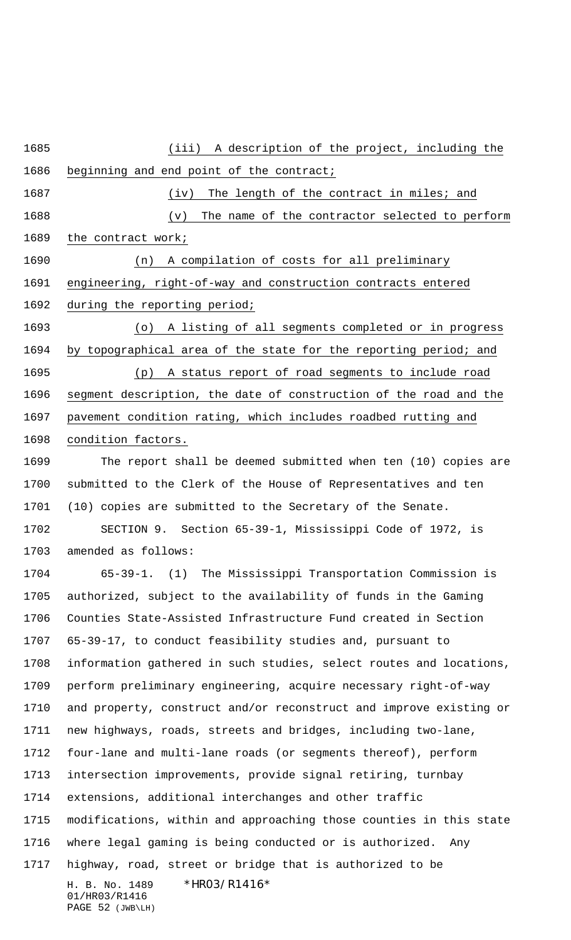## (iii) A description of the project, including the

beginning and end point of the contract;

1687 (iv) The length of the contract in miles; and

1688 (v) The name of the contractor selected to perform

1689 the contract work;

 (n) A compilation of costs for all preliminary engineering, right-of-way and construction contracts entered during the reporting period;

 (o) A listing of all segments completed or in progress by topographical area of the state for the reporting period; and (p) A status report of road segments to include road segment description, the date of construction of the road and the pavement condition rating, which includes roadbed rutting and condition factors.

 The report shall be deemed submitted when ten (10) copies are submitted to the Clerk of the House of Representatives and ten (10) copies are submitted to the Secretary of the Senate.

 SECTION 9. Section 65-39-1, Mississippi Code of 1972, is amended as follows:

H. B. No. 1489 \*HRO3/R1416\* 01/HR03/R1416 65-39-1. (1) The Mississippi Transportation Commission is authorized, subject to the availability of funds in the Gaming Counties State-Assisted Infrastructure Fund created in Section 65-39-17, to conduct feasibility studies and, pursuant to information gathered in such studies, select routes and locations, perform preliminary engineering, acquire necessary right-of-way and property, construct and/or reconstruct and improve existing or new highways, roads, streets and bridges, including two-lane, four-lane and multi-lane roads (or segments thereof), perform intersection improvements, provide signal retiring, turnbay extensions, additional interchanges and other traffic modifications, within and approaching those counties in this state where legal gaming is being conducted or is authorized. Any highway, road, street or bridge that is authorized to be

PAGE 52 (JWB\LH)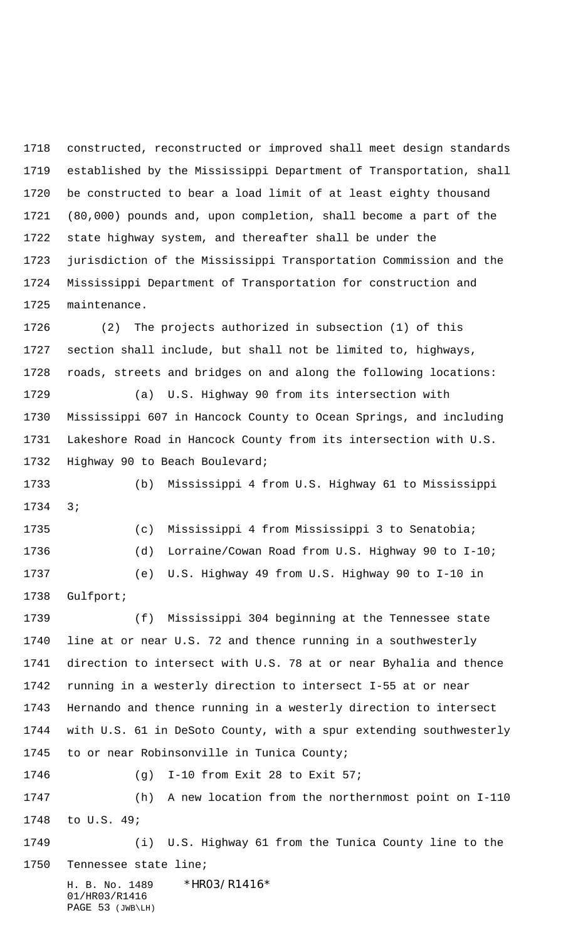constructed, reconstructed or improved shall meet design standards established by the Mississippi Department of Transportation, shall be constructed to bear a load limit of at least eighty thousand (80,000) pounds and, upon completion, shall become a part of the state highway system, and thereafter shall be under the jurisdiction of the Mississippi Transportation Commission and the Mississippi Department of Transportation for construction and maintenance.

 (2) The projects authorized in subsection (1) of this section shall include, but shall not be limited to, highways, roads, streets and bridges on and along the following locations:

 (a) U.S. Highway 90 from its intersection with Mississippi 607 in Hancock County to Ocean Springs, and including Lakeshore Road in Hancock County from its intersection with U.S. Highway 90 to Beach Boulevard;

 (b) Mississippi 4 from U.S. Highway 61 to Mississippi 3;

 (c) Mississippi 4 from Mississippi 3 to Senatobia; (d) Lorraine/Cowan Road from U.S. Highway 90 to I-10; (e) U.S. Highway 49 from U.S. Highway 90 to I-10 in Gulfport;

 (f) Mississippi 304 beginning at the Tennessee state line at or near U.S. 72 and thence running in a southwesterly direction to intersect with U.S. 78 at or near Byhalia and thence running in a westerly direction to intersect I-55 at or near Hernando and thence running in a westerly direction to intersect with U.S. 61 in DeSoto County, with a spur extending southwesterly to or near Robinsonville in Tunica County;

(g) I-10 from Exit 28 to Exit 57;

 (h) A new location from the northernmost point on I-110 to U.S. 49;

 (i) U.S. Highway 61 from the Tunica County line to the Tennessee state line;

H. B. No. 1489 \* HRO3/R1416\* 01/HR03/R1416 PAGE 53 (JWB\LH)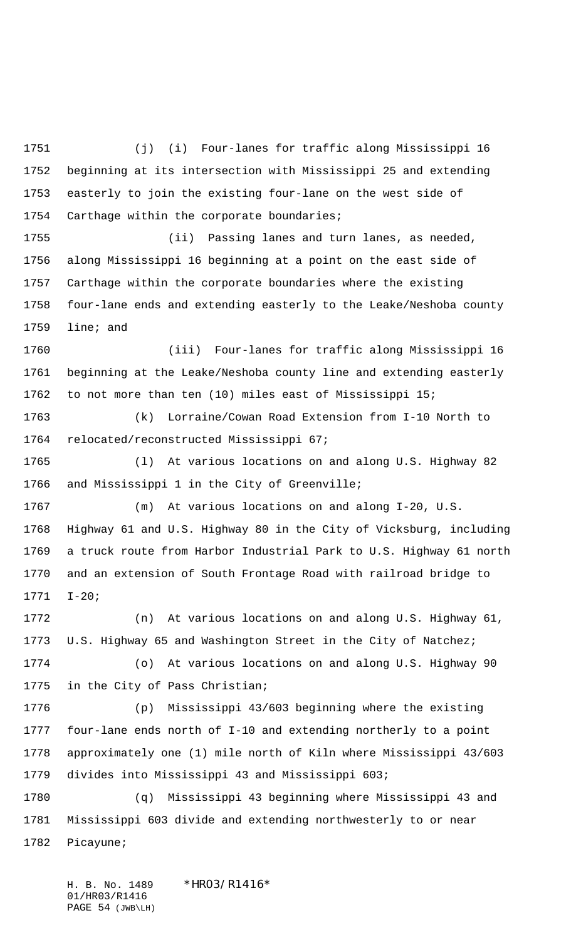(j) (i) Four-lanes for traffic along Mississippi 16 beginning at its intersection with Mississippi 25 and extending easterly to join the existing four-lane on the west side of Carthage within the corporate boundaries;

 (ii) Passing lanes and turn lanes, as needed, along Mississippi 16 beginning at a point on the east side of Carthage within the corporate boundaries where the existing four-lane ends and extending easterly to the Leake/Neshoba county line; and

 (iii) Four-lanes for traffic along Mississippi 16 beginning at the Leake/Neshoba county line and extending easterly to not more than ten (10) miles east of Mississippi 15;

 (k) Lorraine/Cowan Road Extension from I-10 North to relocated/reconstructed Mississippi 67;

 (l) At various locations on and along U.S. Highway 82 and Mississippi 1 in the City of Greenville;

 (m) At various locations on and along I-20, U.S. Highway 61 and U.S. Highway 80 in the City of Vicksburg, including a truck route from Harbor Industrial Park to U.S. Highway 61 north and an extension of South Frontage Road with railroad bridge to I-20;

 (n) At various locations on and along U.S. Highway 61, U.S. Highway 65 and Washington Street in the City of Natchez; (o) At various locations on and along U.S. Highway 90 in the City of Pass Christian;

 (p) Mississippi 43/603 beginning where the existing four-lane ends north of I-10 and extending northerly to a point approximately one (1) mile north of Kiln where Mississippi 43/603 divides into Mississippi 43 and Mississippi 603;

 (q) Mississippi 43 beginning where Mississippi 43 and Mississippi 603 divide and extending northwesterly to or near Picayune;

H. B. No. 1489 \*HRO3/R1416\* 01/HR03/R1416 PAGE 54 (JWB\LH)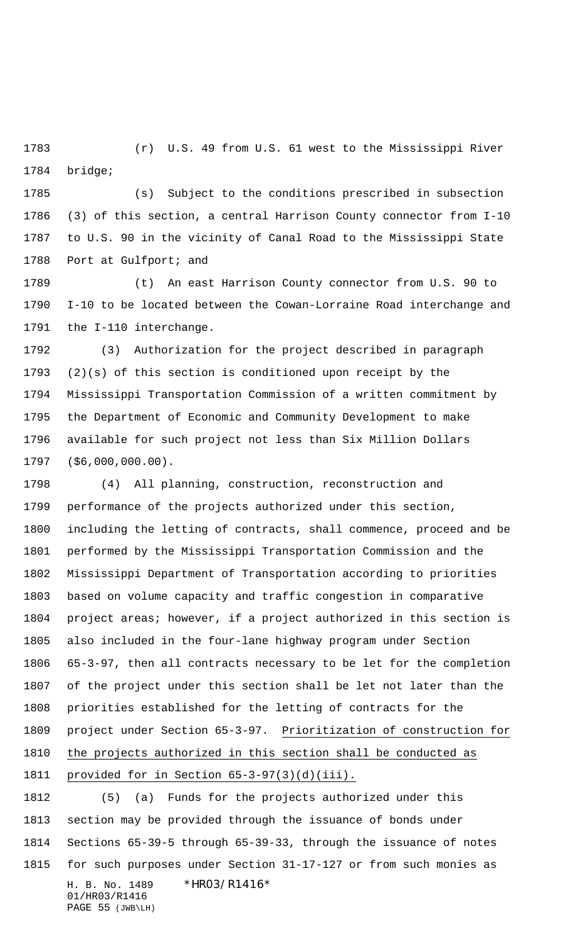(r) U.S. 49 from U.S. 61 west to the Mississippi River bridge;

 (s) Subject to the conditions prescribed in subsection (3) of this section, a central Harrison County connector from I-10 to U.S. 90 in the vicinity of Canal Road to the Mississippi State Port at Gulfport; and

 (t) An east Harrison County connector from U.S. 90 to I-10 to be located between the Cowan-Lorraine Road interchange and the I-110 interchange.

 (3) Authorization for the project described in paragraph (2)(s) of this section is conditioned upon receipt by the Mississippi Transportation Commission of a written commitment by the Department of Economic and Community Development to make available for such project not less than Six Million Dollars (\$6,000,000.00).

 (4) All planning, construction, reconstruction and performance of the projects authorized under this section, including the letting of contracts, shall commence, proceed and be performed by the Mississippi Transportation Commission and the Mississippi Department of Transportation according to priorities based on volume capacity and traffic congestion in comparative project areas; however, if a project authorized in this section is also included in the four-lane highway program under Section 65-3-97, then all contracts necessary to be let for the completion of the project under this section shall be let not later than the priorities established for the letting of contracts for the 1809 project under Section 65-3-97. Prioritization of construction for the projects authorized in this section shall be conducted as provided for in Section 65-3-97(3)(d)(iii).

H. B. No. 1489 \* HRO3/R1416\* 01/HR03/R1416 PAGE 55 (JWB\LH) (5) (a) Funds for the projects authorized under this section may be provided through the issuance of bonds under Sections 65-39-5 through 65-39-33, through the issuance of notes for such purposes under Section 31-17-127 or from such monies as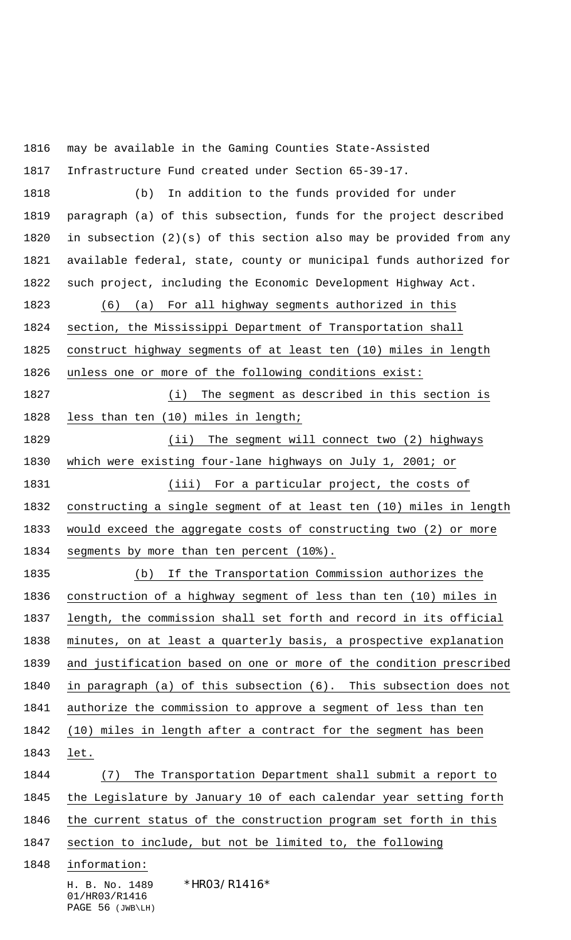H. B. No. 1489 \* HRO3/R1416\* 01/HR03/R1416 may be available in the Gaming Counties State-Assisted Infrastructure Fund created under Section 65-39-17. (b) In addition to the funds provided for under paragraph (a) of this subsection, funds for the project described in subsection (2)(s) of this section also may be provided from any available federal, state, county or municipal funds authorized for such project, including the Economic Development Highway Act. (6) (a) For all highway segments authorized in this section, the Mississippi Department of Transportation shall construct highway segments of at least ten (10) miles in length unless one or more of the following conditions exist: (i) The segment as described in this section is less than ten (10) miles in length; (ii) The segment will connect two (2) highways which were existing four-lane highways on July 1, 2001; or (iii) For a particular project, the costs of constructing a single segment of at least ten (10) miles in length would exceed the aggregate costs of constructing two (2) or more 1834 segments by more than ten percent (10%). (b) If the Transportation Commission authorizes the construction of a highway segment of less than ten (10) miles in length, the commission shall set forth and record in its official minutes, on at least a quarterly basis, a prospective explanation and justification based on one or more of the condition prescribed in paragraph (a) of this subsection (6). This subsection does not authorize the commission to approve a segment of less than ten (10) miles in length after a contract for the segment has been let. (7) The Transportation Department shall submit a report to the Legislature by January 10 of each calendar year setting forth the current status of the construction program set forth in this 1847 section to include, but not be limited to, the following information:

PAGE 56 (JWB\LH)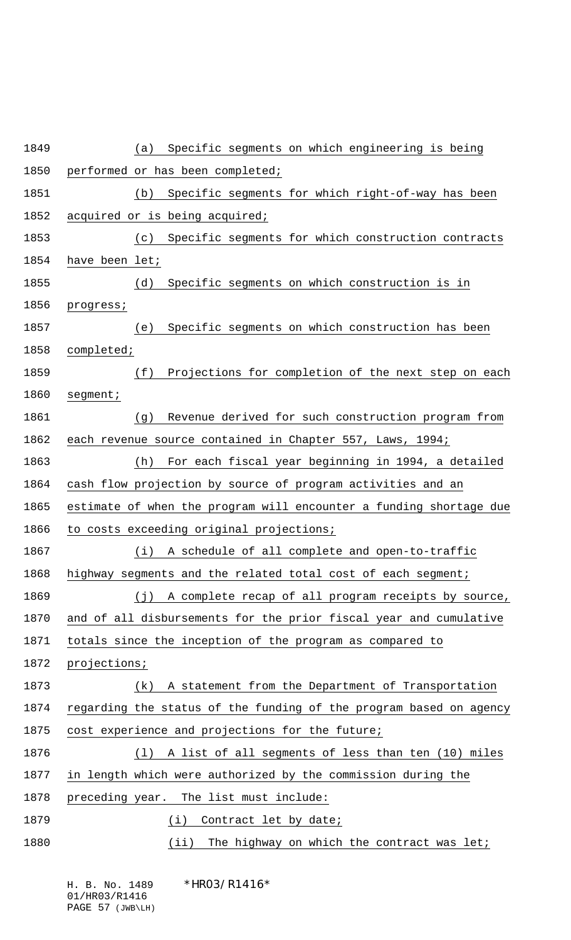| Specific segments on which engineering is being<br>(a)             |
|--------------------------------------------------------------------|
| performed or has been completed;                                   |
| Specific segments for which right-of-way has been<br>(b)           |
| acquired or is being acquired;                                     |
| Specific segments for which construction contracts<br>(c)          |
| have been let;                                                     |
| Specific segments on which construction is in<br>(d)               |
| progress;                                                          |
| Specific segments on which construction has been<br>(e)            |
| completed;                                                         |
| (f)<br>Projections for completion of the next step on each         |
| segment:                                                           |
| Revenue derived for such construction program from<br>(g)          |
| each revenue source contained in Chapter 557, Laws, 1994;          |
| For each fiscal year beginning in 1994, a detailed<br>(h)          |
| cash flow projection by source of program activities and an        |
| estimate of when the program will encounter a funding shortage due |
| to costs exceeding original projections;                           |
| (i)<br>A schedule of all complete and open-to-traffic              |
| highway segments and the related total cost of each segment;       |
| A complete recap of all program receipts by source,<br>(j)         |
| and of all disbursements for the prior fiscal year and cumulative  |
| totals since the inception of the program as compared to           |
| projections;                                                       |
| A statement from the Department of Transportation<br>(k)           |
| regarding the status of the funding of the program based on agency |
| cost experience and projections for the future;                    |
| A list of all segments of less than ten (10) miles<br>(1)          |
| in length which were authorized by the commission during the       |
| The list must include:<br>preceding year.                          |
| (i)<br>Contract let by date;                                       |
| (iii)<br>The highway on which the contract was let;                |

01/HR03/R1416 PAGE 57 (JWB\LH)

 $*$ HRO3/R1416 $*$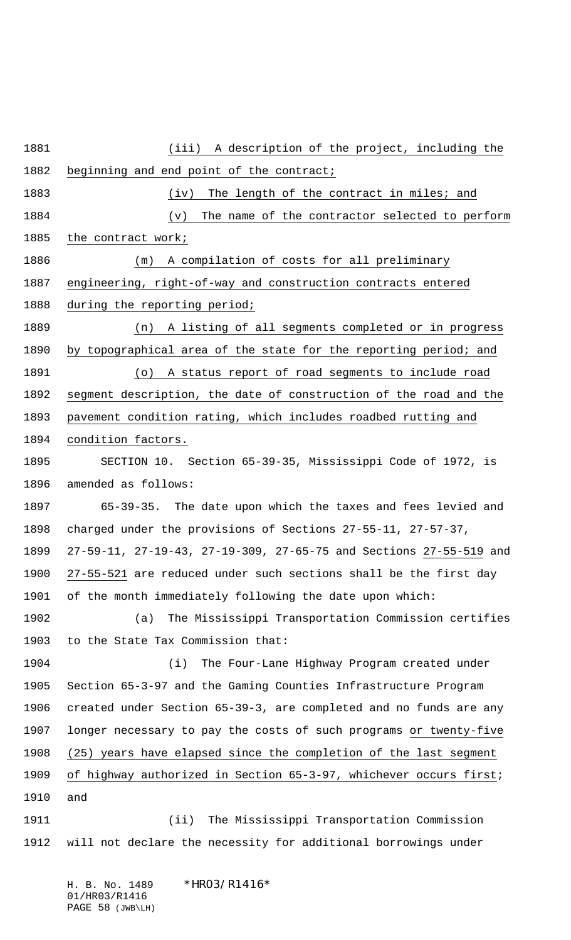(iii) A description of the project, including the beginning and end point of the contract; 1883 (iv) The length of the contract in miles; and 1884 (v) The name of the contractor selected to perform 1885 the contract work; (m) A compilation of costs for all preliminary engineering, right-of-way and construction contracts entered during the reporting period; (n) A listing of all segments completed or in progress by topographical area of the state for the reporting period; and (o) A status report of road segments to include road segment description, the date of construction of the road and the pavement condition rating, which includes roadbed rutting and condition factors. SECTION 10. Section 65-39-35, Mississippi Code of 1972, is amended as follows: 65-39-35. The date upon which the taxes and fees levied and charged under the provisions of Sections 27-55-11, 27-57-37, 27-59-11, 27-19-43, 27-19-309, 27-65-75 and Sections 27-55-519 and 27-55-521 are reduced under such sections shall be the first day of the month immediately following the date upon which: (a) The Mississippi Transportation Commission certifies to the State Tax Commission that: (i) The Four-Lane Highway Program created under Section 65-3-97 and the Gaming Counties Infrastructure Program created under Section 65-39-3, are completed and no funds are any longer necessary to pay the costs of such programs or twenty-five (25) years have elapsed since the completion of the last segment of highway authorized in Section 65-3-97, whichever occurs first; and (ii) The Mississippi Transportation Commission will not declare the necessity for additional borrowings under

H. B. No. 1489 \* HRO3/R1416\* 01/HR03/R1416 PAGE 58 (JWB\LH)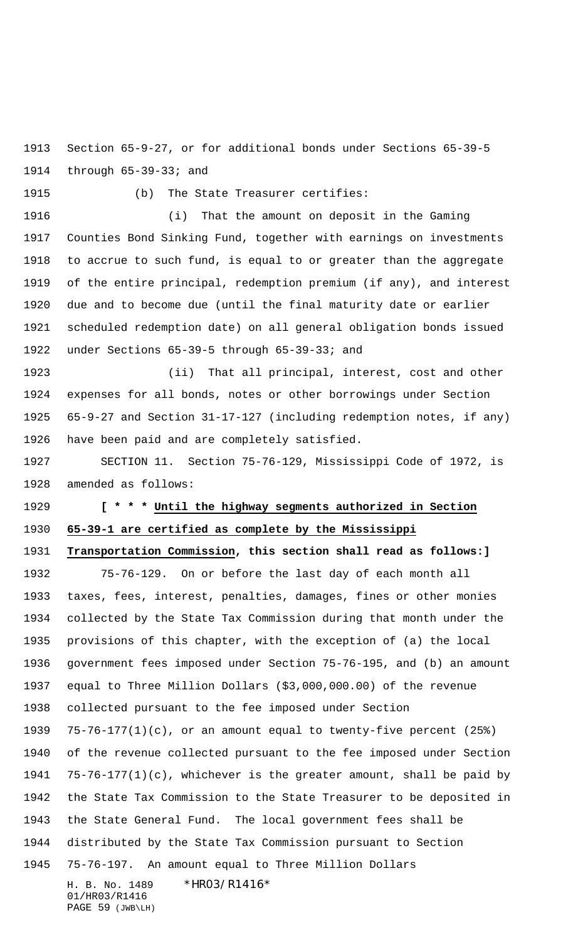Section 65-9-27, or for additional bonds under Sections 65-39-5 through 65-39-33; and

(b) The State Treasurer certifies:

 (i) That the amount on deposit in the Gaming Counties Bond Sinking Fund, together with earnings on investments to accrue to such fund, is equal to or greater than the aggregate of the entire principal, redemption premium (if any), and interest due and to become due (until the final maturity date or earlier scheduled redemption date) on all general obligation bonds issued under Sections 65-39-5 through 65-39-33; and

 (ii) That all principal, interest, cost and other expenses for all bonds, notes or other borrowings under Section 65-9-27 and Section 31-17-127 (including redemption notes, if any) have been paid and are completely satisfied.

 SECTION 11. Section 75-76-129, Mississippi Code of 1972, is amended as follows:

## **[ \* \* \* Until the highway segments authorized in Section 65-39-1 are certified as complete by the Mississippi**

## **Transportation Commission, this section shall read as follows:]**

H. B. No. 1489 \*HRO3/R1416\* 75-76-129. On or before the last day of each month all taxes, fees, interest, penalties, damages, fines or other monies collected by the State Tax Commission during that month under the provisions of this chapter, with the exception of (a) the local government fees imposed under Section 75-76-195, and (b) an amount equal to Three Million Dollars (\$3,000,000.00) of the revenue collected pursuant to the fee imposed under Section 75-76-177(1)(c), or an amount equal to twenty-five percent (25%) of the revenue collected pursuant to the fee imposed under Section 75-76-177(1)(c), whichever is the greater amount, shall be paid by the State Tax Commission to the State Treasurer to be deposited in the State General Fund. The local government fees shall be distributed by the State Tax Commission pursuant to Section 75-76-197. An amount equal to Three Million Dollars

01/HR03/R1416 PAGE 59 (JWB\LH)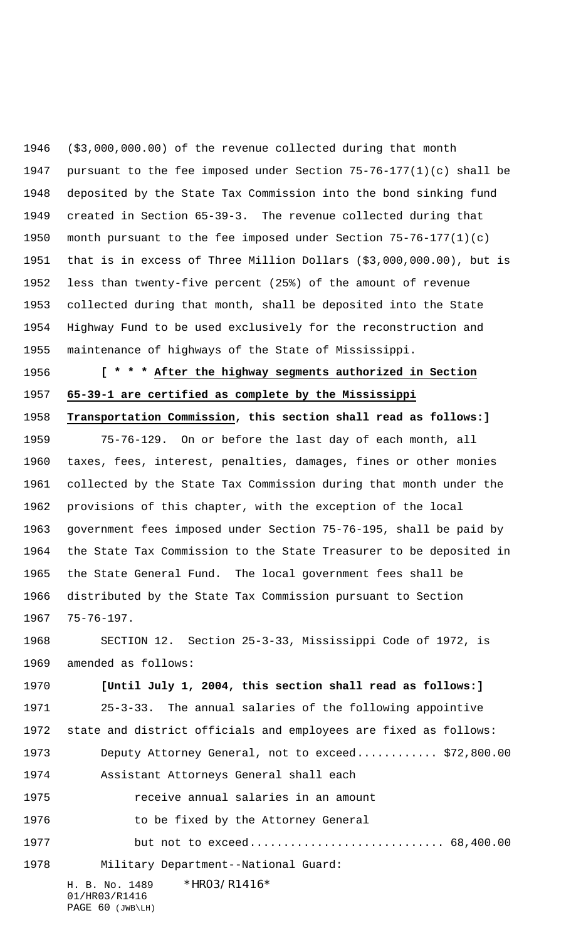(\$3,000,000.00) of the revenue collected during that month pursuant to the fee imposed under Section 75-76-177(1)(c) shall be deposited by the State Tax Commission into the bond sinking fund created in Section 65-39-3. The revenue collected during that month pursuant to the fee imposed under Section 75-76-177(1)(c) that is in excess of Three Million Dollars (\$3,000,000.00), but is less than twenty-five percent (25%) of the amount of revenue collected during that month, shall be deposited into the State Highway Fund to be used exclusively for the reconstruction and maintenance of highways of the State of Mississippi.

 **[ \* \* \* After the highway segments authorized in Section 65-39-1 are certified as complete by the Mississippi Transportation Commission, this section shall read as follows:]**

 75-76-129. On or before the last day of each month, all taxes, fees, interest, penalties, damages, fines or other monies collected by the State Tax Commission during that month under the provisions of this chapter, with the exception of the local government fees imposed under Section 75-76-195, shall be paid by the State Tax Commission to the State Treasurer to be deposited in the State General Fund. The local government fees shall be distributed by the State Tax Commission pursuant to Section 75-76-197.

 SECTION 12. Section 25-3-33, Mississippi Code of 1972, is amended as follows:

 **[Until July 1, 2004, this section shall read as follows:]** 25-3-33. The annual salaries of the following appointive state and district officials and employees are fixed as follows: Deputy Attorney General, not to exceed............ \$72,800.00 Assistant Attorneys General shall each receive annual salaries in an amount **to be fixed by the Attorney General** but not to exceed............................. 68,400.00

Military Department--National Guard:

H. B. No. 1489 \*HRO3/R1416\* 01/HR03/R1416 PAGE 60 (JWB\LH)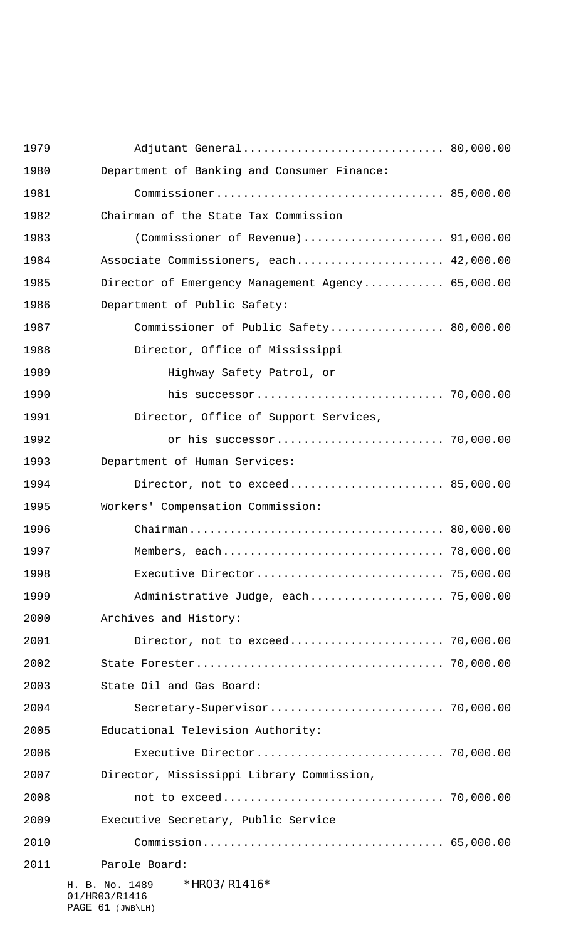| 1979 | Adjutant General 80,000.00                        |  |
|------|---------------------------------------------------|--|
| 1980 | Department of Banking and Consumer Finance:       |  |
| 1981 |                                                   |  |
| 1982 | Chairman of the State Tax Commission              |  |
| 1983 | (Commissioner of Revenue) 91,000.00               |  |
| 1984 | Associate Commissioners, each 42,000.00           |  |
| 1985 | Director of Emergency Management Agency 65,000.00 |  |
| 1986 | Department of Public Safety:                      |  |
| 1987 | Commissioner of Public Safety 80,000.00           |  |
| 1988 | Director, Office of Mississippi                   |  |
| 1989 | Highway Safety Patrol, or                         |  |
| 1990 |                                                   |  |
| 1991 | Director, Office of Support Services,             |  |
| 1992 |                                                   |  |
| 1993 | Department of Human Services:                     |  |
| 1994 | Director, not to exceed 85,000.00                 |  |
| 1995 | Workers' Compensation Commission:                 |  |
| 1996 |                                                   |  |
| 1997 |                                                   |  |
| 1998 |                                                   |  |
| 1999 | Administrative Judge, each 75,000.00              |  |
| 2000 | Archives and History:                             |  |
| 2001 | Director, not to exceed 70,000.00                 |  |
| 2002 |                                                   |  |
| 2003 | State Oil and Gas Board:                          |  |
| 2004 |                                                   |  |
| 2005 | Educational Television Authority:                 |  |
| 2006 |                                                   |  |
| 2007 | Director, Mississippi Library Commission,         |  |
| 2008 |                                                   |  |
| 2009 | Executive Secretary, Public Service               |  |
| 2010 |                                                   |  |
| 2011 | Parole Board:                                     |  |
|      | *HR03/R1416*<br>H. B. No. 1489<br>01/HR03/R1416   |  |

PAGE 61 (JWB\LH)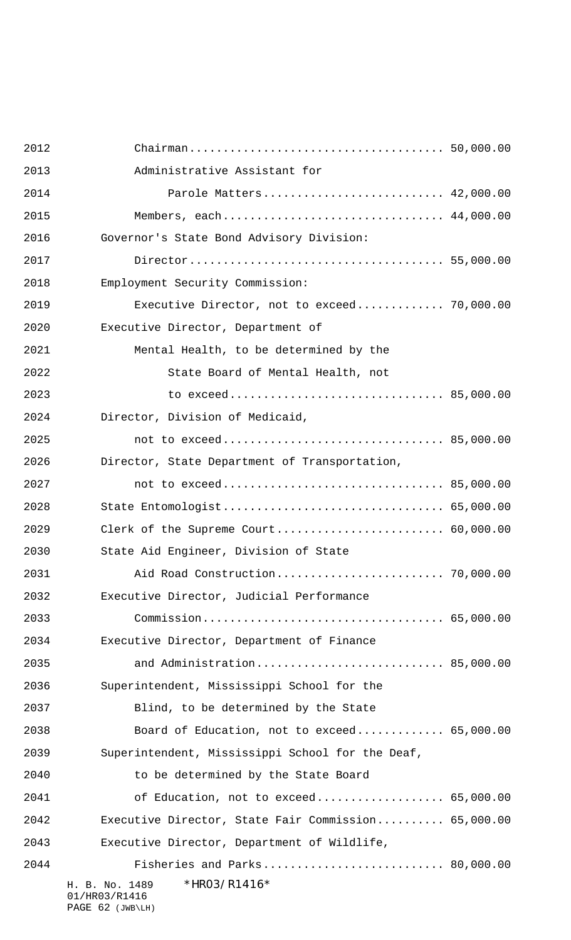| 2012 |                                                                     |  |
|------|---------------------------------------------------------------------|--|
| 2013 | Administrative Assistant for                                        |  |
| 2014 | Parole Matters 42,000.00                                            |  |
| 2015 | Members, each 44,000.00                                             |  |
| 2016 | Governor's State Bond Advisory Division:                            |  |
| 2017 |                                                                     |  |
| 2018 | Employment Security Commission:                                     |  |
| 2019 | Executive Director, not to exceed 70,000.00                         |  |
| 2020 | Executive Director, Department of                                   |  |
| 2021 | Mental Health, to be determined by the                              |  |
| 2022 | State Board of Mental Health, not                                   |  |
| 2023 |                                                                     |  |
| 2024 | Director, Division of Medicaid,                                     |  |
| 2025 |                                                                     |  |
| 2026 | Director, State Department of Transportation,                       |  |
| 2027 |                                                                     |  |
| 2028 | State Entomologist 65,000.00                                        |  |
| 2029 |                                                                     |  |
| 2030 | State Aid Engineer, Division of State                               |  |
| 2031 |                                                                     |  |
| 2032 | Executive Director, Judicial Performance                            |  |
| 2033 |                                                                     |  |
| 2034 | Executive Director, Department of Finance                           |  |
| 2035 | and Administration 85,000.00                                        |  |
| 2036 | Superintendent, Mississippi School for the                          |  |
| 2037 | Blind, to be determined by the State                                |  |
| 2038 | Board of Education, not to exceed 65,000.00                         |  |
| 2039 | Superintendent, Mississippi School for the Deaf,                    |  |
| 2040 | to be determined by the State Board                                 |  |
| 2041 | of Education, not to exceed 65,000.00                               |  |
| 2042 | Executive Director, State Fair Commission 65,000.00                 |  |
| 2043 | Executive Director, Department of Wildlife,                         |  |
| 2044 | Fisheries and Parks 80,000.00                                       |  |
|      | *HR03/R1416*<br>H. B. No. 1489<br>01/HR03/R1416<br>PAGE 62 (JWB\LH) |  |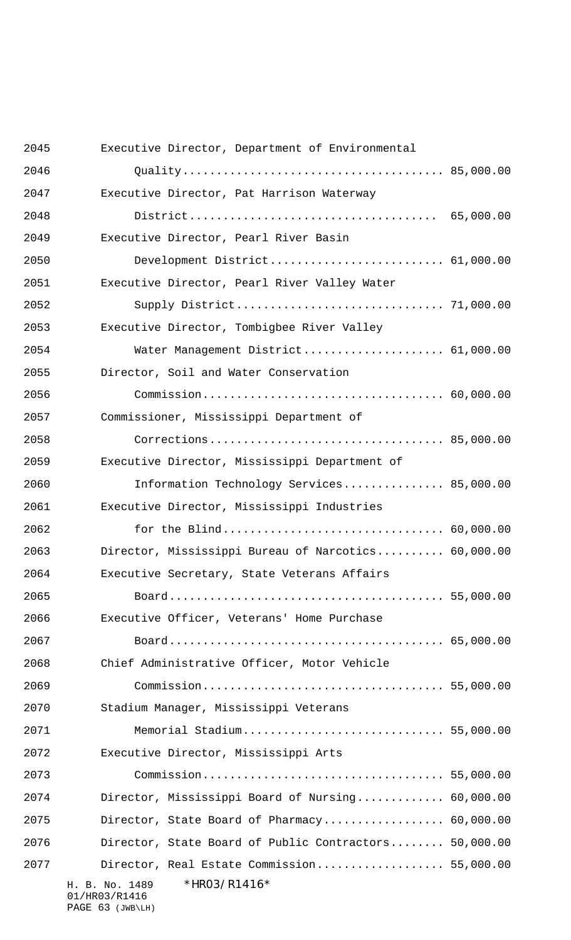| 2045 | Executive Director, Department of Environmental                     |  |
|------|---------------------------------------------------------------------|--|
| 2046 |                                                                     |  |
| 2047 | Executive Director, Pat Harrison Waterway                           |  |
| 2048 |                                                                     |  |
| 2049 | Executive Director, Pearl River Basin                               |  |
| 2050 | Development District 61,000.00                                      |  |
| 2051 | Executive Director, Pearl River Valley Water                        |  |
| 2052 |                                                                     |  |
| 2053 | Executive Director, Tombigbee River Valley                          |  |
| 2054 | Water Management District 61,000.00                                 |  |
| 2055 | Director, Soil and Water Conservation                               |  |
| 2056 |                                                                     |  |
| 2057 | Commissioner, Mississippi Department of                             |  |
| 2058 |                                                                     |  |
| 2059 | Executive Director, Mississippi Department of                       |  |
| 2060 | Information Technology Services 85,000.00                           |  |
| 2061 | Executive Director, Mississippi Industries                          |  |
| 2062 |                                                                     |  |
| 2063 | Director, Mississippi Bureau of Narcotics 60,000.00                 |  |
| 2064 | Executive Secretary, State Veterans Affairs                         |  |
| 2065 |                                                                     |  |
| 2066 | Executive Officer, Veterans' Home Purchase                          |  |
| 2067 |                                                                     |  |
| 2068 | Chief Administrative Officer, Motor Vehicle                         |  |
| 2069 |                                                                     |  |
| 2070 | Stadium Manager, Mississippi Veterans                               |  |
| 2071 | Memorial Stadium 55,000.00                                          |  |
| 2072 | Executive Director, Mississippi Arts                                |  |
| 2073 |                                                                     |  |
| 2074 | Director, Mississippi Board of Nursing 60,000.00                    |  |
| 2075 | Director, State Board of Pharmacy 60,000.00                         |  |
| 2076 | Director, State Board of Public Contractors 50,000.00               |  |
| 2077 | Director, Real Estate Commission 55,000.00                          |  |
|      | *HR03/R1416*<br>H. B. No. 1489<br>01/HR03/R1416<br>PAGE 63 (JWB\LH) |  |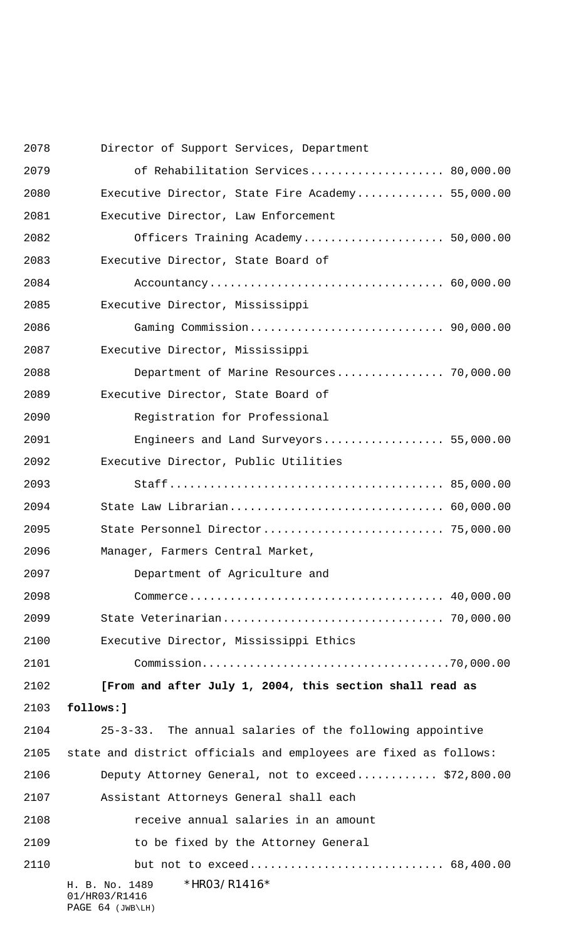H. B. No. 1489 \*HR03/R1416\* 01/HR03/R1416 PAGE 64 (JWB\LH) Director of Support Services, Department of Rehabilitation Services.................... 80,000.00 Executive Director, State Fire Academy............. 55,000.00 Executive Director, Law Enforcement Officers Training Academy..................... 50,000.00 Executive Director, State Board of Accountancy................................... 60,000.00 Executive Director, Mississippi Gaming Commission............................. 90,000.00 Executive Director, Mississippi Department of Marine Resources................ 70,000.00 Executive Director, State Board of Registration for Professional Engineers and Land Surveyors.................. 55,000.00 Executive Director, Public Utilities Staff......................................... 85,000.00 State Law Librarian................................ 60,000.00 State Personnel Director........................... 75,000.00 Manager, Farmers Central Market, Department of Agriculture and Commerce...................................... 40,000.00 State Veterinarian................................. 70,000.00 Executive Director, Mississippi Ethics Commission.....................................70,000.00 **[From and after July 1, 2004, this section shall read as follows:]** 25-3-33. The annual salaries of the following appointive state and district officials and employees are fixed as follows: Deputy Attorney General, not to exceed............ \$72,800.00 Assistant Attorneys General shall each receive annual salaries in an amount to be fixed by the Attorney General but not to exceed............................. 68,400.00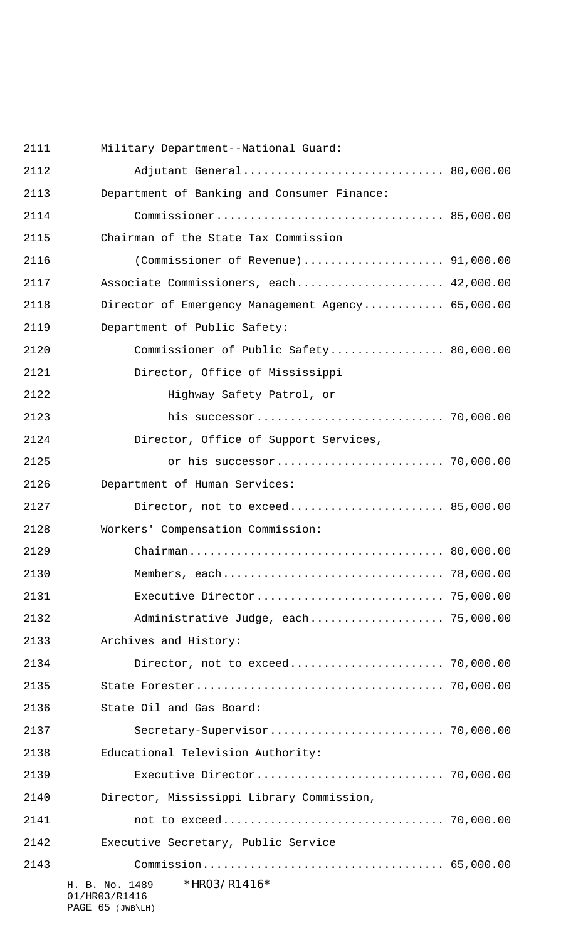H. B. No. 1489 \*HR03/R1416\* 01/HR03/R1416 Military Department--National Guard: Adjutant General.............................. 80,000.00 Department of Banking and Consumer Finance: Commissioner.................................. 85,000.00 Chairman of the State Tax Commission (Commissioner of Revenue)..................... 91,000.00 Associate Commissioners, each...................... 42,000.00 Director of Emergency Management Agency............ 65,000.00 Department of Public Safety: Commissioner of Public Safety................. 80,000.00 Director, Office of Mississippi Highway Safety Patrol, or his successor............................ 70,000.00 Director, Office of Support Services, or his successor......................... 70,000.00 Department of Human Services: Director, not to exceed....................... 85,000.00 Workers' Compensation Commission: Chairman...................................... 80,000.00 Members, each................................. 78,000.00 Executive Director............................ 75,000.00 Administrative Judge, each.................... 75,000.00 Archives and History: Director, not to exceed....................... 70,000.00 State Forester..................................... 70,000.00 State Oil and Gas Board: Secretary-Supervisor.......................... 70,000.00 Educational Television Authority: Executive Director............................ 70,000.00 Director, Mississippi Library Commission, not to exceed................................. 70,000.00 Executive Secretary, Public Service Commission.................................... 65,000.00

PAGE 65 (JWB\LH)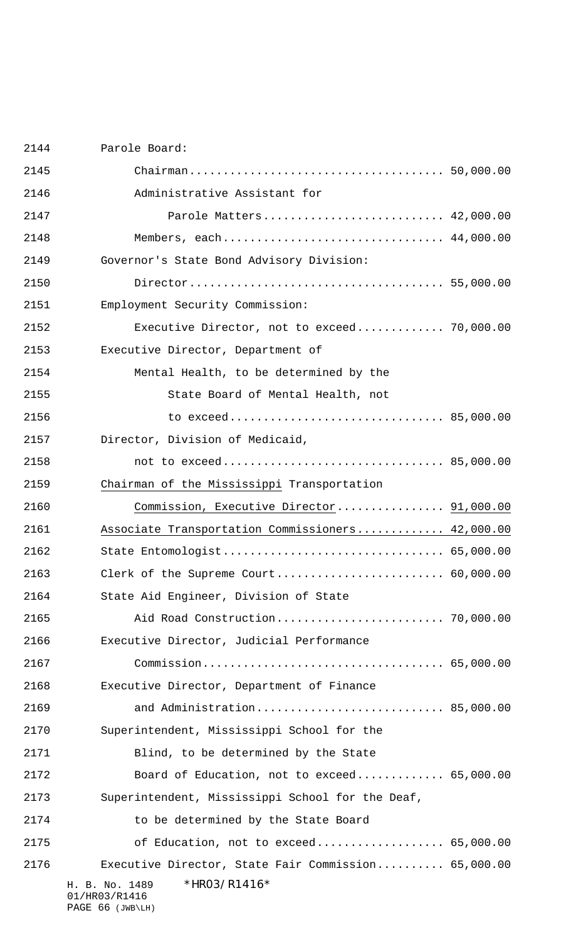| 2144 | Parole Board:                                       |  |
|------|-----------------------------------------------------|--|
| 2145 |                                                     |  |
| 2146 | Administrative Assistant for                        |  |
| 2147 | Parole Matters 42,000.00                            |  |
| 2148 | Members, each 44,000.00                             |  |
| 2149 | Governor's State Bond Advisory Division:            |  |
| 2150 |                                                     |  |
| 2151 | Employment Security Commission:                     |  |
| 2152 | Executive Director, not to exceed 70,000.00         |  |
| 2153 | Executive Director, Department of                   |  |
| 2154 | Mental Health, to be determined by the              |  |
| 2155 | State Board of Mental Health, not                   |  |
| 2156 |                                                     |  |
| 2157 | Director, Division of Medicaid,                     |  |
| 2158 |                                                     |  |
| 2159 | Chairman of the Mississippi Transportation          |  |
| 2160 | Commission, Executive Director 91,000.00            |  |
|      |                                                     |  |
| 2161 | Associate Transportation Commissioners 42,000.00    |  |
| 2162 | State Entomologist 65,000.00                        |  |
| 2163 |                                                     |  |
| 2164 | State Aid Engineer, Division of State               |  |
| 2165 |                                                     |  |
| 2166 | Executive Director, Judicial Performance            |  |
| 2167 |                                                     |  |
| 2168 | Executive Director, Department of Finance           |  |
| 2169 | and Administration 85,000.00                        |  |
| 2170 | Superintendent, Mississippi School for the          |  |
| 2171 | Blind, to be determined by the State                |  |
| 2172 | Board of Education, not to exceed 65,000.00         |  |
| 2173 | Superintendent, Mississippi School for the Deaf,    |  |
| 2174 | to be determined by the State Board                 |  |
| 2175 | of Education, not to exceed 65,000.00               |  |
| 2176 | Executive Director, State Fair Commission 65,000.00 |  |

PAGE 66 (JWB\LH)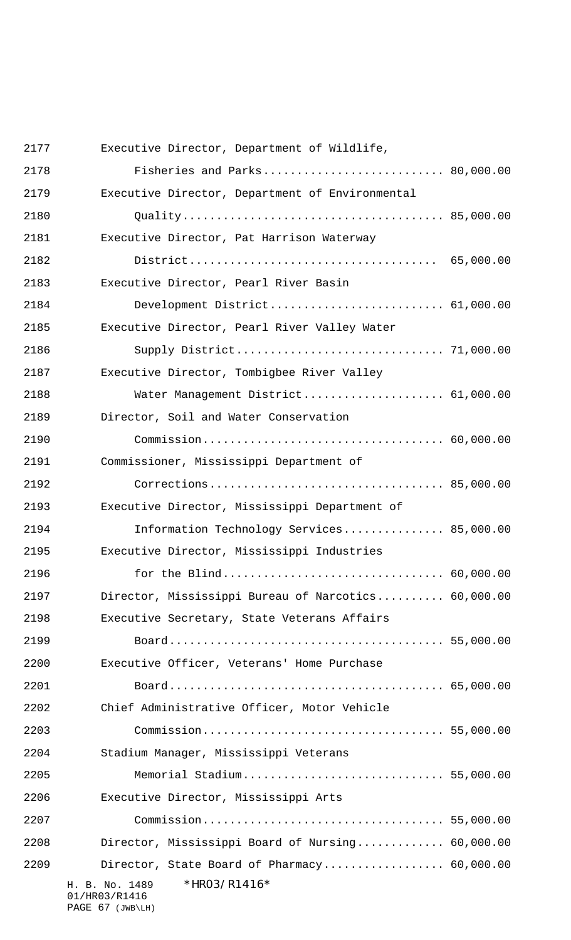| 2177 | Executive Director, Department of Wildlife,                                    |  |
|------|--------------------------------------------------------------------------------|--|
| 2178 | Fisheries and Parks 80,000.00                                                  |  |
| 2179 | Executive Director, Department of Environmental                                |  |
| 2180 |                                                                                |  |
| 2181 | Executive Director, Pat Harrison Waterway                                      |  |
| 2182 |                                                                                |  |
| 2183 | Executive Director, Pearl River Basin                                          |  |
| 2184 | Development District 61,000.00                                                 |  |
| 2185 | Executive Director, Pearl River Valley Water                                   |  |
| 2186 |                                                                                |  |
| 2187 | Executive Director, Tombigbee River Valley                                     |  |
| 2188 | Water Management District 61,000.00                                            |  |
| 2189 | Director, Soil and Water Conservation                                          |  |
| 2190 |                                                                                |  |
| 2191 | Commissioner, Mississippi Department of                                        |  |
| 2192 |                                                                                |  |
| 2193 | Executive Director, Mississippi Department of                                  |  |
| 2194 | Information Technology Services 85,000.00                                      |  |
| 2195 | Executive Director, Mississippi Industries                                     |  |
| 2196 |                                                                                |  |
| 2197 | Director, Mississippi Bureau of Narcotics 60,000.00                            |  |
| 2198 | Executive Secretary, State Veterans Affairs                                    |  |
| 2199 |                                                                                |  |
| 2200 | Executive Officer, Veterans' Home Purchase                                     |  |
| 2201 |                                                                                |  |
| 2202 | Chief Administrative Officer, Motor Vehicle                                    |  |
| 2203 |                                                                                |  |
| 2204 | Stadium Manager, Mississippi Veterans                                          |  |
| 2205 | Memorial Stadium 55,000.00                                                     |  |
| 2206 | Executive Director, Mississippi Arts                                           |  |
| 2207 |                                                                                |  |
| 2208 | Director, Mississippi Board of Nursing 60,000.00                               |  |
| 2209 | Director, State Board of Pharmacy 60,000.00                                    |  |
|      | *HR03/R1416*<br>H. B. No. 1489<br>01/HR03/R1416<br>$D\Lambda$ $T$ $67$ $(7.5)$ |  |

PAGE 67 (JWB\LH)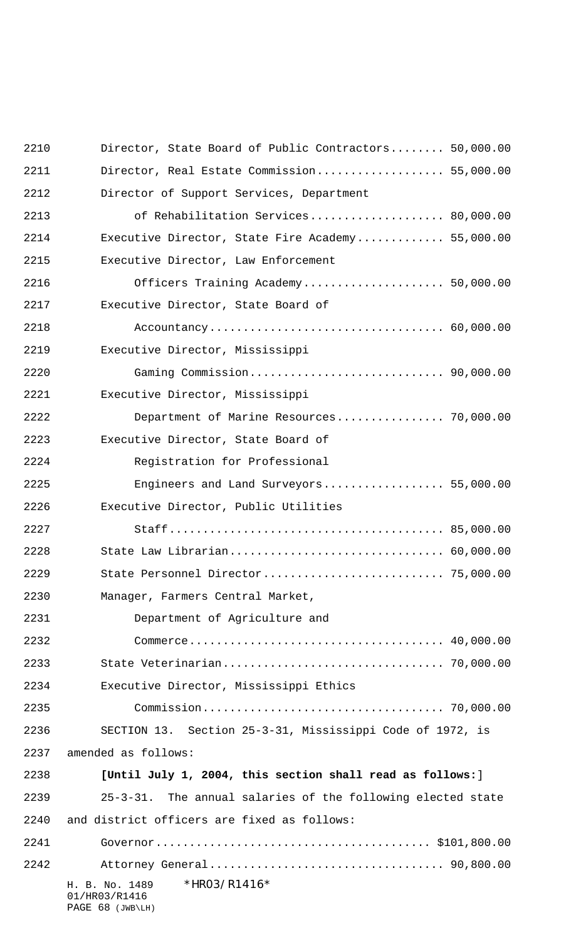| 2210 | Director, State Board of Public Contractors 50,000.00               |  |
|------|---------------------------------------------------------------------|--|
| 2211 | Director, Real Estate Commission 55,000.00                          |  |
| 2212 | Director of Support Services, Department                            |  |
| 2213 | of Rehabilitation Services 80,000.00                                |  |
| 2214 | Executive Director, State Fire Academy 55,000.00                    |  |
| 2215 | Executive Director, Law Enforcement                                 |  |
| 2216 | Officers Training Academy 50,000.00                                 |  |
| 2217 | Executive Director, State Board of                                  |  |
| 2218 |                                                                     |  |
| 2219 | Executive Director, Mississippi                                     |  |
| 2220 |                                                                     |  |
| 2221 | Executive Director, Mississippi                                     |  |
| 2222 | Department of Marine Resources 70,000.00                            |  |
| 2223 | Executive Director, State Board of                                  |  |
| 2224 | Registration for Professional                                       |  |
| 2225 | Engineers and Land Surveyors 55,000.00                              |  |
| 2226 | Executive Director, Public Utilities                                |  |
| 2227 |                                                                     |  |
| 2228 | State Law Librarian 60,000.00                                       |  |
| 2229 |                                                                     |  |
| 2230 | Manager, Farmers Central Market,                                    |  |
| 2231 | Department of Agriculture and                                       |  |
| 2232 |                                                                     |  |
| 2233 |                                                                     |  |
| 2234 | Executive Director, Mississippi Ethics                              |  |
| 2235 |                                                                     |  |
| 2236 | SECTION 13. Section 25-3-31, Mississippi Code of 1972, is           |  |
| 2237 | amended as follows:                                                 |  |
| 2238 | [Until July 1, 2004, this section shall read as follows:]           |  |
| 2239 | 25-3-31. The annual salaries of the following elected state         |  |
| 2240 | and district officers are fixed as follows:                         |  |
| 2241 |                                                                     |  |
| 2242 |                                                                     |  |
|      | *HR03/R1416*<br>H. B. No. 1489<br>01/HR03/R1416<br>PAGE 68 (JWB\LH) |  |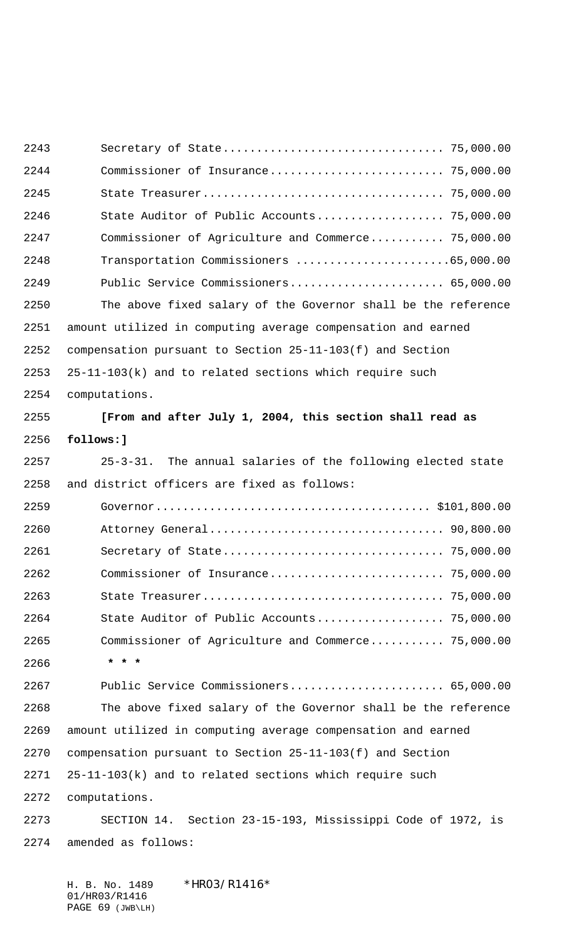Secretary of State................................. 75,000.00 Commissioner of Insurance.......................... 75,000.00 State Treasurer.................................... 75,000.00 State Auditor of Public Accounts................... 75,000.00 Commissioner of Agriculture and Commerce........... 75,000.00 Transportation Commissioners .......................65,000.00 Public Service Commissioners....................... 65,000.00 The above fixed salary of the Governor shall be the reference amount utilized in computing average compensation and earned compensation pursuant to Section 25-11-103(f) and Section 25-11-103(k) and to related sections which require such computations. **[From and after July 1, 2004, this section shall read as follows:]** 25-3-31. The annual salaries of the following elected state and district officers are fixed as follows: Governor......................................... \$101,800.00 Attorney General................................... 90,800.00 Secretary of State................................. 75,000.00 Commissioner of Insurance.......................... 75,000.00 State Treasurer.................................... 75,000.00 State Auditor of Public Accounts................... 75,000.00 Commissioner of Agriculture and Commerce........... 75,000.00  **\* \* \*** Public Service Commissioners....................... 65,000.00 The above fixed salary of the Governor shall be the reference amount utilized in computing average compensation and earned compensation pursuant to Section 25-11-103(f) and Section 25-11-103(k) and to related sections which require such computations. SECTION 14. Section 23-15-193, Mississippi Code of 1972, is amended as follows:

H. B. No. 1489 \*HR03/R1416\* 01/HR03/R1416 PAGE 69 (JWB\LH)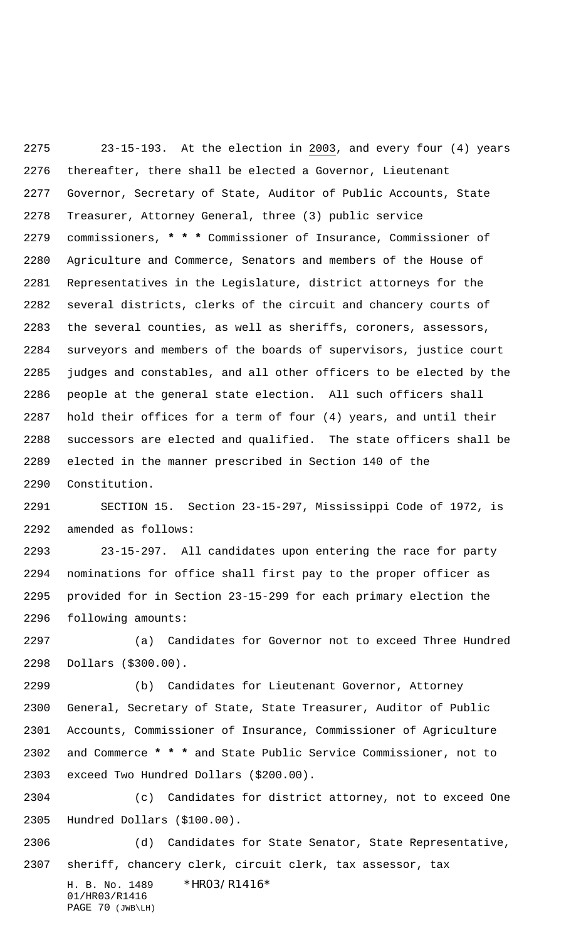23-15-193. At the election in 2003, and every four (4) years thereafter, there shall be elected a Governor, Lieutenant Governor, Secretary of State, Auditor of Public Accounts, State Treasurer, Attorney General, three (3) public service commissioners, **\* \* \*** Commissioner of Insurance, Commissioner of Agriculture and Commerce, Senators and members of the House of Representatives in the Legislature, district attorneys for the several districts, clerks of the circuit and chancery courts of the several counties, as well as sheriffs, coroners, assessors, surveyors and members of the boards of supervisors, justice court judges and constables, and all other officers to be elected by the people at the general state election. All such officers shall hold their offices for a term of four (4) years, and until their successors are elected and qualified. The state officers shall be elected in the manner prescribed in Section 140 of the Constitution.

 SECTION 15. Section 23-15-297, Mississippi Code of 1972, is amended as follows:

 23-15-297. All candidates upon entering the race for party nominations for office shall first pay to the proper officer as provided for in Section 23-15-299 for each primary election the following amounts:

 (a) Candidates for Governor not to exceed Three Hundred Dollars (\$300.00).

 (b) Candidates for Lieutenant Governor, Attorney General, Secretary of State, State Treasurer, Auditor of Public Accounts, Commissioner of Insurance, Commissioner of Agriculture and Commerce **\* \* \*** and State Public Service Commissioner, not to exceed Two Hundred Dollars (\$200.00).

 (c) Candidates for district attorney, not to exceed One Hundred Dollars (\$100.00).

 (d) Candidates for State Senator, State Representative, sheriff, chancery clerk, circuit clerk, tax assessor, tax

H. B. No. 1489 \* HRO3/R1416\* 01/HR03/R1416 PAGE 70 (JWB\LH)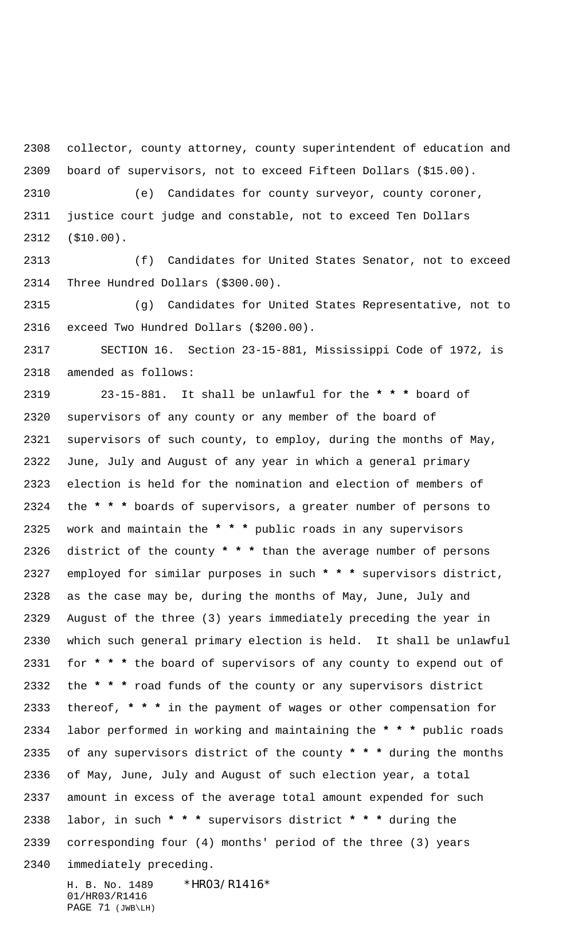collector, county attorney, county superintendent of education and board of supervisors, not to exceed Fifteen Dollars (\$15.00).

 (e) Candidates for county surveyor, county coroner, justice court judge and constable, not to exceed Ten Dollars (\$10.00).

 (f) Candidates for United States Senator, not to exceed Three Hundred Dollars (\$300.00).

 (g) Candidates for United States Representative, not to exceed Two Hundred Dollars (\$200.00).

 SECTION 16. Section 23-15-881, Mississippi Code of 1972, is amended as follows:

H. B. No. 1489 \* HRO3/R1416\* 23-15-881. It shall be unlawful for the **\* \* \*** board of supervisors of any county or any member of the board of supervisors of such county, to employ, during the months of May, June, July and August of any year in which a general primary election is held for the nomination and election of members of the **\* \* \*** boards of supervisors, a greater number of persons to work and maintain the **\* \* \*** public roads in any supervisors district of the county **\* \* \*** than the average number of persons employed for similar purposes in such **\* \* \*** supervisors district, as the case may be, during the months of May, June, July and August of the three (3) years immediately preceding the year in which such general primary election is held. It shall be unlawful for **\* \* \*** the board of supervisors of any county to expend out of the **\* \* \*** road funds of the county or any supervisors district thereof, **\* \* \*** in the payment of wages or other compensation for labor performed in working and maintaining the **\* \* \*** public roads of any supervisors district of the county **\* \* \*** during the months of May, June, July and August of such election year, a total amount in excess of the average total amount expended for such labor, in such **\* \* \*** supervisors district **\* \* \*** during the corresponding four (4) months' period of the three (3) years immediately preceding.

01/HR03/R1416 PAGE 71 (JWB\LH)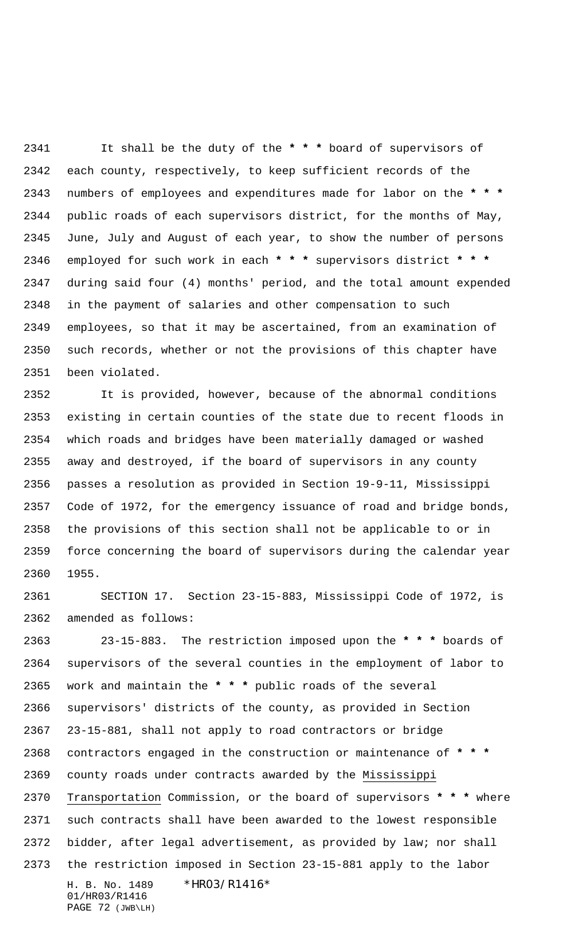It shall be the duty of the **\* \* \*** board of supervisors of each county, respectively, to keep sufficient records of the numbers of employees and expenditures made for labor on the **\* \* \*** public roads of each supervisors district, for the months of May, June, July and August of each year, to show the number of persons employed for such work in each **\* \* \*** supervisors district **\* \* \*** during said four (4) months' period, and the total amount expended in the payment of salaries and other compensation to such employees, so that it may be ascertained, from an examination of such records, whether or not the provisions of this chapter have been violated.

 It is provided, however, because of the abnormal conditions existing in certain counties of the state due to recent floods in which roads and bridges have been materially damaged or washed away and destroyed, if the board of supervisors in any county passes a resolution as provided in Section 19-9-11, Mississippi Code of 1972, for the emergency issuance of road and bridge bonds, the provisions of this section shall not be applicable to or in force concerning the board of supervisors during the calendar year 1955.

 SECTION 17. Section 23-15-883, Mississippi Code of 1972, is amended as follows:

H. B. No. 1489 \* HRO3/R1416\* 01/HR03/R1416 23-15-883. The restriction imposed upon the **\* \* \*** boards of supervisors of the several counties in the employment of labor to work and maintain the **\* \* \*** public roads of the several supervisors' districts of the county, as provided in Section 23-15-881, shall not apply to road contractors or bridge contractors engaged in the construction or maintenance of **\* \* \*** county roads under contracts awarded by the Mississippi Transportation Commission, or the board of supervisors **\* \* \*** where such contracts shall have been awarded to the lowest responsible bidder, after legal advertisement, as provided by law; nor shall the restriction imposed in Section 23-15-881 apply to the labor

```
PAGE 72 (JWB\LH)
```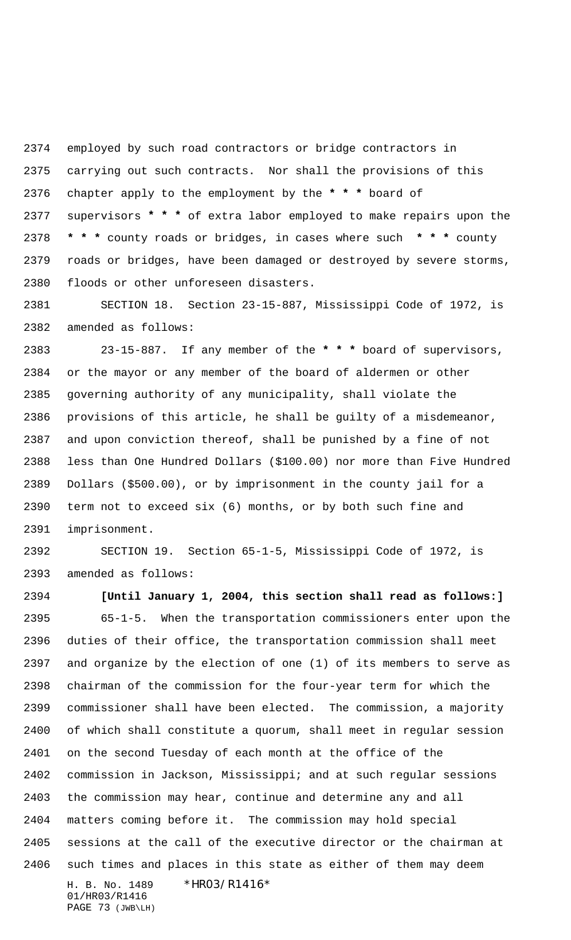employed by such road contractors or bridge contractors in carrying out such contracts. Nor shall the provisions of this chapter apply to the employment by the **\* \* \*** board of supervisors **\* \* \*** of extra labor employed to make repairs upon the **\* \* \*** county roads or bridges, in cases where such **\* \* \*** county roads or bridges, have been damaged or destroyed by severe storms, floods or other unforeseen disasters.

 SECTION 18. Section 23-15-887, Mississippi Code of 1972, is amended as follows:

 23-15-887. If any member of the **\* \* \*** board of supervisors, or the mayor or any member of the board of aldermen or other governing authority of any municipality, shall violate the provisions of this article, he shall be guilty of a misdemeanor, and upon conviction thereof, shall be punished by a fine of not less than One Hundred Dollars (\$100.00) nor more than Five Hundred Dollars (\$500.00), or by imprisonment in the county jail for a term not to exceed six (6) months, or by both such fine and imprisonment.

 SECTION 19. Section 65-1-5, Mississippi Code of 1972, is amended as follows:

H. B. No. 1489 \* HRO3/R1416\* 01/HR03/R1416 PAGE 73 (JWB\LH) **[Until January 1, 2004, this section shall read as follows:]** 65-1-5. When the transportation commissioners enter upon the duties of their office, the transportation commission shall meet and organize by the election of one (1) of its members to serve as chairman of the commission for the four-year term for which the commissioner shall have been elected. The commission, a majority of which shall constitute a quorum, shall meet in regular session on the second Tuesday of each month at the office of the commission in Jackson, Mississippi; and at such regular sessions the commission may hear, continue and determine any and all matters coming before it. The commission may hold special sessions at the call of the executive director or the chairman at such times and places in this state as either of them may deem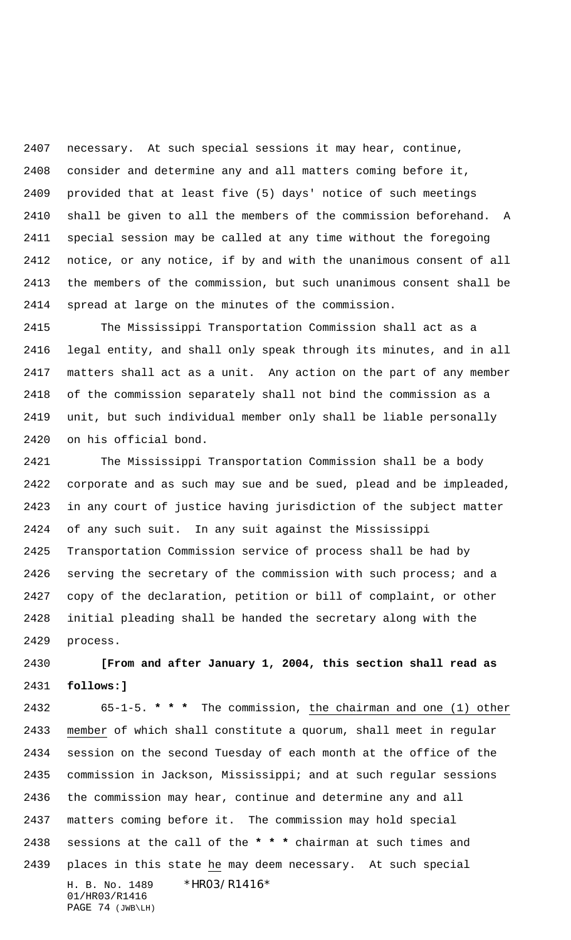necessary. At such special sessions it may hear, continue, consider and determine any and all matters coming before it, provided that at least five (5) days' notice of such meetings shall be given to all the members of the commission beforehand. A special session may be called at any time without the foregoing notice, or any notice, if by and with the unanimous consent of all the members of the commission, but such unanimous consent shall be spread at large on the minutes of the commission.

 The Mississippi Transportation Commission shall act as a legal entity, and shall only speak through its minutes, and in all matters shall act as a unit. Any action on the part of any member of the commission separately shall not bind the commission as a unit, but such individual member only shall be liable personally on his official bond.

 The Mississippi Transportation Commission shall be a body corporate and as such may sue and be sued, plead and be impleaded, in any court of justice having jurisdiction of the subject matter of any such suit. In any suit against the Mississippi Transportation Commission service of process shall be had by serving the secretary of the commission with such process; and a copy of the declaration, petition or bill of complaint, or other initial pleading shall be handed the secretary along with the process.

 **[From and after January 1, 2004, this section shall read as follows:]**

H. B. No. 1489 \* HRO3/R1416\* 01/HR03/R1416 PAGE 74 (JWB\LH) 65-1-5. **\* \* \*** The commission, the chairman and one (1) other member of which shall constitute a quorum, shall meet in regular session on the second Tuesday of each month at the office of the commission in Jackson, Mississippi; and at such regular sessions the commission may hear, continue and determine any and all matters coming before it. The commission may hold special sessions at the call of the **\* \* \*** chairman at such times and places in this state he may deem necessary. At such special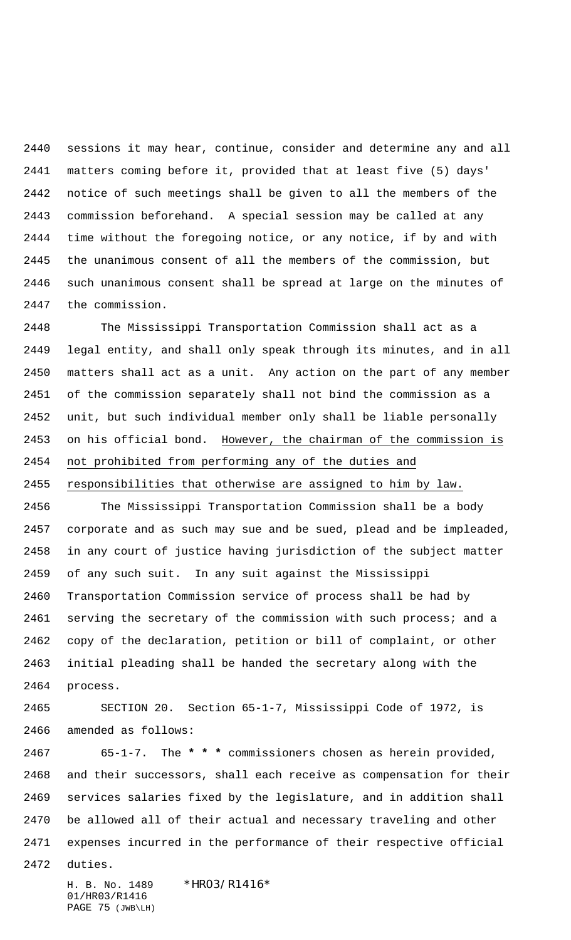sessions it may hear, continue, consider and determine any and all matters coming before it, provided that at least five (5) days' notice of such meetings shall be given to all the members of the commission beforehand. A special session may be called at any time without the foregoing notice, or any notice, if by and with the unanimous consent of all the members of the commission, but such unanimous consent shall be spread at large on the minutes of the commission.

 The Mississippi Transportation Commission shall act as a legal entity, and shall only speak through its minutes, and in all matters shall act as a unit. Any action on the part of any member of the commission separately shall not bind the commission as a unit, but such individual member only shall be liable personally 2453 on his official bond. However, the chairman of the commission is not prohibited from performing any of the duties and

responsibilities that otherwise are assigned to him by law.

 The Mississippi Transportation Commission shall be a body corporate and as such may sue and be sued, plead and be impleaded, in any court of justice having jurisdiction of the subject matter of any such suit. In any suit against the Mississippi Transportation Commission service of process shall be had by 2461 serving the secretary of the commission with such process; and a copy of the declaration, petition or bill of complaint, or other initial pleading shall be handed the secretary along with the process.

 SECTION 20. Section 65-1-7, Mississippi Code of 1972, is amended as follows:

 65-1-7. The **\* \* \*** commissioners chosen as herein provided, and their successors, shall each receive as compensation for their services salaries fixed by the legislature, and in addition shall be allowed all of their actual and necessary traveling and other expenses incurred in the performance of their respective official

duties.

H. B. No. 1489 \*HRO3/R1416\* 01/HR03/R1416 PAGE 75 (JWB\LH)